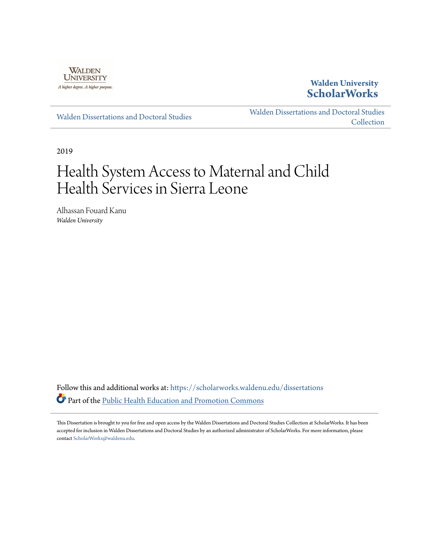

## **Walden University [ScholarWorks](https://scholarworks.waldenu.edu/?utm_source=scholarworks.waldenu.edu%2Fdissertations%2F7394&utm_medium=PDF&utm_campaign=PDFCoverPages)**

[Walden Dissertations and Doctoral Studies](https://scholarworks.waldenu.edu/dissertations?utm_source=scholarworks.waldenu.edu%2Fdissertations%2F7394&utm_medium=PDF&utm_campaign=PDFCoverPages)

[Walden Dissertations and Doctoral Studies](https://scholarworks.waldenu.edu/dissanddoc?utm_source=scholarworks.waldenu.edu%2Fdissertations%2F7394&utm_medium=PDF&utm_campaign=PDFCoverPages) **[Collection](https://scholarworks.waldenu.edu/dissanddoc?utm_source=scholarworks.waldenu.edu%2Fdissertations%2F7394&utm_medium=PDF&utm_campaign=PDFCoverPages)** 

2019

# Health System Access to Maternal and Child Health Services in Sierra Leone

Alhassan Fouard Kanu *Walden University*

Follow this and additional works at: [https://scholarworks.waldenu.edu/dissertations](https://scholarworks.waldenu.edu/dissertations?utm_source=scholarworks.waldenu.edu%2Fdissertations%2F7394&utm_medium=PDF&utm_campaign=PDFCoverPages) Part of the [Public Health Education and Promotion Commons](http://network.bepress.com/hgg/discipline/743?utm_source=scholarworks.waldenu.edu%2Fdissertations%2F7394&utm_medium=PDF&utm_campaign=PDFCoverPages)

This Dissertation is brought to you for free and open access by the Walden Dissertations and Doctoral Studies Collection at ScholarWorks. It has been accepted for inclusion in Walden Dissertations and Doctoral Studies by an authorized administrator of ScholarWorks. For more information, please contact [ScholarWorks@waldenu.edu](mailto:ScholarWorks@waldenu.edu).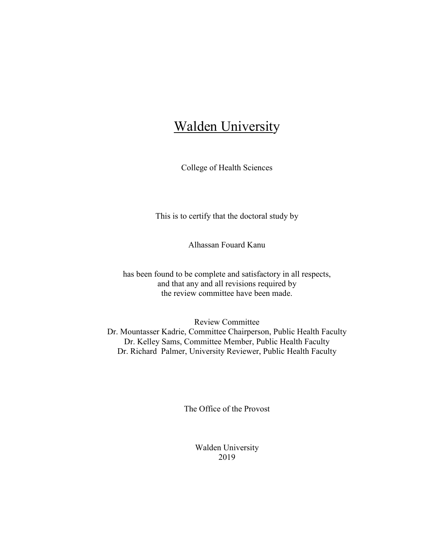## **Walden University**

College of Health Sciences

This is to certify that the doctoral study by

Alhassan Fouard Kanu

has been found to be complete and satisfactory in all respects, and that any and all revisions required by the review committee have been made.

Review Committee Dr. Mountasser Kadrie, Committee Chairperson, Public Health Faculty Dr. Kelley Sams, Committee Member, Public Health Faculty Dr. Richard Palmer, University Reviewer, Public Health Faculty

The Office of the Provost

Walden University 2019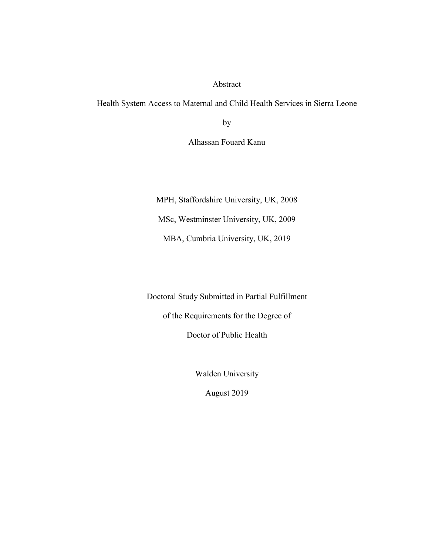#### Abstract

Health System Access to Maternal and Child Health Services in Sierra Leone

by

Alhassan Fouard Kanu

MPH, Staffordshire University, UK, 2008

MSc, Westminster University, UK, 2009

MBA, Cumbria University, UK, 2019

Doctoral Study Submitted in Partial Fulfillment

of the Requirements for the Degree of

Doctor of Public Health

Walden University

August 2019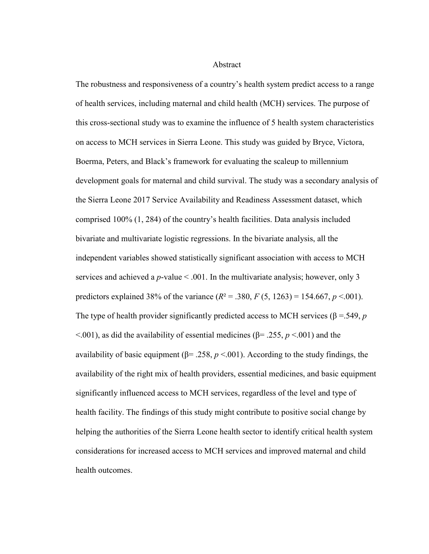#### **Abstract**

The robustness and responsiveness of a country's health system predict access to a range of health services, including maternal and child health (MCH) services. The purpose of this cross-sectional study was to examine the influence of 5 health system characteristics on access to MCH services in Sierra Leone. This study was guided by Bryce, Victora, Boerma, Peters, and Black's framework for evaluating the scaleup to millennium development goals for maternal and child survival. The study was a secondary analysis of the Sierra Leone 2017 Service Availability and Readiness Assessment dataset, which comprised 100% (1, 284) of the country's health facilities. Data analysis included bivariate and multivariate logistic regressions. In the bivariate analysis, all the independent variables showed statistically significant association with access to MCH services and achieved a *p*-value < .001. In the multivariate analysis; however, only 3 predictors explained 38% of the variance  $(R^2 = .380, F(5, 1263) = 154.667, p < .001)$ . The type of health provider significantly predicted access to MCH services ( $\beta$  =.549, *p*  $\leq$ .001), as did the availability of essential medicines ( $\beta$ = .255, *p*  $\leq$ .001) and the availability of basic equipment ( $\beta$ = .258,  $p$  <.001). According to the study findings, the availability of the right mix of health providers, essential medicines, and basic equipment significantly influenced access to MCH services, regardless of the level and type of health facility. The findings of this study might contribute to positive social change by helping the authorities of the Sierra Leone health sector to identify critical health system considerations for increased access to MCH services and improved maternal and child health outcomes.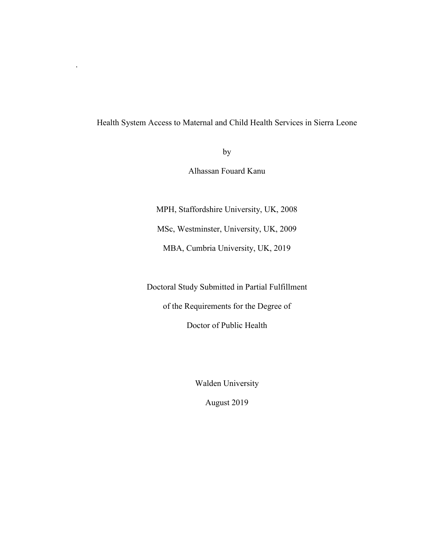### Health System Access to Maternal and Child Health Services in Sierra Leone

.

by

Alhassan Fouard Kanu

MPH, Staffordshire University, UK, 2008

MSc, Westminster, University, UK, 2009

MBA, Cumbria University, UK, 2019

Doctoral Study Submitted in Partial Fulfillment

of the Requirements for the Degree of

Doctor of Public Health

Walden University

August 2019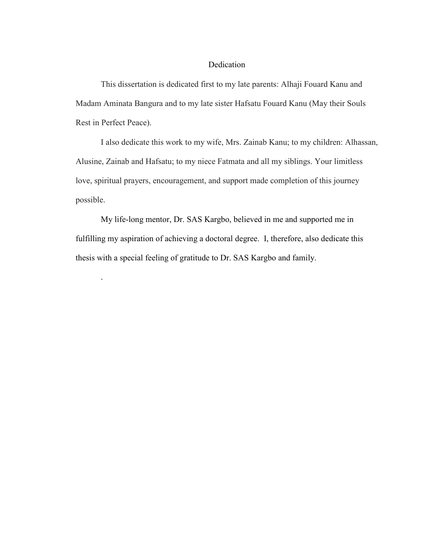#### Dedication

This dissertation is dedicated first to my late parents: Alhaji Fouard Kanu and Madam Aminata Bangura and to my late sister Hafsatu Fouard Kanu (May their Souls Rest in Perfect Peace).

I also dedicate this work to my wife, Mrs. Zainab Kanu; to my children: Alhassan, Alusine, Zainab and Hafsatu; to my niece Fatmata and all my siblings. Your limitless love, spiritual prayers, encouragement, and support made completion of this journey possible.

 My life-long mentor, Dr. SAS Kargbo, believed in me and supported me in fulfilling my aspiration of achieving a doctoral degree. I, therefore, also dedicate this thesis with a special feeling of gratitude to Dr. SAS Kargbo and family.

.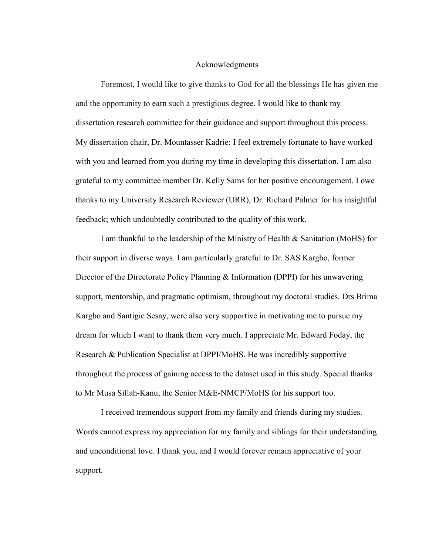#### Acknowledgments

Foremost, I would like to give thanks to God for all the blessings He has given me and the opportunity to earn such a prestigious degree. I would like to thank my dissertation research committee for their guidance and support throughout this process. My dissertation chair, Dr. Mountasser Kadrie: I feel extremely fortunate to have worked with you and learned from you during my time in developing this dissertation. I am also grateful to my committee member Dr. Kelly Sams for her positive encouragement. I owe thanks to my University Research Reviewer (URR), Dr. Richard Palmer for his insightful feedback; which undoubtedly contributed to the quality of this work.

I am thankful to the leadership of the Ministry of Health & Sanitation (MoHS) for their support in diverse ways. I am particularly grateful to Dr. SAS Kargbo, former Director of the Directorate Policy Planning & Information (DPPI) for his unwavering support, mentorship, and pragmatic optimism, throughout my doctoral studies. Drs Brima Kargbo and Santigie Sesay, were also very supportive in motivating me to pursue my dream for which I want to thank them very much. I appreciate Mr. Edward Foday, the Research & Publication Specialist at DPPI/MoHS. He was incredibly supportive throughout the process of gaining access to the dataset used in this study. Special thanks to Mr Musa Sillah-Kanu, the Senior M&E-NMCP/MoHS for his support too.

I received tremendous support from my family and friends during my studies. Words cannot express my appreciation for my family and siblings for their understanding and unconditional love. I thank you, and I would forever remain appreciative of your support.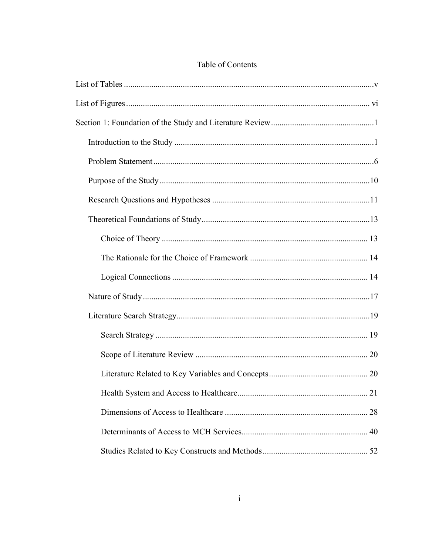## Table of Contents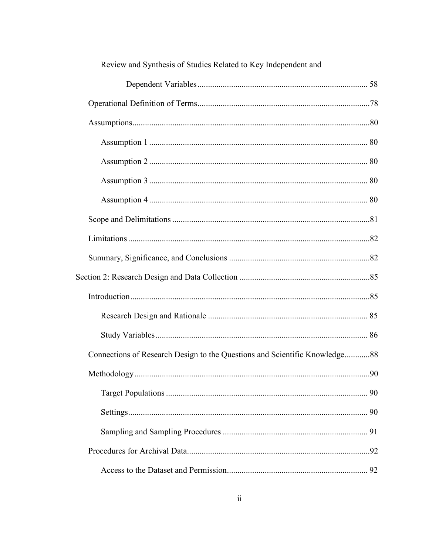| Review and Synthesis of Studies Related to Key Independent and             |  |
|----------------------------------------------------------------------------|--|
|                                                                            |  |
|                                                                            |  |
|                                                                            |  |
|                                                                            |  |
|                                                                            |  |
|                                                                            |  |
|                                                                            |  |
|                                                                            |  |
|                                                                            |  |
|                                                                            |  |
|                                                                            |  |
|                                                                            |  |
|                                                                            |  |
|                                                                            |  |
| Connections of Research Design to the Questions and Scientific Knowledge88 |  |
|                                                                            |  |
|                                                                            |  |
|                                                                            |  |
|                                                                            |  |
|                                                                            |  |
|                                                                            |  |

 $\overline{1}$ 

 $\mathbf{r}$ 

 $\blacksquare$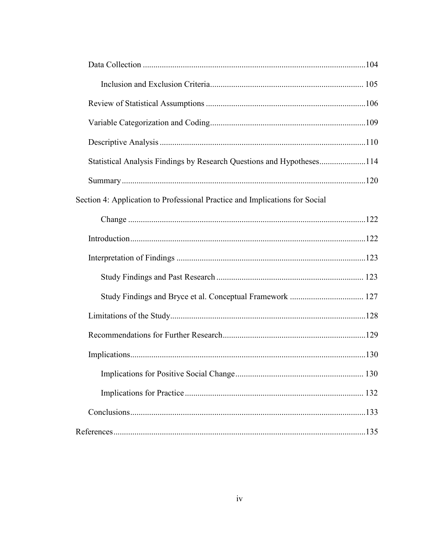| Statistical Analysis Findings by Research Questions and Hypotheses114       |  |
|-----------------------------------------------------------------------------|--|
|                                                                             |  |
| Section 4: Application to Professional Practice and Implications for Social |  |
|                                                                             |  |
|                                                                             |  |
|                                                                             |  |
|                                                                             |  |
|                                                                             |  |
|                                                                             |  |
|                                                                             |  |
|                                                                             |  |
|                                                                             |  |
|                                                                             |  |
|                                                                             |  |
|                                                                             |  |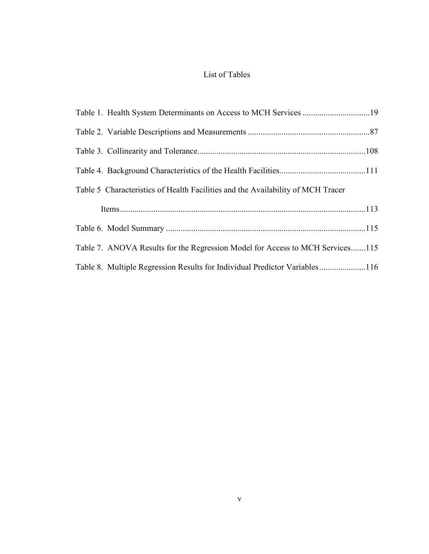## List of Tables

| Table 1. Health System Determinants on Access to MCH Services 19                |  |
|---------------------------------------------------------------------------------|--|
|                                                                                 |  |
|                                                                                 |  |
|                                                                                 |  |
| Table 5 Characteristics of Health Facilities and the Availability of MCH Tracer |  |
|                                                                                 |  |
|                                                                                 |  |
| Table 7. ANOVA Results for the Regression Model for Access to MCH Services115   |  |
| Table 8. Multiple Regression Results for Individual Predictor Variables116      |  |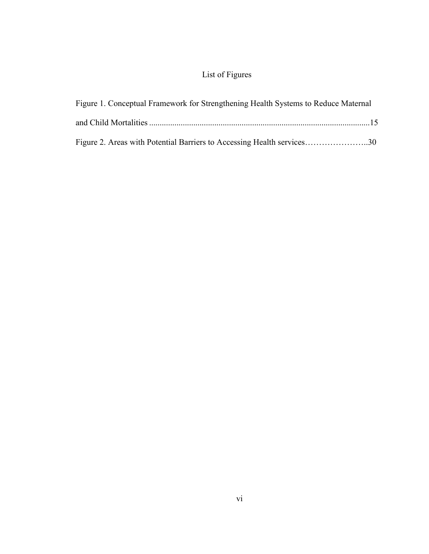## List of Figures

| Figure 1. Conceptual Framework for Strengthening Health Systems to Reduce Maternal |  |
|------------------------------------------------------------------------------------|--|
|                                                                                    |  |
| Figure 2. Areas with Potential Barriers to Accessing Health services30             |  |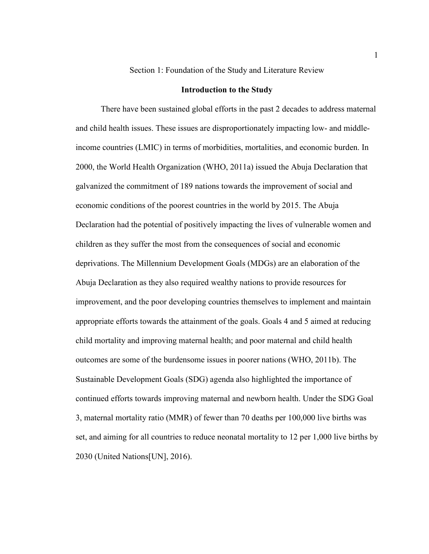#### Section 1: Foundation of the Study and Literature Review

#### **Introduction to the Study**

There have been sustained global efforts in the past 2 decades to address maternal and child health issues. These issues are disproportionately impacting low- and middleincome countries (LMIC) in terms of morbidities, mortalities, and economic burden. In 2000, the World Health Organization (WHO, 2011a) issued the Abuja Declaration that galvanized the commitment of 189 nations towards the improvement of social and economic conditions of the poorest countries in the world by 2015. The Abuja Declaration had the potential of positively impacting the lives of vulnerable women and children as they suffer the most from the consequences of social and economic deprivations. The Millennium Development Goals (MDGs) are an elaboration of the Abuja Declaration as they also required wealthy nations to provide resources for improvement, and the poor developing countries themselves to implement and maintain appropriate efforts towards the attainment of the goals. Goals 4 and 5 aimed at reducing child mortality and improving maternal health; and poor maternal and child health outcomes are some of the burdensome issues in poorer nations (WHO, 2011b). The Sustainable Development Goals (SDG) agenda also highlighted the importance of continued efforts towards improving maternal and newborn health. Under the SDG Goal 3, maternal mortality ratio (MMR) of fewer than 70 deaths per 100,000 live births was set, and aiming for all countries to reduce neonatal mortality to 12 per 1,000 live births by 2030 (United Nations[UN], 2016).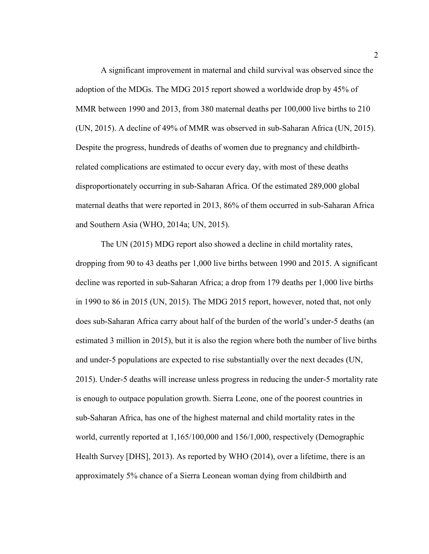A significant improvement in maternal and child survival was observed since the adoption of the MDGs. The MDG 2015 report showed a worldwide drop by 45% of MMR between 1990 and 2013, from 380 maternal deaths per 100,000 live births to 210 (UN, 2015). A decline of 49% of MMR was observed in sub-Saharan Africa (UN, 2015). Despite the progress, hundreds of deaths of women due to pregnancy and childbirthrelated complications are estimated to occur every day, with most of these deaths disproportionately occurring in sub-Saharan Africa. Of the estimated 289,000 global maternal deaths that were reported in 2013, 86% of them occurred in sub-Saharan Africa and Southern Asia (WHO, 2014a; UN, 2015).

The UN (2015) MDG report also showed a decline in child mortality rates, dropping from 90 to 43 deaths per 1,000 live births between 1990 and 2015. A significant decline was reported in sub-Saharan Africa; a drop from 179 deaths per 1,000 live births in 1990 to 86 in 2015 (UN, 2015). The MDG 2015 report, however, noted that, not only does sub-Saharan Africa carry about half of the burden of the world's under-5 deaths (an estimated 3 million in 2015), but it is also the region where both the number of live births and under-5 populations are expected to rise substantially over the next decades (UN, 2015). Under-5 deaths will increase unless progress in reducing the under-5 mortality rate is enough to outpace population growth. Sierra Leone, one of the poorest countries in sub-Saharan Africa, has one of the highest maternal and child mortality rates in the world, currently reported at 1,165/100,000 and 156/1,000, respectively (Demographic Health Survey [DHS], 2013). As reported by WHO (2014), over a lifetime, there is an approximately 5% chance of a Sierra Leonean woman dying from childbirth and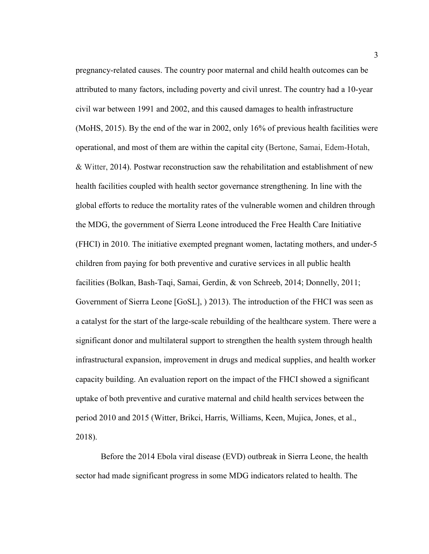pregnancy-related causes. The country poor maternal and child health outcomes can be attributed to many factors, including poverty and civil unrest. The country had a 10-year civil war between 1991 and 2002, and this caused damages to health infrastructure (MoHS, 2015). By the end of the war in 2002, only 16% of previous health facilities were operational, and most of them are within the capital city (Bertone, Samai, Edem-Hotah, & Witter, 2014). Postwar reconstruction saw the rehabilitation and establishment of new health facilities coupled with health sector governance strengthening. In line with the global efforts to reduce the mortality rates of the vulnerable women and children through the MDG, the government of Sierra Leone introduced the Free Health Care Initiative (FHCI) in 2010. The initiative exempted pregnant women, lactating mothers, and under-5 children from paying for both preventive and curative services in all public health facilities (Bolkan, Bash-Taqi, Samai, Gerdin, & von Schreeb, 2014; Donnelly, 2011; Government of Sierra Leone [GoSL], ) 2013). The introduction of the FHCI was seen as a catalyst for the start of the large-scale rebuilding of the healthcare system. There were a significant donor and multilateral support to strengthen the health system through health infrastructural expansion, improvement in drugs and medical supplies, and health worker capacity building. An evaluation report on the impact of the FHCI showed a significant uptake of both preventive and curative maternal and child health services between the period 2010 and 2015 (Witter, Brikci, Harris, Williams, Keen, Mujica, Jones, et al., 2018).

Before the 2014 Ebola viral disease (EVD) outbreak in Sierra Leone, the health sector had made significant progress in some MDG indicators related to health. The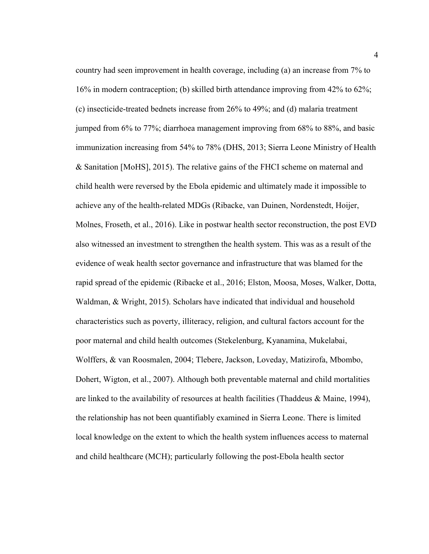country had seen improvement in health coverage, including (a) an increase from 7% to 16% in modern contraception; (b) skilled birth attendance improving from 42% to 62%; (c) insecticide-treated bednets increase from 26% to 49%; and (d) malaria treatment jumped from 6% to 77%; diarrhoea management improving from 68% to 88%, and basic immunization increasing from 54% to 78% (DHS, 2013; Sierra Leone Ministry of Health & Sanitation [MoHS], 2015). The relative gains of the FHCI scheme on maternal and child health were reversed by the Ebola epidemic and ultimately made it impossible to achieve any of the health-related MDGs (Ribacke, van Duinen, Nordenstedt, Hoijer, Molnes, Froseth, et al., 2016). Like in postwar health sector reconstruction, the post EVD also witnessed an investment to strengthen the health system. This was as a result of the evidence of weak health sector governance and infrastructure that was blamed for the rapid spread of the epidemic (Ribacke et al., 2016; Elston, Moosa, Moses, Walker, Dotta, Waldman, & Wright, 2015). Scholars have indicated that individual and household characteristics such as poverty, illiteracy, religion, and cultural factors account for the poor maternal and child health outcomes (Stekelenburg, Kyanamina, Mukelabai, Wolffers, & van Roosmalen, 2004; Tlebere, Jackson, Loveday, Matizirofa, Mbombo, Dohert, Wigton, et al., 2007). Although both preventable maternal and child mortalities are linked to the availability of resources at health facilities (Thaddeus & Maine, 1994), the relationship has not been quantifiably examined in Sierra Leone. There is limited local knowledge on the extent to which the health system influences access to maternal and child healthcare (MCH); particularly following the post-Ebola health sector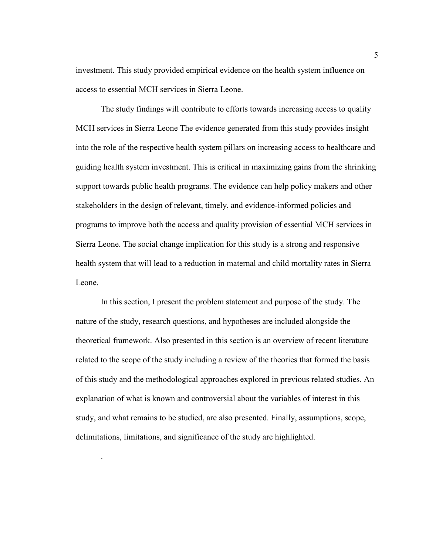investment. This study provided empirical evidence on the health system influence on access to essential MCH services in Sierra Leone.

The study findings will contribute to efforts towards increasing access to quality MCH services in Sierra Leone The evidence generated from this study provides insight into the role of the respective health system pillars on increasing access to healthcare and guiding health system investment. This is critical in maximizing gains from the shrinking support towards public health programs. The evidence can help policy makers and other stakeholders in the design of relevant, timely, and evidence-informed policies and programs to improve both the access and quality provision of essential MCH services in Sierra Leone. The social change implication for this study is a strong and responsive health system that will lead to a reduction in maternal and child mortality rates in Sierra Leone.

In this section, I present the problem statement and purpose of the study. The nature of the study, research questions, and hypotheses are included alongside the theoretical framework. Also presented in this section is an overview of recent literature related to the scope of the study including a review of the theories that formed the basis of this study and the methodological approaches explored in previous related studies. An explanation of what is known and controversial about the variables of interest in this study, and what remains to be studied, are also presented. Finally, assumptions, scope, delimitations, limitations, and significance of the study are highlighted.

.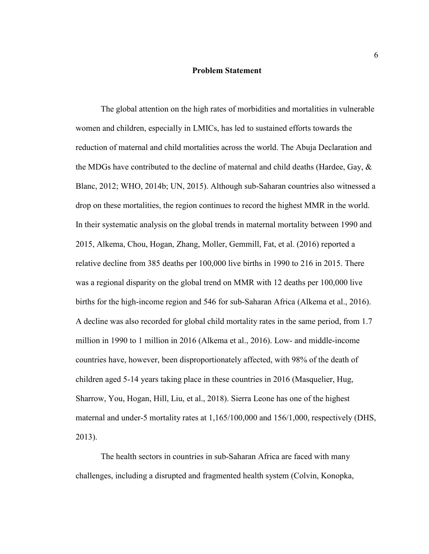#### **Problem Statement**

The global attention on the high rates of morbidities and mortalities in vulnerable women and children, especially in LMICs, has led to sustained efforts towards the reduction of maternal and child mortalities across the world. The Abuja Declaration and the MDGs have contributed to the decline of maternal and child deaths (Hardee, Gay, & Blanc, 2012; WHO, 2014b; UN, 2015). Although sub-Saharan countries also witnessed a drop on these mortalities, the region continues to record the highest MMR in the world. In their systematic analysis on the global trends in maternal mortality between 1990 and 2015, Alkema, Chou, Hogan, Zhang, Moller, Gemmill, Fat, et al. (2016) reported a relative decline from 385 deaths per 100,000 live births in 1990 to 216 in 2015. There was a regional disparity on the global trend on MMR with 12 deaths per 100,000 live births for the high-income region and 546 for sub-Saharan Africa (Alkema et al., 2016). A decline was also recorded for global child mortality rates in the same period, from 1.7 million in 1990 to 1 million in 2016 (Alkema et al., 2016). Low- and middle-income countries have, however, been disproportionately affected, with 98% of the death of children aged 5-14 years taking place in these countries in 2016 (Masquelier, Hug, Sharrow, You, Hogan, Hill, Liu, et al., 2018). Sierra Leone has one of the highest maternal and under-5 mortality rates at 1,165/100,000 and 156/1,000, respectively (DHS, 2013).

The health sectors in countries in sub-Saharan Africa are faced with many challenges, including a disrupted and fragmented health system (Colvin, Konopka,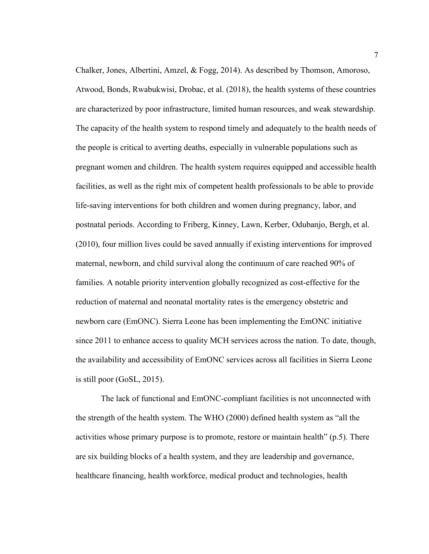Chalker, Jones, Albertini, Amzel, & Fogg, 2014). As described by Thomson, Amoroso, Atwood, Bonds, Rwabukwisi, Drobac, et al. (2018), the health systems of these countries are characterized by poor infrastructure, limited human resources, and weak stewardship. The capacity of the health system to respond timely and adequately to the health needs of the people is critical to averting deaths, especially in vulnerable populations such as pregnant women and children. The health system requires equipped and accessible health facilities, as well as the right mix of competent health professionals to be able to provide life-saving interventions for both children and women during pregnancy, labor, and postnatal periods. According to Friberg, Kinney, Lawn, Kerber, Odubanjo, Bergh, et al. (2010), four million lives could be saved annually if existing interventions for improved maternal, newborn, and child survival along the continuum of care reached 90% of families. A notable priority intervention globally recognized as cost-effective for the reduction of maternal and neonatal mortality rates is the emergency obstetric and newborn care (EmONC). Sierra Leone has been implementing the EmONC initiative since 2011 to enhance access to quality MCH services across the nation. To date, though, the availability and accessibility of EmONC services across all facilities in Sierra Leone is still poor (GoSL, 2015).

The lack of functional and EmONC-compliant facilities is not unconnected with the strength of the health system. The WHO (2000) defined health system as "all the activities whose primary purpose is to promote, restore or maintain health" (p.5). There are six building blocks of a health system, and they are leadership and governance, healthcare financing, health workforce, medical product and technologies, health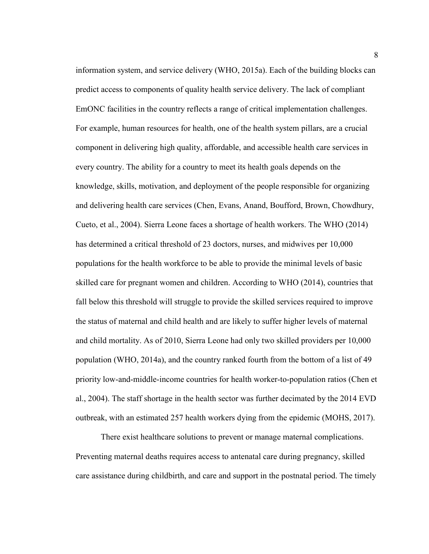information system, and service delivery (WHO, 2015a). Each of the building blocks can predict access to components of quality health service delivery. The lack of compliant EmONC facilities in the country reflects a range of critical implementation challenges. For example, human resources for health, one of the health system pillars, are a crucial component in delivering high quality, affordable, and accessible health care services in every country. The ability for a country to meet its health goals depends on the knowledge, skills, motivation, and deployment of the people responsible for organizing and delivering health care services (Chen, Evans, Anand, Boufford, Brown, Chowdhury, Cueto, et al., 2004). Sierra Leone faces a shortage of health workers. The WHO (2014) has determined a critical threshold of 23 doctors, nurses, and midwives per 10,000 populations for the health workforce to be able to provide the minimal levels of basic skilled care for pregnant women and children. According to WHO (2014), countries that fall below this threshold will struggle to provide the skilled services required to improve the status of maternal and child health and are likely to suffer higher levels of maternal and child mortality. As of 2010, Sierra Leone had only two skilled providers per 10,000 population (WHO, 2014a), and the country ranked fourth from the bottom of a list of 49 priority low-and-middle-income countries for health worker-to-population ratios (Chen et al., 2004). The staff shortage in the health sector was further decimated by the 2014 EVD outbreak, with an estimated 257 health workers dying from the epidemic (MOHS, 2017).

There exist healthcare solutions to prevent or manage maternal complications. Preventing maternal deaths requires access to antenatal care during pregnancy, skilled care assistance during childbirth, and care and support in the postnatal period. The timely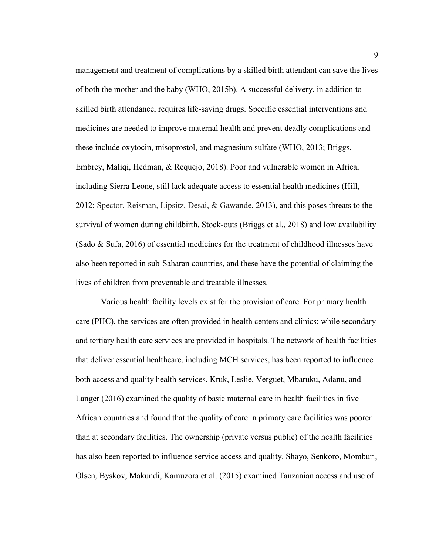management and treatment of complications by a skilled birth attendant can save the lives of both the mother and the baby (WHO, 2015b). A successful delivery, in addition to skilled birth attendance, requires life-saving drugs. Specific essential interventions and medicines are needed to improve maternal health and prevent deadly complications and these include oxytocin, misoprostol, and magnesium sulfate (WHO, 2013; Briggs, Embrey, Maliqi, Hedman, & Requejo, 2018). Poor and vulnerable women in Africa, including Sierra Leone, still lack adequate access to essential health medicines (Hill, 2012; Spector, Reisman, Lipsitz, Desai, & Gawande, 2013), and this poses threats to the survival of women during childbirth. Stock-outs (Briggs et al., 2018) and low availability (Sado & Sufa, 2016) of essential medicines for the treatment of childhood illnesses have also been reported in sub-Saharan countries, and these have the potential of claiming the lives of children from preventable and treatable illnesses.

Various health facility levels exist for the provision of care. For primary health care (PHC), the services are often provided in health centers and clinics; while secondary and tertiary health care services are provided in hospitals. The network of health facilities that deliver essential healthcare, including MCH services, has been reported to influence both access and quality health services. Kruk, Leslie, Verguet, Mbaruku, Adanu, and Langer (2016) examined the quality of basic maternal care in health facilities in five African countries and found that the quality of care in primary care facilities was poorer than at secondary facilities. The ownership (private versus public) of the health facilities has also been reported to influence service access and quality. Shayo, Senkoro, Momburi, Olsen, Byskov, Makundi, Kamuzora et al. (2015) examined Tanzanian access and use of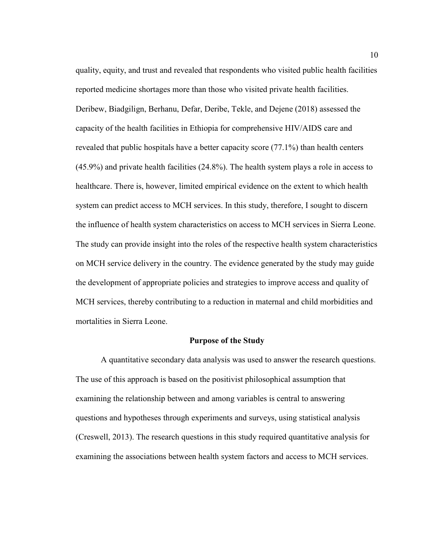quality, equity, and trust and revealed that respondents who visited public health facilities reported medicine shortages more than those who visited private health facilities. Deribew, Biadgilign, Berhanu, Defar, Deribe, Tekle, and Dejene (2018) assessed the capacity of the health facilities in Ethiopia for comprehensive HIV/AIDS care and revealed that public hospitals have a better capacity score (77.1%) than health centers (45.9%) and private health facilities (24.8%). The health system plays a role in access to healthcare. There is, however, limited empirical evidence on the extent to which health system can predict access to MCH services. In this study, therefore, I sought to discern the influence of health system characteristics on access to MCH services in Sierra Leone. The study can provide insight into the roles of the respective health system characteristics on MCH service delivery in the country. The evidence generated by the study may guide the development of appropriate policies and strategies to improve access and quality of MCH services, thereby contributing to a reduction in maternal and child morbidities and mortalities in Sierra Leone.

#### **Purpose of the Study**

A quantitative secondary data analysis was used to answer the research questions. The use of this approach is based on the positivist philosophical assumption that examining the relationship between and among variables is central to answering questions and hypotheses through experiments and surveys, using statistical analysis (Creswell, 2013). The research questions in this study required quantitative analysis for examining the associations between health system factors and access to MCH services.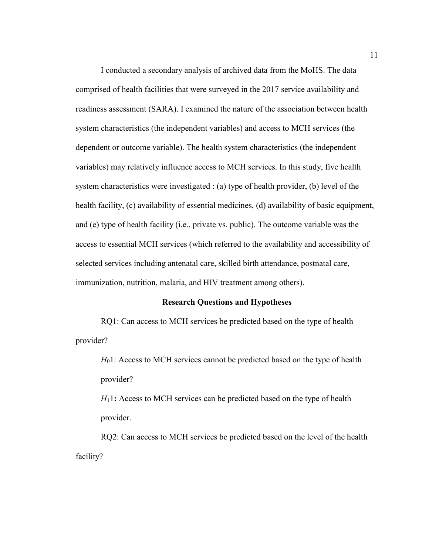I conducted a secondary analysis of archived data from the MoHS. The data comprised of health facilities that were surveyed in the 2017 service availability and readiness assessment (SARA). I examined the nature of the association between health system characteristics (the independent variables) and access to MCH services (the dependent or outcome variable). The health system characteristics (the independent variables) may relatively influence access to MCH services. In this study, five health system characteristics were investigated : (a) type of health provider, (b) level of the health facility, (c) availability of essential medicines, (d) availability of basic equipment, and (e) type of health facility (i.e., private vs. public). The outcome variable was the access to essential MCH services (which referred to the availability and accessibility of selected services including antenatal care, skilled birth attendance, postnatal care, immunization, nutrition, malaria, and HIV treatment among others).

#### **Research Questions and Hypotheses**

RQ1: Can access to MCH services be predicted based on the type of health provider?

*H*<sub>0</sub>1: Access to MCH services cannot be predicted based on the type of health provider?

*H*11**:** Access to MCH services can be predicted based on the type of health provider.

RQ2: Can access to MCH services be predicted based on the level of the health facility?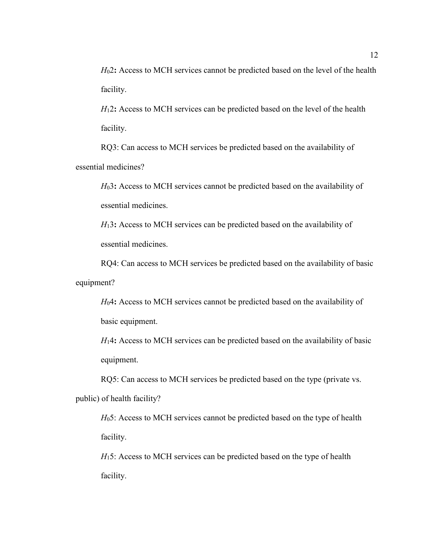*H*02**:** Access to MCH services cannot be predicted based on the level of the health facility.

*H*12**:** Access to MCH services can be predicted based on the level of the health facility.

RQ3: Can access to MCH services be predicted based on the availability of essential medicines?

*H*03**:** Access to MCH services cannot be predicted based on the availability of essential medicines.

*H*13**:** Access to MCH services can be predicted based on the availability of essential medicines.

RQ4: Can access to MCH services be predicted based on the availability of basic equipment?

*H*04**:** Access to MCH services cannot be predicted based on the availability of basic equipment.

*H*14**:** Access to MCH services can be predicted based on the availability of basic equipment.

RQ5: Can access to MCH services be predicted based on the type (private vs. public) of health facility?

*H*<sub>0</sub>5: Access to MCH services cannot be predicted based on the type of health facility.

*H*<sub>15</sub>: Access to MCH services can be predicted based on the type of health facility.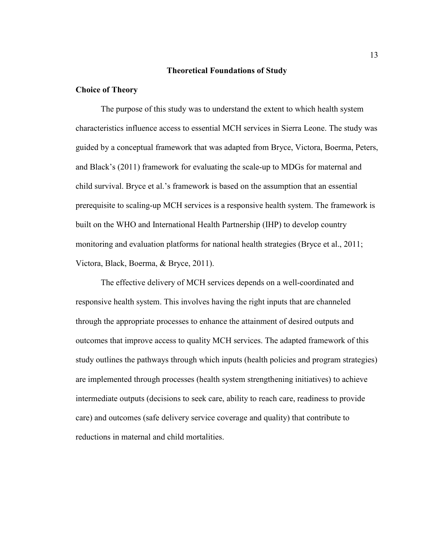#### **Theoretical Foundations of Study**

#### **Choice of Theory**

The purpose of this study was to understand the extent to which health system characteristics influence access to essential MCH services in Sierra Leone. The study was guided by a conceptual framework that was adapted from Bryce, Victora, Boerma, Peters, and Black's (2011) framework for evaluating the scale-up to MDGs for maternal and child survival. Bryce et al.'s framework is based on the assumption that an essential prerequisite to scaling-up MCH services is a responsive health system. The framework is built on the WHO and International Health Partnership (IHP) to develop country monitoring and evaluation platforms for national health strategies (Bryce et al., 2011; Victora, Black, Boerma, & Bryce, 2011).

The effective delivery of MCH services depends on a well-coordinated and responsive health system. This involves having the right inputs that are channeled through the appropriate processes to enhance the attainment of desired outputs and outcomes that improve access to quality MCH services. The adapted framework of this study outlines the pathways through which inputs (health policies and program strategies) are implemented through processes (health system strengthening initiatives) to achieve intermediate outputs (decisions to seek care, ability to reach care, readiness to provide care) and outcomes (safe delivery service coverage and quality) that contribute to reductions in maternal and child mortalities.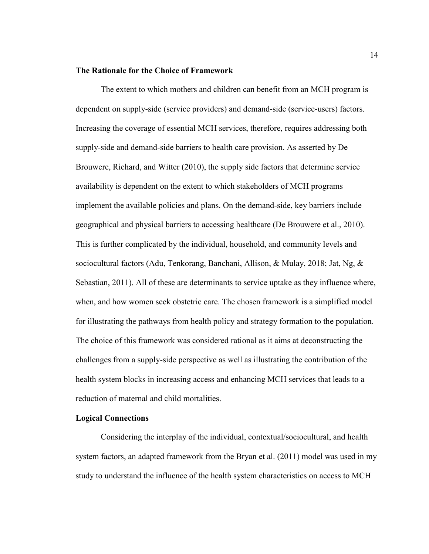#### **The Rationale for the Choice of Framework**

The extent to which mothers and children can benefit from an MCH program is dependent on supply-side (service providers) and demand-side (service-users) factors. Increasing the coverage of essential MCH services, therefore, requires addressing both supply-side and demand-side barriers to health care provision. As asserted by De Brouwere, Richard, and Witter (2010), the supply side factors that determine service availability is dependent on the extent to which stakeholders of MCH programs implement the available policies and plans. On the demand-side, key barriers include geographical and physical barriers to accessing healthcare (De Brouwere et al., 2010). This is further complicated by the individual, household, and community levels and sociocultural factors (Adu, Tenkorang, Banchani, Allison, & Mulay, 2018; Jat, Ng, & Sebastian, 2011). All of these are determinants to service uptake as they influence where, when, and how women seek obstetric care. The chosen framework is a simplified model for illustrating the pathways from health policy and strategy formation to the population. The choice of this framework was considered rational as it aims at deconstructing the challenges from a supply-side perspective as well as illustrating the contribution of the health system blocks in increasing access and enhancing MCH services that leads to a reduction of maternal and child mortalities.

#### **Logical Connections**

Considering the interplay of the individual, contextual/sociocultural, and health system factors, an adapted framework from the Bryan et al. (2011) model was used in my study to understand the influence of the health system characteristics on access to MCH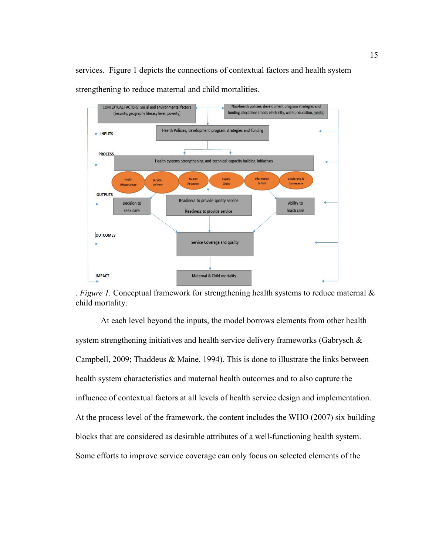services. Figure 1 depicts the connections of contextual factors and health system strengthening to reduce maternal and child mortalities.



. *Figure 1.* Conceptual framework for strengthening health systems to reduce maternal & child mortality.

At each level beyond the inputs, the model borrows elements from other health system strengthening initiatives and health service delivery frameworks (Gabrysch & Campbell, 2009; Thaddeus & Maine, 1994). This is done to illustrate the links between health system characteristics and maternal health outcomes and to also capture the influence of contextual factors at all levels of health service design and implementation. At the process level of the framework, the content includes the WHO (2007) six building blocks that are considered as desirable attributes of a well-functioning health system. Some efforts to improve service coverage can only focus on selected elements of the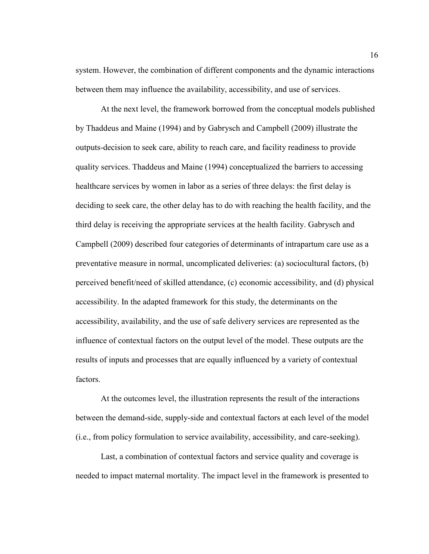system. However, the combination of different components and the dynamic interactions between them may influence the availability, accessibility, and use of services.

At the next level, the framework borrowed from the conceptual models published by Thaddeus and Maine (1994) and by Gabrysch and Campbell (2009) illustrate the outputs-decision to seek care, ability to reach care, and facility readiness to provide quality services. Thaddeus and Maine (1994) conceptualized the barriers to accessing healthcare services by women in labor as a series of three delays: the first delay is deciding to seek care, the other delay has to do with reaching the health facility, and the third delay is receiving the appropriate services at the health facility. Gabrysch and Campbell (2009) described four categories of determinants of intrapartum care use as a preventative measure in normal, uncomplicated deliveries: (a) sociocultural factors, (b) perceived benefit/need of skilled attendance, (c) economic accessibility, and (d) physical accessibility. In the adapted framework for this study, the determinants on the accessibility, availability, and the use of safe delivery services are represented as the influence of contextual factors on the output level of the model. These outputs are the results of inputs and processes that are equally influenced by a variety of contextual factors.

At the outcomes level, the illustration represents the result of the interactions between the demand-side, supply-side and contextual factors at each level of the model (i.e., from policy formulation to service availability, accessibility, and care-seeking).

Last, a combination of contextual factors and service quality and coverage is needed to impact maternal mortality. The impact level in the framework is presented to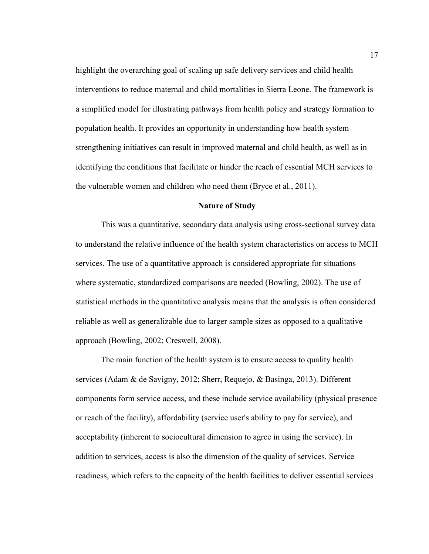highlight the overarching goal of scaling up safe delivery services and child health interventions to reduce maternal and child mortalities in Sierra Leone. The framework is a simplified model for illustrating pathways from health policy and strategy formation to population health. It provides an opportunity in understanding how health system strengthening initiatives can result in improved maternal and child health, as well as in identifying the conditions that facilitate or hinder the reach of essential MCH services to the vulnerable women and children who need them (Bryce et al., 2011).

#### **Nature of Study**

This was a quantitative, secondary data analysis using cross-sectional survey data to understand the relative influence of the health system characteristics on access to MCH services. The use of a quantitative approach is considered appropriate for situations where systematic, standardized comparisons are needed (Bowling, 2002). The use of statistical methods in the quantitative analysis means that the analysis is often considered reliable as well as generalizable due to larger sample sizes as opposed to a qualitative approach (Bowling, 2002; Creswell, 2008).

The main function of the health system is to ensure access to quality health services (Adam & de Savigny, 2012; Sherr, Requejo, & Basinga, 2013). Different components form service access, and these include service availability (physical presence or reach of the facility), affordability (service user's ability to pay for service), and acceptability (inherent to sociocultural dimension to agree in using the service). In addition to services, access is also the dimension of the quality of services. Service readiness, which refers to the capacity of the health facilities to deliver essential services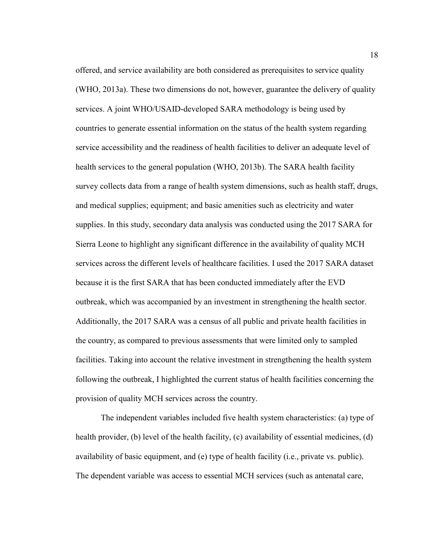offered, and service availability are both considered as prerequisites to service quality (WHO, 2013a). These two dimensions do not, however, guarantee the delivery of quality services. A joint WHO/USAID-developed SARA methodology is being used by countries to generate essential information on the status of the health system regarding service accessibility and the readiness of health facilities to deliver an adequate level of health services to the general population (WHO, 2013b). The SARA health facility survey collects data from a range of health system dimensions, such as health staff, drugs, and medical supplies; equipment; and basic amenities such as electricity and water supplies. In this study, secondary data analysis was conducted using the 2017 SARA for Sierra Leone to highlight any significant difference in the availability of quality MCH services across the different levels of healthcare facilities. I used the 2017 SARA dataset because it is the first SARA that has been conducted immediately after the EVD outbreak, which was accompanied by an investment in strengthening the health sector. Additionally, the 2017 SARA was a census of all public and private health facilities in the country, as compared to previous assessments that were limited only to sampled facilities. Taking into account the relative investment in strengthening the health system following the outbreak, I highlighted the current status of health facilities concerning the provision of quality MCH services across the country.

The independent variables included five health system characteristics: (a) type of health provider, (b) level of the health facility, (c) availability of essential medicines, (d) availability of basic equipment, and (e) type of health facility (i.e., private vs. public). The dependent variable was access to essential MCH services (such as antenatal care,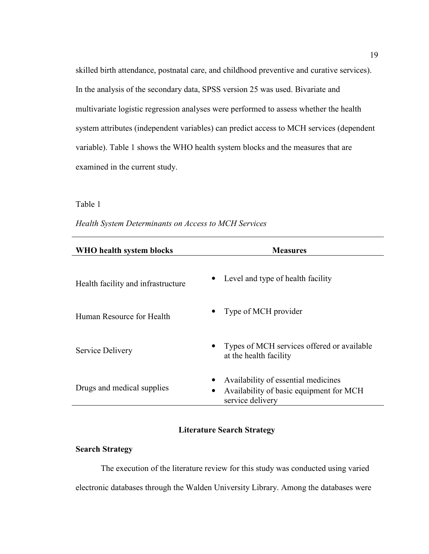skilled birth attendance, postnatal care, and childhood preventive and curative services). In the analysis of the secondary data, SPSS version 25 was used. Bivariate and multivariate logistic regression analyses were performed to assess whether the health system attributes (independent variables) can predict access to MCH services (dependent variable). Table 1 shows the WHO health system blocks and the measures that are examined in the current study.

#### Table 1

| Health System Determinants on Access to MCH Services |  |  |
|------------------------------------------------------|--|--|
|                                                      |  |  |

| WHO health system blocks                        | <b>Measures</b>                                                                                    |
|-------------------------------------------------|----------------------------------------------------------------------------------------------------|
| $\bullet$<br>Health facility and infrastructure | Level and type of health facility                                                                  |
| Human Resource for Health                       | Type of MCH provider                                                                               |
| Service Delivery                                | Types of MCH services offered or available<br>at the health facility                               |
| Drugs and medical supplies                      | Availability of essential medicines<br>Availability of basic equipment for MCH<br>service delivery |

#### **Literature Search Strategy**

#### **Search Strategy**

The execution of the literature review for this study was conducted using varied electronic databases through the Walden University Library. Among the databases were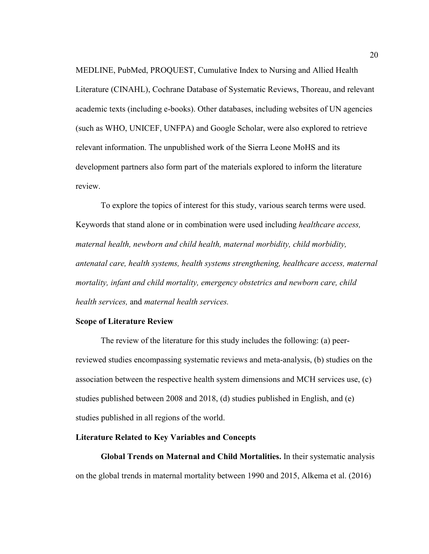MEDLINE, PubMed, PROQUEST, Cumulative Index to Nursing and Allied Health Literature (CINAHL), Cochrane Database of Systematic Reviews, Thoreau, and relevant academic texts (including e-books). Other databases, including websites of UN agencies (such as WHO, UNICEF, UNFPA) and Google Scholar, were also explored to retrieve relevant information. The unpublished work of the Sierra Leone MoHS and its development partners also form part of the materials explored to inform the literature review.

To explore the topics of interest for this study, various search terms were used. Keywords that stand alone or in combination were used including *healthcare access, maternal health, newborn and child health, maternal morbidity, child morbidity, antenatal care, health systems, health systems strengthening, healthcare access, maternal mortality, infant and child mortality, emergency obstetrics and newborn care, child health services,* and *maternal health services.*

#### **Scope of Literature Review**

The review of the literature for this study includes the following: (a) peerreviewed studies encompassing systematic reviews and meta-analysis, (b) studies on the association between the respective health system dimensions and MCH services use, (c) studies published between 2008 and 2018, (d) studies published in English, and (e) studies published in all regions of the world.

#### **Literature Related to Key Variables and Concepts**

**Global Trends on Maternal and Child Mortalities.** In their systematic analysis on the global trends in maternal mortality between 1990 and 2015, Alkema et al. (2016)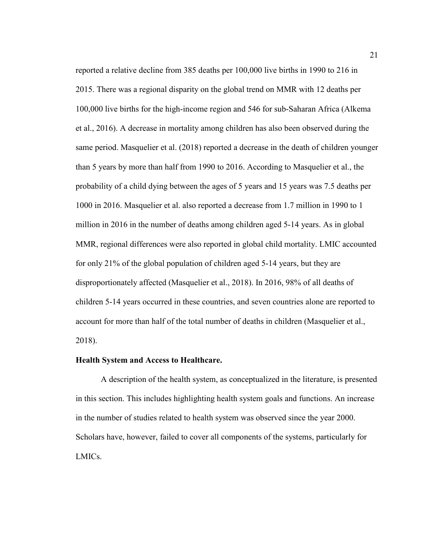reported a relative decline from 385 deaths per 100,000 live births in 1990 to 216 in 2015. There was a regional disparity on the global trend on MMR with 12 deaths per 100,000 live births for the high-income region and 546 for sub-Saharan Africa (Alkema et al., 2016). A decrease in mortality among children has also been observed during the same period. Masquelier et al. (2018) reported a decrease in the death of children younger than 5 years by more than half from 1990 to 2016. According to Masquelier et al., the probability of a child dying between the ages of 5 years and 15 years was 7.5 deaths per 1000 in 2016. Masquelier et al. also reported a decrease from 1.7 million in 1990 to 1 million in 2016 in the number of deaths among children aged 5-14 years. As in global MMR, regional differences were also reported in global child mortality. LMIC accounted for only 21% of the global population of children aged 5-14 years, but they are disproportionately affected (Masquelier et al., 2018). In 2016, 98% of all deaths of children 5-14 years occurred in these countries, and seven countries alone are reported to account for more than half of the total number of deaths in children (Masquelier et al., 2018).

#### **Health System and Access to Healthcare.**

A description of the health system, as conceptualized in the literature, is presented in this section. This includes highlighting health system goals and functions. An increase in the number of studies related to health system was observed since the year 2000. Scholars have, however, failed to cover all components of the systems, particularly for LMICs.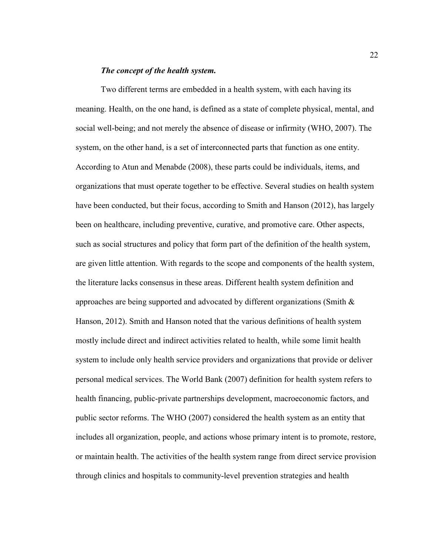#### *The concept of the health system.*

Two different terms are embedded in a health system, with each having its meaning. Health, on the one hand, is defined as a state of complete physical, mental, and social well-being; and not merely the absence of disease or infirmity (WHO, 2007). The system, on the other hand, is a set of interconnected parts that function as one entity. According to Atun and Menabde (2008), these parts could be individuals, items, and organizations that must operate together to be effective. Several studies on health system have been conducted, but their focus, according to Smith and Hanson (2012), has largely been on healthcare, including preventive, curative, and promotive care. Other aspects, such as social structures and policy that form part of the definition of the health system, are given little attention. With regards to the scope and components of the health system, the literature lacks consensus in these areas. Different health system definition and approaches are being supported and advocated by different organizations (Smith & Hanson, 2012). Smith and Hanson noted that the various definitions of health system mostly include direct and indirect activities related to health, while some limit health system to include only health service providers and organizations that provide or deliver personal medical services. The World Bank (2007) definition for health system refers to health financing, public-private partnerships development, macroeconomic factors, and public sector reforms. The WHO (2007) considered the health system as an entity that includes all organization, people, and actions whose primary intent is to promote, restore, or maintain health. The activities of the health system range from direct service provision through clinics and hospitals to community-level prevention strategies and health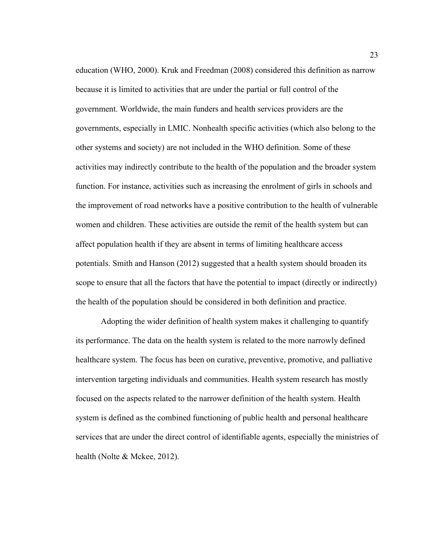education (WHO, 2000). Kruk and Freedman (2008) considered this definition as narrow because it is limited to activities that are under the partial or full control of the government. Worldwide, the main funders and health services providers are the governments, especially in LMIC. Nonhealth specific activities (which also belong to the other systems and society) are not included in the WHO definition. Some of these activities may indirectly contribute to the health of the population and the broader system function. For instance, activities such as increasing the enrolment of girls in schools and the improvement of road networks have a positive contribution to the health of vulnerable women and children. These activities are outside the remit of the health system but can affect population health if they are absent in terms of limiting healthcare access potentials. Smith and Hanson (2012) suggested that a health system should broaden its scope to ensure that all the factors that have the potential to impact (directly or indirectly) the health of the population should be considered in both definition and practice.

 Adopting the wider definition of health system makes it challenging to quantify its performance. The data on the health system is related to the more narrowly defined healthcare system. The focus has been on curative, preventive, promotive, and palliative intervention targeting individuals and communities. Health system research has mostly focused on the aspects related to the narrower definition of the health system. Health system is defined as the combined functioning of public health and personal healthcare services that are under the direct control of identifiable agents, especially the ministries of health (Nolte & Mckee, 2012).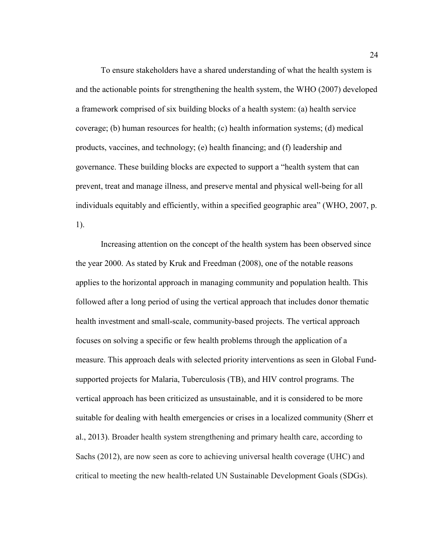To ensure stakeholders have a shared understanding of what the health system is and the actionable points for strengthening the health system, the WHO (2007) developed a framework comprised of six building blocks of a health system: (a) health service coverage; (b) human resources for health; (c) health information systems; (d) medical products, vaccines, and technology; (e) health financing; and (f) leadership and governance. These building blocks are expected to support a "health system that can prevent, treat and manage illness, and preserve mental and physical well-being for all individuals equitably and efficiently, within a specified geographic area" (WHO, 2007, p. 1).

Increasing attention on the concept of the health system has been observed since the year 2000. As stated by Kruk and Freedman (2008), one of the notable reasons applies to the horizontal approach in managing community and population health. This followed after a long period of using the vertical approach that includes donor thematic health investment and small-scale, community-based projects. The vertical approach focuses on solving a specific or few health problems through the application of a measure. This approach deals with selected priority interventions as seen in Global Fundsupported projects for Malaria, Tuberculosis (TB), and HIV control programs. The vertical approach has been criticized as unsustainable, and it is considered to be more suitable for dealing with health emergencies or crises in a localized community (Sherr et al., 2013). Broader health system strengthening and primary health care, according to Sachs (2012), are now seen as core to achieving universal health coverage (UHC) and critical to meeting the new health-related UN Sustainable Development Goals (SDGs).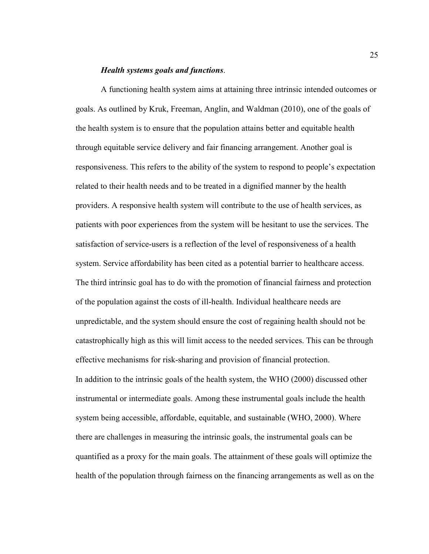#### *Health systems goals and functions*.

A functioning health system aims at attaining three intrinsic intended outcomes or goals. As outlined by Kruk, Freeman, Anglin, and Waldman (2010), one of the goals of the health system is to ensure that the population attains better and equitable health through equitable service delivery and fair financing arrangement. Another goal is responsiveness. This refers to the ability of the system to respond to people's expectation related to their health needs and to be treated in a dignified manner by the health providers. A responsive health system will contribute to the use of health services, as patients with poor experiences from the system will be hesitant to use the services. The satisfaction of service-users is a reflection of the level of responsiveness of a health system. Service affordability has been cited as a potential barrier to healthcare access. The third intrinsic goal has to do with the promotion of financial fairness and protection of the population against the costs of ill-health. Individual healthcare needs are unpredictable, and the system should ensure the cost of regaining health should not be catastrophically high as this will limit access to the needed services. This can be through effective mechanisms for risk-sharing and provision of financial protection. In addition to the intrinsic goals of the health system, the WHO (2000) discussed other instrumental or intermediate goals. Among these instrumental goals include the health system being accessible, affordable, equitable, and sustainable (WHO, 2000). Where there are challenges in measuring the intrinsic goals, the instrumental goals can be quantified as a proxy for the main goals. The attainment of these goals will optimize the health of the population through fairness on the financing arrangements as well as on the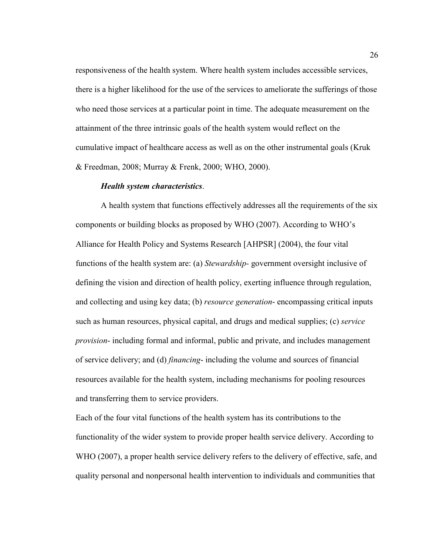responsiveness of the health system. Where health system includes accessible services, there is a higher likelihood for the use of the services to ameliorate the sufferings of those who need those services at a particular point in time. The adequate measurement on the attainment of the three intrinsic goals of the health system would reflect on the cumulative impact of healthcare access as well as on the other instrumental goals (Kruk & Freedman, 2008; Murray & Frenk, 2000; WHO, 2000).

#### *Health system characteristics*.

A health system that functions effectively addresses all the requirements of the six components or building blocks as proposed by WHO (2007). According to WHO's Alliance for Health Policy and Systems Research [AHPSR] (2004), the four vital functions of the health system are: (a) *Stewardship-* government oversight inclusive of defining the vision and direction of health policy, exerting influence through regulation, and collecting and using key data; (b) *resource generation*- encompassing critical inputs such as human resources, physical capital, and drugs and medical supplies; (c) *service provision*- including formal and informal, public and private, and includes management of service delivery; and (d) *financing*- including the volume and sources of financial resources available for the health system, including mechanisms for pooling resources and transferring them to service providers.

Each of the four vital functions of the health system has its contributions to the functionality of the wider system to provide proper health service delivery. According to WHO (2007), a proper health service delivery refers to the delivery of effective, safe, and quality personal and nonpersonal health intervention to individuals and communities that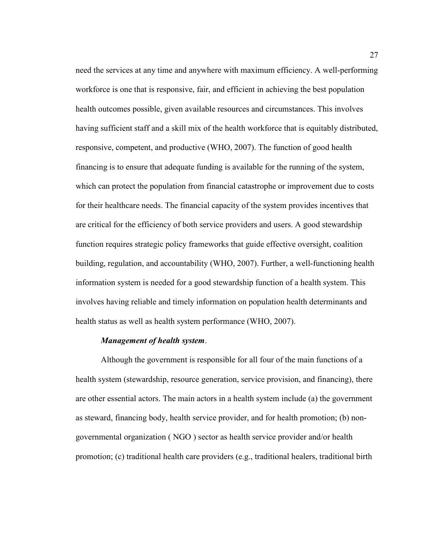need the services at any time and anywhere with maximum efficiency. A well-performing workforce is one that is responsive, fair, and efficient in achieving the best population health outcomes possible, given available resources and circumstances. This involves having sufficient staff and a skill mix of the health workforce that is equitably distributed, responsive, competent, and productive (WHO, 2007). The function of good health financing is to ensure that adequate funding is available for the running of the system, which can protect the population from financial catastrophe or improvement due to costs for their healthcare needs. The financial capacity of the system provides incentives that are critical for the efficiency of both service providers and users. A good stewardship function requires strategic policy frameworks that guide effective oversight, coalition building, regulation, and accountability (WHO, 2007). Further, a well-functioning health information system is needed for a good stewardship function of a health system. This involves having reliable and timely information on population health determinants and health status as well as health system performance (WHO, 2007).

#### *Management of health system*.

Although the government is responsible for all four of the main functions of a health system (stewardship, resource generation, service provision, and financing), there are other essential actors. The main actors in a health system include (a) the government as steward, financing body, health service provider, and for health promotion; (b) nongovernmental organization ( NGO ) sector as health service provider and/or health promotion; (c) traditional health care providers (e.g., traditional healers, traditional birth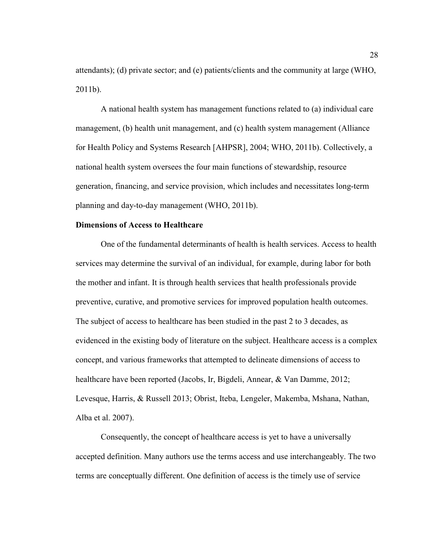attendants); (d) private sector; and (e) patients/clients and the community at large (WHO, 2011b).

A national health system has management functions related to (a) individual care management, (b) health unit management, and (c) health system management (Alliance for Health Policy and Systems Research [AHPSR], 2004; WHO, 2011b). Collectively, a national health system oversees the four main functions of stewardship, resource generation, financing, and service provision, which includes and necessitates long-term planning and day-to-day management (WHO, 2011b).

## **Dimensions of Access to Healthcare**

One of the fundamental determinants of health is health services. Access to health services may determine the survival of an individual, for example, during labor for both the mother and infant. It is through health services that health professionals provide preventive, curative, and promotive services for improved population health outcomes. The subject of access to healthcare has been studied in the past 2 to 3 decades, as evidenced in the existing body of literature on the subject. Healthcare access is a complex concept, and various frameworks that attempted to delineate dimensions of access to healthcare have been reported (Jacobs, Ir, Bigdeli, Annear, & Van Damme, 2012; Levesque, Harris, & Russell 2013; Obrist, Iteba, Lengeler, Makemba, Mshana, Nathan, Alba et al. 2007).

Consequently, the concept of healthcare access is yet to have a universally accepted definition. Many authors use the terms access and use interchangeably. The two terms are conceptually different. One definition of access is the timely use of service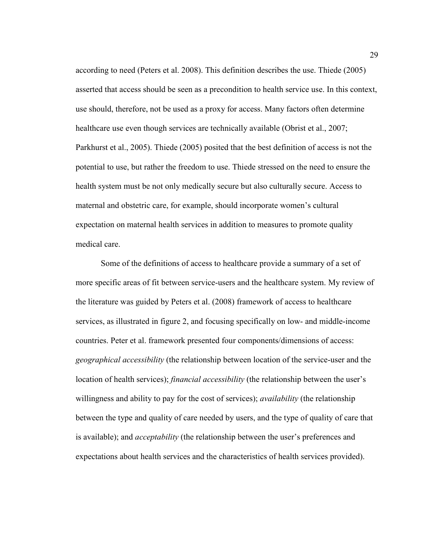according to need (Peters et al. 2008). This definition describes the use. Thiede (2005) asserted that access should be seen as a precondition to health service use. In this context, use should, therefore, not be used as a proxy for access. Many factors often determine healthcare use even though services are technically available (Obrist et al., 2007; Parkhurst et al., 2005). Thiede (2005) posited that the best definition of access is not the potential to use, but rather the freedom to use. Thiede stressed on the need to ensure the health system must be not only medically secure but also culturally secure. Access to maternal and obstetric care, for example, should incorporate women's cultural expectation on maternal health services in addition to measures to promote quality medical care.

Some of the definitions of access to healthcare provide a summary of a set of more specific areas of fit between service-users and the healthcare system. My review of the literature was guided by Peters et al. (2008) framework of access to healthcare services, as illustrated in figure 2, and focusing specifically on low- and middle-income countries. Peter et al. framework presented four components/dimensions of access: *geographical accessibility* (the relationship between location of the service-user and the location of health services); *financial accessibility* (the relationship between the user's willingness and ability to pay for the cost of services); *availability* (the relationship between the type and quality of care needed by users, and the type of quality of care that is available); and *acceptability* (the relationship between the user's preferences and expectations about health services and the characteristics of health services provided).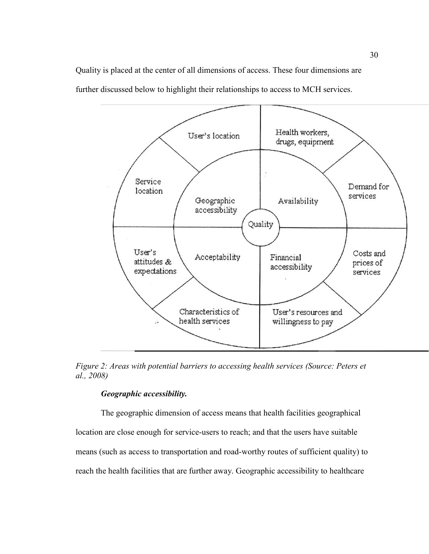Quality is placed at the center of all dimensions of access. These four dimensions are further discussed below to highlight their relationships to access to MCH services.



*Figure 2: Areas with potential barriers to accessing health services (Source: Peters et al., 2008)* 

# *Geographic accessibility.*

The geographic dimension of access means that health facilities geographical location are close enough for service-users to reach; and that the users have suitable means (such as access to transportation and road-worthy routes of sufficient quality) to reach the health facilities that are further away. Geographic accessibility to healthcare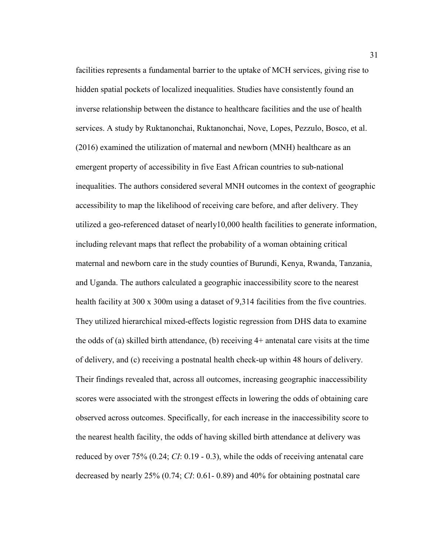facilities represents a fundamental barrier to the uptake of MCH services, giving rise to hidden spatial pockets of localized inequalities. Studies have consistently found an inverse relationship between the distance to healthcare facilities and the use of health services. A study by Ruktanonchai, Ruktanonchai, Nove, Lopes, Pezzulo, Bosco, et al. (2016) examined the utilization of maternal and newborn (MNH) healthcare as an emergent property of accessibility in five East African countries to sub-national inequalities. The authors considered several MNH outcomes in the context of geographic accessibility to map the likelihood of receiving care before, and after delivery. They utilized a geo-referenced dataset of nearly10,000 health facilities to generate information, including relevant maps that reflect the probability of a woman obtaining critical maternal and newborn care in the study counties of Burundi, Kenya, Rwanda, Tanzania, and Uganda. The authors calculated a geographic inaccessibility score to the nearest health facility at 300 x 300m using a dataset of 9,314 facilities from the five countries. They utilized hierarchical mixed-effects logistic regression from DHS data to examine the odds of (a) skilled birth attendance, (b) receiving 4+ antenatal care visits at the time of delivery, and (c) receiving a postnatal health check-up within 48 hours of delivery. Their findings revealed that, across all outcomes, increasing geographic inaccessibility scores were associated with the strongest effects in lowering the odds of obtaining care observed across outcomes. Specifically, for each increase in the inaccessibility score to the nearest health facility, the odds of having skilled birth attendance at delivery was reduced by over 75% (0.24; *CI*: 0.19 - 0.3), while the odds of receiving antenatal care decreased by nearly 25% (0.74; *CI*: 0.61- 0.89) and 40% for obtaining postnatal care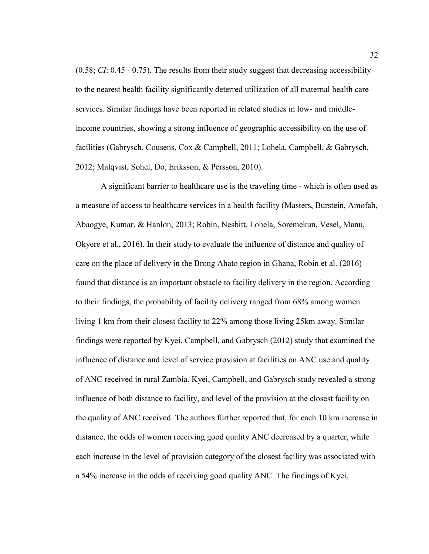(0.58; *CI*: 0.45 - 0.75). The results from their study suggest that decreasing accessibility to the nearest health facility significantly deterred utilization of all maternal health care services. Similar findings have been reported in related studies in low- and middleincome countries, showing a strong influence of geographic accessibility on the use of facilities (Gabrysch, Cousens, Cox & Campbell, 2011; Lohela, Campbell, & Gabrysch, 2012; Malqvist, Sohel, Do, Eriksson, & Persson, 2010).

A significant barrier to healthcare use is the traveling time - which is often used as a measure of access to healthcare services in a health facility (Masters, Burstein, Amofah, Abaogye, Kumar, & Hanlon, 2013; Robin, Nesbitt, Lohela, Soremekun, Vesel, Manu, Okyere et al., 2016). In their study to evaluate the influence of distance and quality of care on the place of delivery in the Brong Ahato region in Ghana, Robin et al. (2016) found that distance is an important obstacle to facility delivery in the region. According to their findings, the probability of facility delivery ranged from 68% among women living 1 km from their closest facility to 22% among those living 25km away. Similar findings were reported by Kyei, Campbell, and Gabrysch (2012) study that examined the influence of distance and level of service provision at facilities on ANC use and quality of ANC received in rural Zambia. Kyei, Campbell, and Gabrysch study revealed a strong influence of both distance to facility, and level of the provision at the closest facility on the quality of ANC received. The authors further reported that, for each 10 km increase in distance, the odds of women receiving good quality ANC decreased by a quarter, while each increase in the level of provision category of the closest facility was associated with a 54% increase in the odds of receiving good quality ANC. The findings of Kyei,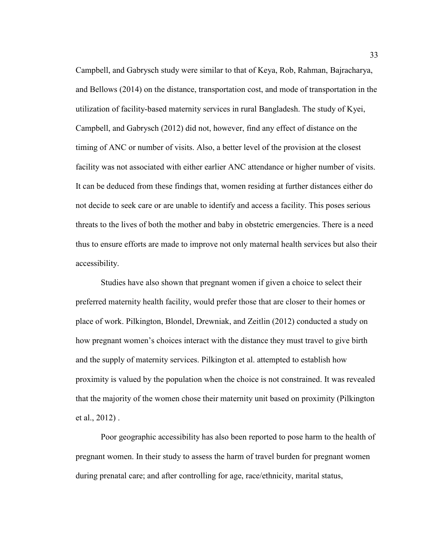Campbell, and Gabrysch study were similar to that of Keya, Rob, Rahman, Bajracharya, and Bellows (2014) on the distance, transportation cost, and mode of transportation in the utilization of facility-based maternity services in rural Bangladesh. The study of Kyei, Campbell, and Gabrysch (2012) did not, however, find any effect of distance on the timing of ANC or number of visits. Also, a better level of the provision at the closest facility was not associated with either earlier ANC attendance or higher number of visits. It can be deduced from these findings that, women residing at further distances either do not decide to seek care or are unable to identify and access a facility. This poses serious threats to the lives of both the mother and baby in obstetric emergencies. There is a need thus to ensure efforts are made to improve not only maternal health services but also their accessibility.

Studies have also shown that pregnant women if given a choice to select their preferred maternity health facility, would prefer those that are closer to their homes or place of work. Pilkington, Blondel, Drewniak, and Zeitlin (2012) conducted a study on how pregnant women's choices interact with the distance they must travel to give birth and the supply of maternity services. Pilkington et al. attempted to establish how proximity is valued by the population when the choice is not constrained. It was revealed that the majority of the women chose their maternity unit based on proximity (Pilkington et al., 2012) .

Poor geographic accessibility has also been reported to pose harm to the health of pregnant women. In their study to assess the harm of travel burden for pregnant women during prenatal care; and after controlling for age, race/ethnicity, marital status,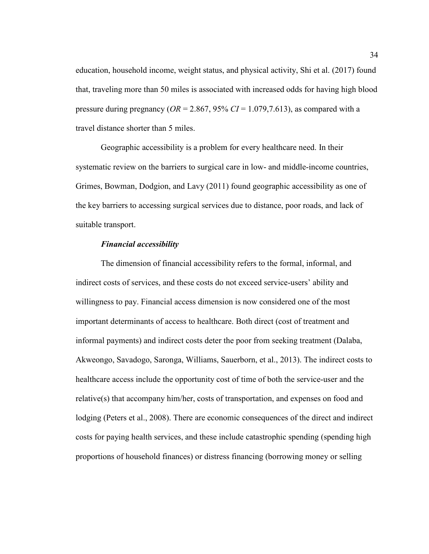education, household income, weight status, and physical activity, Shi et al. (2017) found that, traveling more than 50 miles is associated with increased odds for having high blood pressure during pregnancy (*OR* = 2.867, 95% *CI* = 1.079,7.613), as compared with a travel distance shorter than 5 miles.

Geographic accessibility is a problem for every healthcare need. In their systematic review on the barriers to surgical care in low- and middle-income countries, Grimes, Bowman, Dodgion, and Lavy (2011) found geographic accessibility as one of the key barriers to accessing surgical services due to distance, poor roads, and lack of suitable transport.

### *Financial accessibility*

The dimension of financial accessibility refers to the formal, informal, and indirect costs of services, and these costs do not exceed service-users' ability and willingness to pay. Financial access dimension is now considered one of the most important determinants of access to healthcare. Both direct (cost of treatment and informal payments) and indirect costs deter the poor from seeking treatment (Dalaba, Akweongo, Savadogo, Saronga, Williams, Sauerborn, et al., 2013). The indirect costs to healthcare access include the opportunity cost of time of both the service-user and the relative(s) that accompany him/her, costs of transportation, and expenses on food and lodging (Peters et al., 2008). There are economic consequences of the direct and indirect costs for paying health services, and these include catastrophic spending (spending high proportions of household finances) or distress financing (borrowing money or selling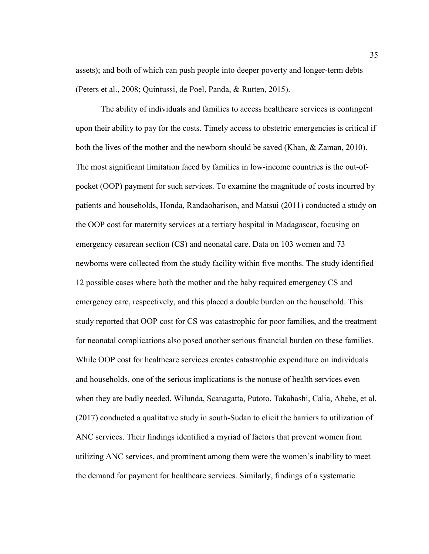assets); and both of which can push people into deeper poverty and longer-term debts (Peters et al., 2008; Quintussi, de Poel, Panda, & Rutten, 2015).

The ability of individuals and families to access healthcare services is contingent upon their ability to pay for the costs. Timely access to obstetric emergencies is critical if both the lives of the mother and the newborn should be saved (Khan, & Zaman, 2010). The most significant limitation faced by families in low-income countries is the out-ofpocket (OOP) payment for such services. To examine the magnitude of costs incurred by patients and households, Honda, Randaoharison, and Matsui (2011) conducted a study on the OOP cost for maternity services at a tertiary hospital in Madagascar, focusing on emergency cesarean section (CS) and neonatal care. Data on 103 women and 73 newborns were collected from the study facility within five months. The study identified 12 possible cases where both the mother and the baby required emergency CS and emergency care, respectively, and this placed a double burden on the household. This study reported that OOP cost for CS was catastrophic for poor families, and the treatment for neonatal complications also posed another serious financial burden on these families. While OOP cost for healthcare services creates catastrophic expenditure on individuals and households, one of the serious implications is the nonuse of health services even when they are badly needed. Wilunda, Scanagatta, Putoto, Takahashi, Calia, Abebe, et al. (2017) conducted a qualitative study in south-Sudan to elicit the barriers to utilization of ANC services. Their findings identified a myriad of factors that prevent women from utilizing ANC services, and prominent among them were the women's inability to meet the demand for payment for healthcare services. Similarly, findings of a systematic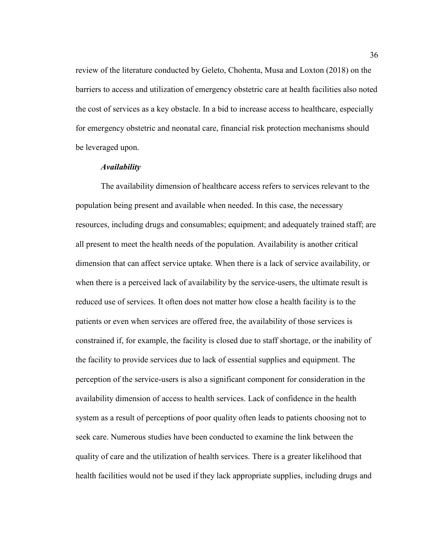review of the literature conducted by Geleto, Chohenta, Musa and Loxton (2018) on the barriers to access and utilization of emergency obstetric care at health facilities also noted the cost of services as a key obstacle. In a bid to increase access to healthcare, especially for emergency obstetric and neonatal care, financial risk protection mechanisms should be leveraged upon.

## *Availability*

The availability dimension of healthcare access refers to services relevant to the population being present and available when needed. In this case, the necessary resources, including drugs and consumables; equipment; and adequately trained staff; are all present to meet the health needs of the population. Availability is another critical dimension that can affect service uptake. When there is a lack of service availability, or when there is a perceived lack of availability by the service-users, the ultimate result is reduced use of services. It often does not matter how close a health facility is to the patients or even when services are offered free, the availability of those services is constrained if, for example, the facility is closed due to staff shortage, or the inability of the facility to provide services due to lack of essential supplies and equipment. The perception of the service-users is also a significant component for consideration in the availability dimension of access to health services. Lack of confidence in the health system as a result of perceptions of poor quality often leads to patients choosing not to seek care. Numerous studies have been conducted to examine the link between the quality of care and the utilization of health services. There is a greater likelihood that health facilities would not be used if they lack appropriate supplies, including drugs and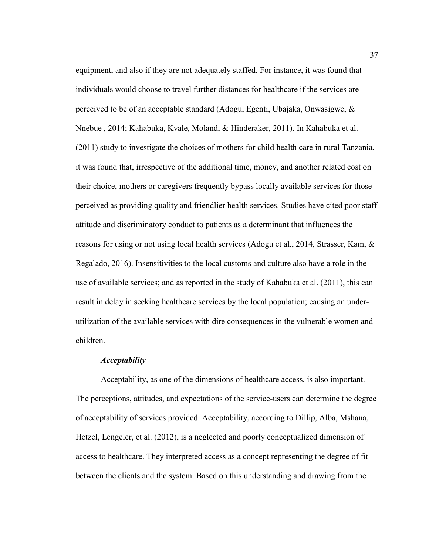equipment, and also if they are not adequately staffed. For instance, it was found that individuals would choose to travel further distances for healthcare if the services are perceived to be of an acceptable standard (Adogu, Egenti, Ubajaka, Onwasigwe, & Nnebue , 2014; Kahabuka, Kvale, Moland, & Hinderaker, 2011). In Kahabuka et al. (2011) study to investigate the choices of mothers for child health care in rural Tanzania, it was found that, irrespective of the additional time, money, and another related cost on their choice, mothers or caregivers frequently bypass locally available services for those perceived as providing quality and friendlier health services. Studies have cited poor staff attitude and discriminatory conduct to patients as a determinant that influences the reasons for using or not using local health services (Adogu et al., 2014, Strasser, Kam, & Regalado, 2016). Insensitivities to the local customs and culture also have a role in the use of available services; and as reported in the study of Kahabuka et al. (2011), this can result in delay in seeking healthcare services by the local population; causing an underutilization of the available services with dire consequences in the vulnerable women and children.

# *Acceptability*

Acceptability, as one of the dimensions of healthcare access, is also important. The perceptions, attitudes, and expectations of the service-users can determine the degree of acceptability of services provided. Acceptability, according to Dillip, Alba, Mshana, Hetzel, Lengeler, et al. (2012), is a neglected and poorly conceptualized dimension of access to healthcare. They interpreted access as a concept representing the degree of fit between the clients and the system. Based on this understanding and drawing from the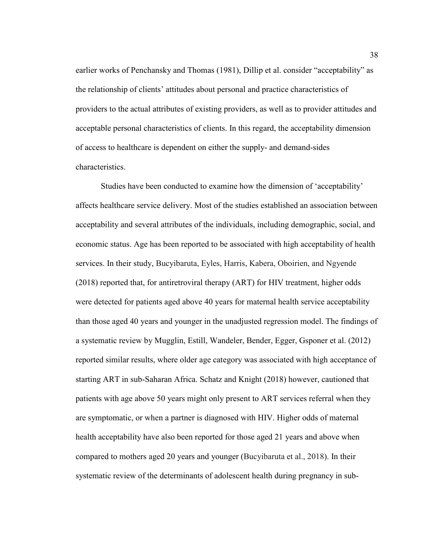earlier works of Penchansky and Thomas (1981), Dillip et al. consider "acceptability" as the relationship of clients' attitudes about personal and practice characteristics of providers to the actual attributes of existing providers, as well as to provider attitudes and acceptable personal characteristics of clients. In this regard, the acceptability dimension of access to healthcare is dependent on either the supply- and demand-sides characteristics.

Studies have been conducted to examine how the dimension of 'acceptability' affects healthcare service delivery. Most of the studies established an association between acceptability and several attributes of the individuals, including demographic, social, and economic status. Age has been reported to be associated with high acceptability of health services. In their study, Bucyibaruta, Eyles, Harris, Kabera, Oboirien, and Ngyende (2018) reported that, for antiretroviral therapy (ART) for HIV treatment, higher odds were detected for patients aged above 40 years for maternal health service acceptability than those aged 40 years and younger in the unadjusted regression model. The findings of a systematic review by Mugglin, Estill, Wandeler, Bender, Egger, Gsponer et al. (2012) reported similar results, where older age category was associated with high acceptance of starting ART in sub-Saharan Africa. Schatz and Knight (2018) however, cautioned that patients with age above 50 years might only present to ART services referral when they are symptomatic, or when a partner is diagnosed with HIV. Higher odds of maternal health acceptability have also been reported for those aged 21 years and above when compared to mothers aged 20 years and younger (Bucyibaruta et al., 2018). In their systematic review of the determinants of adolescent health during pregnancy in sub-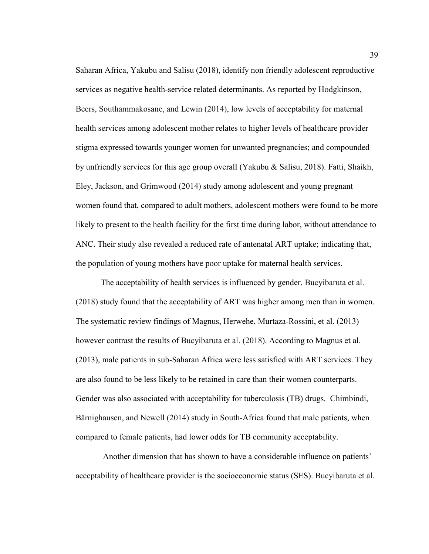Saharan Africa, Yakubu and Salisu (2018), identify non friendly adolescent reproductive services as negative health-service related determinants. As reported by Hodgkinson, Beers, Southammakosane, and Lewin (2014), low levels of acceptability for maternal health services among adolescent mother relates to higher levels of healthcare provider stigma expressed towards younger women for unwanted pregnancies; and compounded by unfriendly services for this age group overall (Yakubu & Salisu, 2018). Fatti, Shaikh, Eley, Jackson, and Grimwood (2014) study among adolescent and young pregnant women found that, compared to adult mothers, adolescent mothers were found to be more likely to present to the health facility for the first time during labor, without attendance to ANC. Their study also revealed a reduced rate of antenatal ART uptake; indicating that, the population of young mothers have poor uptake for maternal health services.

The acceptability of health services is influenced by gender. Bucyibaruta et al. (2018) study found that the acceptability of ART was higher among men than in women. The systematic review findings of Magnus, Herwehe, Murtaza-Rossini, et al. (2013) however contrast the results of Bucyibaruta et al. (2018). According to Magnus et al. (2013), male patients in sub-Saharan Africa were less satisfied with ART services. They are also found to be less likely to be retained in care than their women counterparts. Gender was also associated with acceptability for tuberculosis (TB) drugs. Chimbindi, Bärnighausen, and Newell (2014) study in South-Africa found that male patients, when compared to female patients, had lower odds for TB community acceptability.

 Another dimension that has shown to have a considerable influence on patients' acceptability of healthcare provider is the socioeconomic status (SES). Bucyibaruta et al.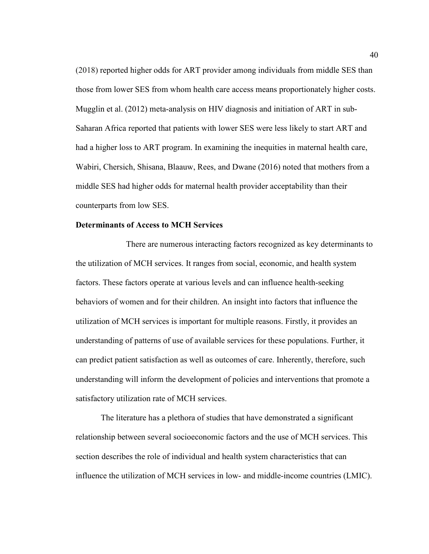(2018) reported higher odds for ART provider among individuals from middle SES than those from lower SES from whom health care access means proportionately higher costs. Mugglin et al. (2012) meta-analysis on HIV diagnosis and initiation of ART in sub-Saharan Africa reported that patients with lower SES were less likely to start ART and had a higher loss to ART program. In examining the inequities in maternal health care, Wabiri, Chersich, Shisana, Blaauw, Rees, and Dwane (2016) noted that mothers from a middle SES had higher odds for maternal health provider acceptability than their counterparts from low SES.

# **Determinants of Access to MCH Services**

There are numerous interacting factors recognized as key determinants to the utilization of MCH services. It ranges from social, economic, and health system factors. These factors operate at various levels and can influence health-seeking behaviors of women and for their children. An insight into factors that influence the utilization of MCH services is important for multiple reasons. Firstly, it provides an understanding of patterns of use of available services for these populations. Further, it can predict patient satisfaction as well as outcomes of care. Inherently, therefore, such understanding will inform the development of policies and interventions that promote a satisfactory utilization rate of MCH services.

The literature has a plethora of studies that have demonstrated a significant relationship between several socioeconomic factors and the use of MCH services. This section describes the role of individual and health system characteristics that can influence the utilization of MCH services in low- and middle-income countries (LMIC).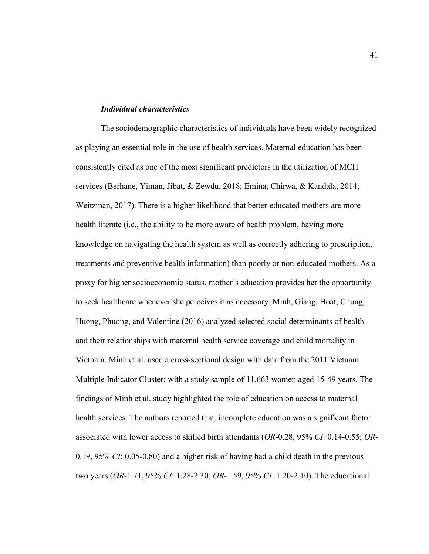# *Individual characteristics*

The sociodemographic characteristics of individuals have been widely recognized as playing an essential role in the use of health services. Maternal education has been consistently cited as one of the most significant predictors in the utilization of MCH services (Berhane, Yiman, Jibat, & Zewdu, 2018; Emina, Chirwa, & Kandala, 2014; Weitzman, 2017). There is a higher likelihood that better-educated mothers are more health literate (i.e., the ability to be more aware of health problem, having more knowledge on navigating the health system as well as correctly adhering to prescription, treatments and preventive health information) than poorly or non-educated mothers. As a proxy for higher socioeconomic status, mother's education provides her the opportunity to seek healthcare whenever she perceives it as necessary. Minh, Giang, Hoat, Chung, Huong, Phuong, and Valentine (2016) analyzed selected social determinants of health and their relationships with maternal health service coverage and child mortality in Vietnam. Minh et al. used a cross-sectional design with data from the 2011 Vietnam Multiple Indicator Cluster; with a study sample of 11,663 women aged 15-49 years. The findings of Minh et al. study highlighted the role of education on access to maternal health services. The authors reported that, incomplete education was a significant factor associated with lower access to skilled birth attendants (*OR*-0.28, 95% *CI*: 0.14-0.55; *OR*-0.19, 95% *CI*: 0.05-0.80) and a higher risk of having had a child death in the previous two years (*OR*-1.71, 95% *CI*: 1.28-2.30; *OR*-1.59, 95% *CI*: 1.20-2.10). The educational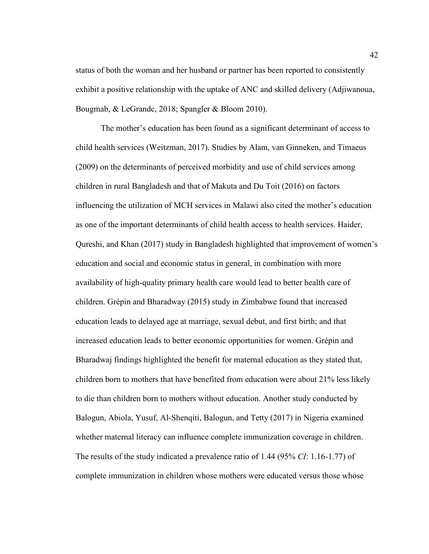status of both the woman and her husband or partner has been reported to consistently exhibit a positive relationship with the uptake of ANC and skilled delivery (Adjiwanoua, Bougmab, & LeGrandc, 2018; Spangler & Bloom 2010).

The mother's education has been found as a significant determinant of access to child health services (Weitzman, 2017). Studies by Alam, van Ginneken, and Timaeus (2009) on the determinants of perceived morbidity and use of child services among children in rural Bangladesh and that of Makuta and Du Toit (2016) on factors influencing the utilization of MCH services in Malawi also cited the mother's education as one of the important determinants of child health access to health services. Haider, Qureshi, and Khan (2017) study in Bangladesh highlighted that improvement of women's education and social and economic status in general, in combination with more availability of high-quality primary health care would lead to better health care of children. Grépin and Bharadway (2015) study in Zimbabwe found that increased education leads to delayed age at marriage, sexual debut, and first birth; and that increased education leads to better economic opportunities for women. Grépin and Bharadwaj findings highlighted the benefit for maternal education as they stated that, children born to mothers that have benefited from education were about 21% less likely to die than children born to mothers without education. Another study conducted by Balogun, Abiola, Yusuf, Al-Shenqiti, Balogun, and Tetty (2017) in Nigeria examined whether maternal literacy can influence complete immunization coverage in children. The results of the study indicated a prevalence ratio of 1.44 (95% *CI*: 1.16-1.77) of complete immunization in children whose mothers were educated versus those whose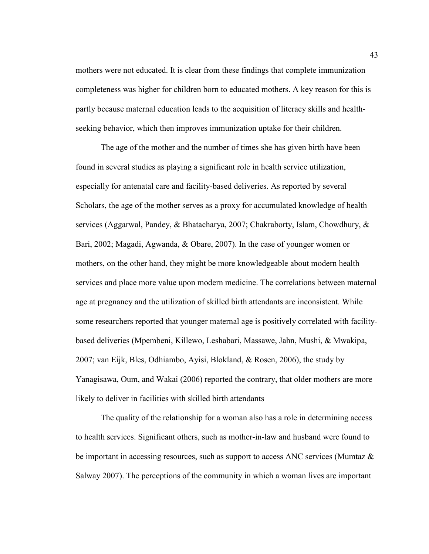mothers were not educated. It is clear from these findings that complete immunization completeness was higher for children born to educated mothers. A key reason for this is partly because maternal education leads to the acquisition of literacy skills and healthseeking behavior, which then improves immunization uptake for their children.

The age of the mother and the number of times she has given birth have been found in several studies as playing a significant role in health service utilization, especially for antenatal care and facility-based deliveries. As reported by several Scholars, the age of the mother serves as a proxy for accumulated knowledge of health services (Aggarwal, Pandey, & Bhatacharya, 2007; Chakraborty, Islam, Chowdhury, & Bari, 2002; Magadi, Agwanda, & Obare, 2007). In the case of younger women or mothers, on the other hand, they might be more knowledgeable about modern health services and place more value upon modern medicine. The correlations between maternal age at pregnancy and the utilization of skilled birth attendants are inconsistent. While some researchers reported that younger maternal age is positively correlated with facilitybased deliveries (Mpembeni, Killewo, Leshabari, Massawe, Jahn, Mushi, & Mwakipa, 2007; van Eijk, Bles, Odhiambo, Ayisi, Blokland, & Rosen, 2006), the study by Yanagisawa, Oum, and Wakai (2006) reported the contrary, that older mothers are more likely to deliver in facilities with skilled birth attendants

The quality of the relationship for a woman also has a role in determining access to health services. Significant others, such as mother-in-law and husband were found to be important in accessing resources, such as support to access ANC services (Mumtaz & Salway 2007). The perceptions of the community in which a woman lives are important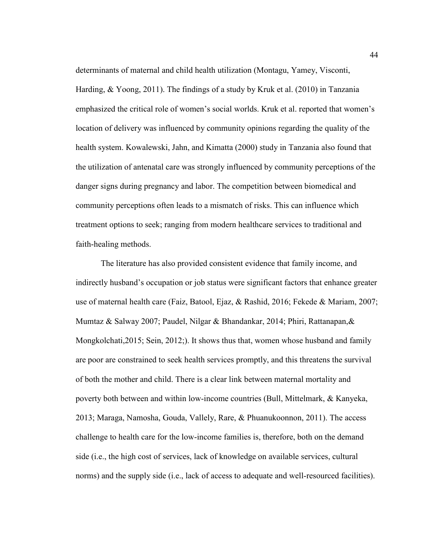determinants of maternal and child health utilization (Montagu, Yamey, Visconti, Harding, & Yoong, 2011). The findings of a study by Kruk et al. (2010) in Tanzania emphasized the critical role of women's social worlds. Kruk et al. reported that women's location of delivery was influenced by community opinions regarding the quality of the health system. Kowalewski, Jahn, and Kimatta (2000) study in Tanzania also found that the utilization of antenatal care was strongly influenced by community perceptions of the danger signs during pregnancy and labor. The competition between biomedical and community perceptions often leads to a mismatch of risks. This can influence which treatment options to seek; ranging from modern healthcare services to traditional and faith-healing methods.

The literature has also provided consistent evidence that family income, and indirectly husband's occupation or job status were significant factors that enhance greater use of maternal health care (Faiz, Batool, Ejaz, & Rashid, 2016; Fekede & Mariam, 2007; Mumtaz & Salway 2007; Paudel, Nilgar & Bhandankar, 2014; Phiri, Rattanapan,& Mongkolchati,2015; Sein, 2012;). It shows thus that, women whose husband and family are poor are constrained to seek health services promptly, and this threatens the survival of both the mother and child. There is a clear link between maternal mortality and poverty both between and within low-income countries (Bull, Mittelmark, & Kanyeka, 2013; Maraga, Namosha, Gouda, Vallely, Rare, & Phuanukoonnon, 2011). The access challenge to health care for the low-income families is, therefore, both on the demand side (i.e., the high cost of services, lack of knowledge on available services, cultural norms) and the supply side (i.e., lack of access to adequate and well-resourced facilities).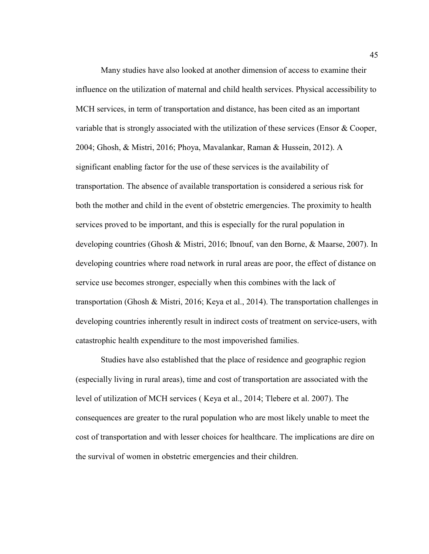Many studies have also looked at another dimension of access to examine their influence on the utilization of maternal and child health services. Physical accessibility to MCH services, in term of transportation and distance, has been cited as an important variable that is strongly associated with the utilization of these services (Ensor & Cooper, 2004; Ghosh, & Mistri, 2016; Phoya, Mavalankar, Raman & Hussein, 2012). A significant enabling factor for the use of these services is the availability of transportation. The absence of available transportation is considered a serious risk for both the mother and child in the event of obstetric emergencies. The proximity to health services proved to be important, and this is especially for the rural population in developing countries (Ghosh & Mistri, 2016; Ibnouf, van den Borne, & Maarse, 2007). In developing countries where road network in rural areas are poor, the effect of distance on service use becomes stronger, especially when this combines with the lack of transportation (Ghosh & Mistri, 2016; Keya et al., 2014). The transportation challenges in developing countries inherently result in indirect costs of treatment on service-users, with catastrophic health expenditure to the most impoverished families.

Studies have also established that the place of residence and geographic region (especially living in rural areas), time and cost of transportation are associated with the level of utilization of MCH services ( Keya et al., 2014; Tlebere et al. 2007). The consequences are greater to the rural population who are most likely unable to meet the cost of transportation and with lesser choices for healthcare. The implications are dire on the survival of women in obstetric emergencies and their children.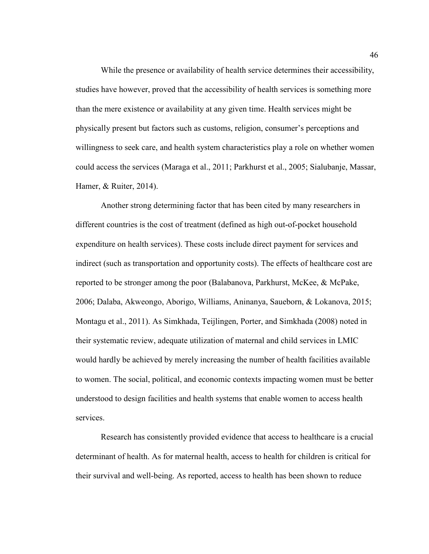While the presence or availability of health service determines their accessibility, studies have however, proved that the accessibility of health services is something more than the mere existence or availability at any given time. Health services might be physically present but factors such as customs, religion, consumer's perceptions and willingness to seek care, and health system characteristics play a role on whether women could access the services (Maraga et al., 2011; Parkhurst et al., 2005; Sialubanje, Massar, Hamer, & Ruiter, 2014).

Another strong determining factor that has been cited by many researchers in different countries is the cost of treatment (defined as high out-of-pocket household expenditure on health services). These costs include direct payment for services and indirect (such as transportation and opportunity costs). The effects of healthcare cost are reported to be stronger among the poor (Balabanova, Parkhurst, McKee, & McPake, 2006; Dalaba, Akweongo, Aborigo, Williams, Aninanya, Saueborn, & Lokanova, 2015; Montagu et al., 2011). As Simkhada, Teijlingen, Porter, and Simkhada (2008) noted in their systematic review, adequate utilization of maternal and child services in LMIC would hardly be achieved by merely increasing the number of health facilities available to women. The social, political, and economic contexts impacting women must be better understood to design facilities and health systems that enable women to access health services.

Research has consistently provided evidence that access to healthcare is a crucial determinant of health. As for maternal health, access to health for children is critical for their survival and well-being. As reported, access to health has been shown to reduce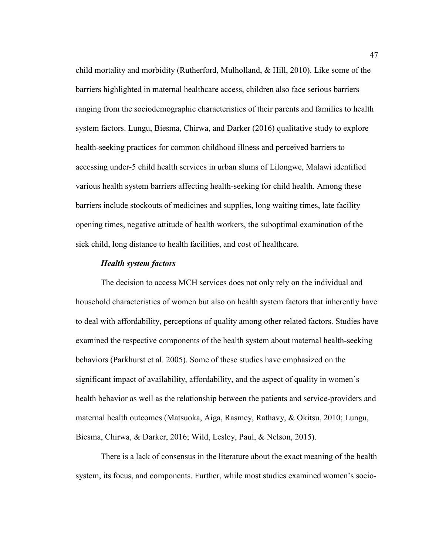child mortality and morbidity (Rutherford, Mulholland, & Hill, 2010). Like some of the barriers highlighted in maternal healthcare access, children also face serious barriers ranging from the sociodemographic characteristics of their parents and families to health system factors. Lungu, Biesma, Chirwa, and Darker (2016) qualitative study to explore health-seeking practices for common childhood illness and perceived barriers to accessing under-5 child health services in urban slums of Lilongwe, Malawi identified various health system barriers affecting health-seeking for child health. Among these barriers include stockouts of medicines and supplies, long waiting times, late facility opening times, negative attitude of health workers, the suboptimal examination of the sick child, long distance to health facilities, and cost of healthcare.

### *Health system factors*

The decision to access MCH services does not only rely on the individual and household characteristics of women but also on health system factors that inherently have to deal with affordability, perceptions of quality among other related factors. Studies have examined the respective components of the health system about maternal health-seeking behaviors (Parkhurst et al. 2005). Some of these studies have emphasized on the significant impact of availability, affordability, and the aspect of quality in women's health behavior as well as the relationship between the patients and service-providers and maternal health outcomes (Matsuoka, Aiga, Rasmey, Rathavy, & Okitsu, 2010; Lungu, Biesma, Chirwa, & Darker, 2016; Wild, Lesley, Paul, & Nelson, 2015).

There is a lack of consensus in the literature about the exact meaning of the health system, its focus, and components. Further, while most studies examined women's socio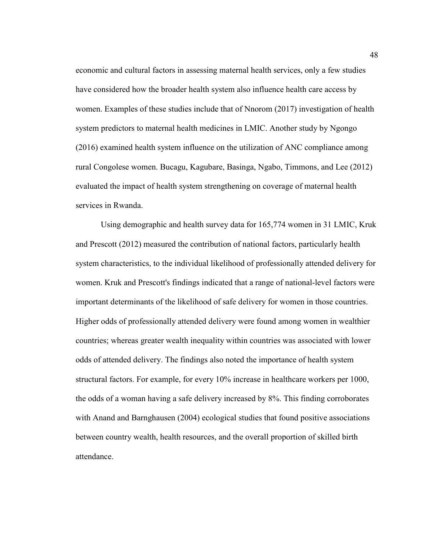economic and cultural factors in assessing maternal health services, only a few studies have considered how the broader health system also influence health care access by women. Examples of these studies include that of Nnorom (2017) investigation of health system predictors to maternal health medicines in LMIC. Another study by Ngongo (2016) examined health system influence on the utilization of ANC compliance among rural Congolese women. Bucagu, Kagubare, Basinga, Ngabo, Timmons, and Lee (2012) evaluated the impact of health system strengthening on coverage of maternal health services in Rwanda.

Using demographic and health survey data for 165,774 women in 31 LMIC, Kruk and Prescott (2012) measured the contribution of national factors, particularly health system characteristics, to the individual likelihood of professionally attended delivery for women. Kruk and Prescott's findings indicated that a range of national-level factors were important determinants of the likelihood of safe delivery for women in those countries. Higher odds of professionally attended delivery were found among women in wealthier countries; whereas greater wealth inequality within countries was associated with lower odds of attended delivery. The findings also noted the importance of health system structural factors. For example, for every 10% increase in healthcare workers per 1000, the odds of a woman having a safe delivery increased by 8%. This finding corroborates with Anand and Barnghausen (2004) ecological studies that found positive associations between country wealth, health resources, and the overall proportion of skilled birth attendance.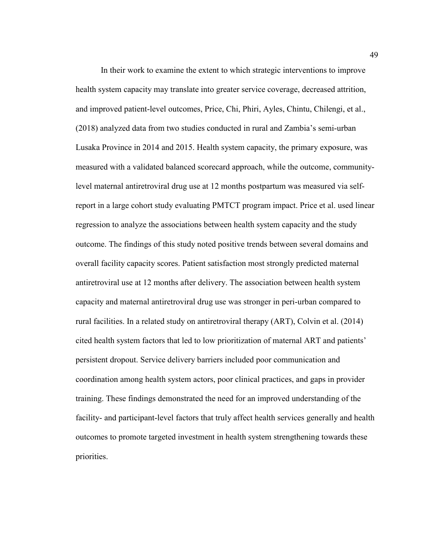In their work to examine the extent to which strategic interventions to improve health system capacity may translate into greater service coverage, decreased attrition, and improved patient-level outcomes, Price, Chi, Phiri, Ayles, Chintu, Chilengi, et al., (2018) analyzed data from two studies conducted in rural and Zambia's semi-urban Lusaka Province in 2014 and 2015. Health system capacity, the primary exposure, was measured with a validated balanced scorecard approach, while the outcome, communitylevel maternal antiretroviral drug use at 12 months postpartum was measured via selfreport in a large cohort study evaluating PMTCT program impact. Price et al. used linear regression to analyze the associations between health system capacity and the study outcome. The findings of this study noted positive trends between several domains and overall facility capacity scores. Patient satisfaction most strongly predicted maternal antiretroviral use at 12 months after delivery. The association between health system capacity and maternal antiretroviral drug use was stronger in peri-urban compared to rural facilities. In a related study on antiretroviral therapy (ART), Colvin et al. (2014) cited health system factors that led to low prioritization of maternal ART and patients' persistent dropout. Service delivery barriers included poor communication and coordination among health system actors, poor clinical practices, and gaps in provider training. These findings demonstrated the need for an improved understanding of the facility- and participant-level factors that truly affect health services generally and health outcomes to promote targeted investment in health system strengthening towards these priorities.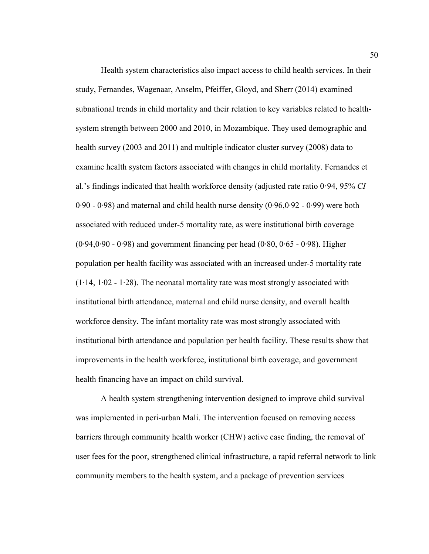Health system characteristics also impact access to child health services. In their study, Fernandes, Wagenaar, Anselm, Pfeiffer, Gloyd, and Sherr (2014) examined subnational trends in child mortality and their relation to key variables related to healthsystem strength between 2000 and 2010, in Mozambique. They used demographic and health survey (2003 and 2011) and multiple indicator cluster survey (2008) data to examine health system factors associated with changes in child mortality. Fernandes et al.'s findings indicated that health workforce density (adjusted rate ratio 0·94, 95% *CI* 0∙90 - 0∙98) and maternal and child health nurse density (0∙96,0∙92 - 0∙99) were both associated with reduced under-5 mortality rate, as were institutional birth coverage (0∙94,0∙90 - 0∙98) and government financing per head (0∙80, 0∙65 - 0∙98). Higher population per health facility was associated with an increased under-5 mortality rate (1∙14, 1∙02 - 1∙28). The neonatal mortality rate was most strongly associated with institutional birth attendance, maternal and child nurse density, and overall health workforce density. The infant mortality rate was most strongly associated with institutional birth attendance and population per health facility. These results show that improvements in the health workforce, institutional birth coverage, and government health financing have an impact on child survival.

A health system strengthening intervention designed to improve child survival was implemented in peri-urban Mali. The intervention focused on removing access barriers through community health worker (CHW) active case finding, the removal of user fees for the poor, strengthened clinical infrastructure, a rapid referral network to link community members to the health system, and a package of prevention services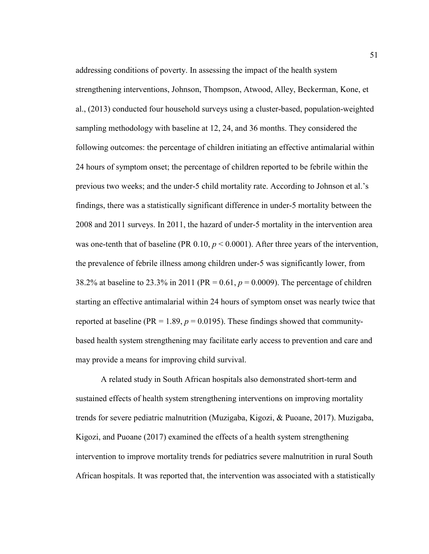addressing conditions of poverty. In assessing the impact of the health system strengthening interventions, Johnson, Thompson, Atwood, Alley, Beckerman, Kone, et al., (2013) conducted four household surveys using a cluster-based, population-weighted sampling methodology with baseline at 12, 24, and 36 months. They considered the following outcomes: the percentage of children initiating an effective antimalarial within 24 hours of symptom onset; the percentage of children reported to be febrile within the previous two weeks; and the under-5 child mortality rate. According to Johnson et al.'s findings, there was a statistically significant difference in under-5 mortality between the 2008 and 2011 surveys. In 2011, the hazard of under-5 mortality in the intervention area was one-tenth that of baseline (PR  $0.10, p \le 0.0001$ ). After three years of the intervention, the prevalence of febrile illness among children under-5 was significantly lower, from 38.2% at baseline to 23.3% in 2011 (PR = 0.61, *p* = 0.0009). The percentage of children starting an effective antimalarial within 24 hours of symptom onset was nearly twice that reported at baseline ( $PR = 1.89$ ,  $p = 0.0195$ ). These findings showed that communitybased health system strengthening may facilitate early access to prevention and care and may provide a means for improving child survival.

A related study in South African hospitals also demonstrated short-term and sustained effects of health system strengthening interventions on improving mortality trends for severe pediatric malnutrition (Muzigaba, Kigozi, & Puoane, 2017). Muzigaba, Kigozi, and Puoane (2017) examined the effects of a health system strengthening intervention to improve mortality trends for pediatrics severe malnutrition in rural South African hospitals. It was reported that, the intervention was associated with a statistically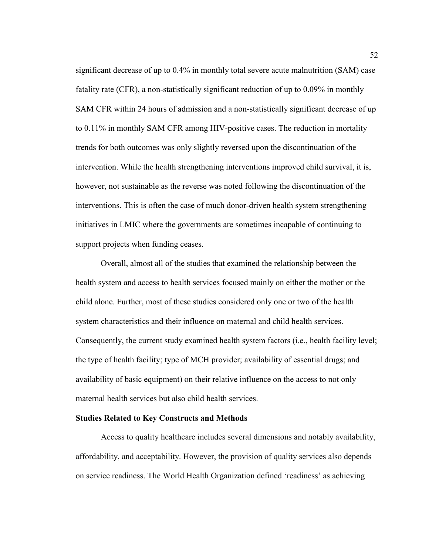significant decrease of up to 0.4% in monthly total severe acute malnutrition (SAM) case fatality rate (CFR), a non-statistically significant reduction of up to 0.09% in monthly SAM CFR within 24 hours of admission and a non-statistically significant decrease of up to 0.11% in monthly SAM CFR among HIV-positive cases. The reduction in mortality trends for both outcomes was only slightly reversed upon the discontinuation of the intervention. While the health strengthening interventions improved child survival, it is, however, not sustainable as the reverse was noted following the discontinuation of the interventions. This is often the case of much donor-driven health system strengthening initiatives in LMIC where the governments are sometimes incapable of continuing to support projects when funding ceases.

Overall, almost all of the studies that examined the relationship between the health system and access to health services focused mainly on either the mother or the child alone. Further, most of these studies considered only one or two of the health system characteristics and their influence on maternal and child health services. Consequently, the current study examined health system factors (i.e., health facility level; the type of health facility; type of MCH provider; availability of essential drugs; and availability of basic equipment) on their relative influence on the access to not only maternal health services but also child health services.

#### **Studies Related to Key Constructs and Methods**

Access to quality healthcare includes several dimensions and notably availability, affordability, and acceptability. However, the provision of quality services also depends on service readiness. The World Health Organization defined 'readiness' as achieving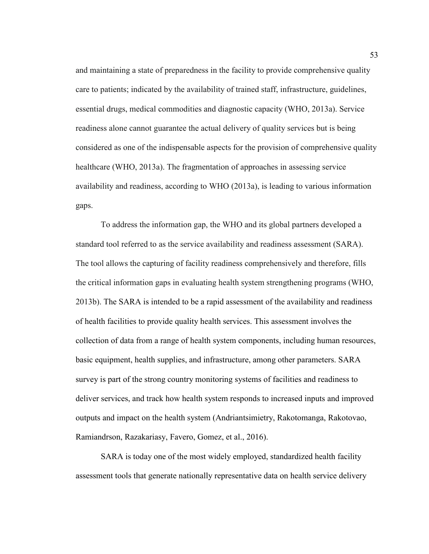and maintaining a state of preparedness in the facility to provide comprehensive quality care to patients; indicated by the availability of trained staff, infrastructure, guidelines, essential drugs, medical commodities and diagnostic capacity (WHO, 2013a). Service readiness alone cannot guarantee the actual delivery of quality services but is being considered as one of the indispensable aspects for the provision of comprehensive quality healthcare (WHO, 2013a). The fragmentation of approaches in assessing service availability and readiness, according to WHO (2013a), is leading to various information gaps.

To address the information gap, the WHO and its global partners developed a standard tool referred to as the service availability and readiness assessment (SARA). The tool allows the capturing of facility readiness comprehensively and therefore, fills the critical information gaps in evaluating health system strengthening programs (WHO, 2013b). The SARA is intended to be a rapid assessment of the availability and readiness of health facilities to provide quality health services. This assessment involves the collection of data from a range of health system components, including human resources, basic equipment, health supplies, and infrastructure, among other parameters. SARA survey is part of the strong country monitoring systems of facilities and readiness to deliver services, and track how health system responds to increased inputs and improved outputs and impact on the health system (Andriantsimietry, Rakotomanga, Rakotovao, Ramiandrson, Razakariasy, Favero, Gomez, et al., 2016).

SARA is today one of the most widely employed, standardized health facility assessment tools that generate nationally representative data on health service delivery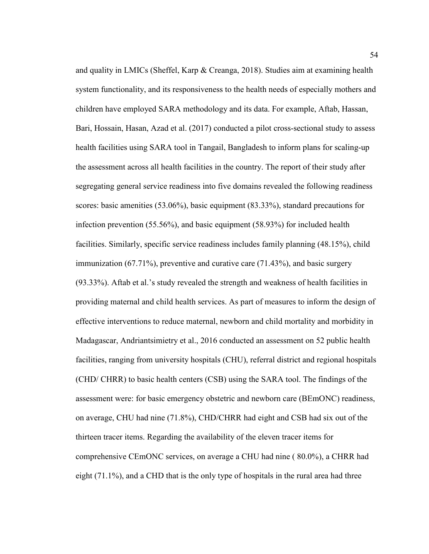and quality in LMICs (Sheffel, Karp & Creanga, 2018). Studies aim at examining health system functionality, and its responsiveness to the health needs of especially mothers and children have employed SARA methodology and its data. For example, Aftab, Hassan, Bari, Hossain, Hasan, Azad et al. (2017) conducted a pilot cross-sectional study to assess health facilities using SARA tool in Tangail, Bangladesh to inform plans for scaling-up the assessment across all health facilities in the country. The report of their study after segregating general service readiness into five domains revealed the following readiness scores: basic amenities (53.06%), basic equipment (83.33%), standard precautions for infection prevention (55.56%), and basic equipment (58.93%) for included health facilities. Similarly, specific service readiness includes family planning (48.15%), child immunization (67.71%), preventive and curative care (71.43%), and basic surgery (93.33%). Aftab et al.'s study revealed the strength and weakness of health facilities in providing maternal and child health services. As part of measures to inform the design of effective interventions to reduce maternal, newborn and child mortality and morbidity in Madagascar, Andriantsimietry et al., 2016 conducted an assessment on 52 public health facilities, ranging from university hospitals (CHU), referral district and regional hospitals (CHD/ CHRR) to basic health centers (CSB) using the SARA tool. The findings of the assessment were: for basic emergency obstetric and newborn care (BEmONC) readiness, on average, CHU had nine (71.8%), CHD/CHRR had eight and CSB had six out of the thirteen tracer items. Regarding the availability of the eleven tracer items for comprehensive CEmONC services, on average a CHU had nine ( 80.0%), a CHRR had eight (71.1%), and a CHD that is the only type of hospitals in the rural area had three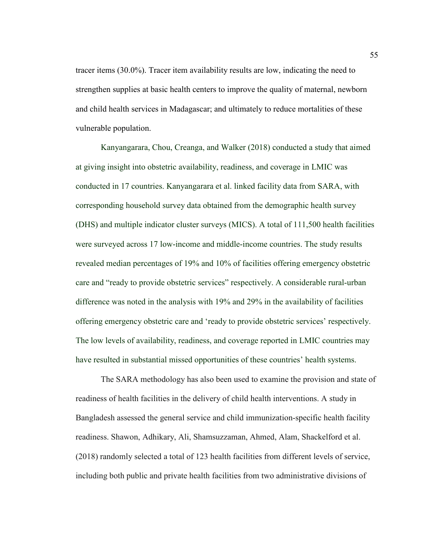tracer items (30.0%). Tracer item availability results are low, indicating the need to strengthen supplies at basic health centers to improve the quality of maternal, newborn and child health services in Madagascar; and ultimately to reduce mortalities of these vulnerable population.

Kanyangarara, Chou, Creanga, and Walker (2018) conducted a study that aimed at giving insight into obstetric availability, readiness, and coverage in LMIC was conducted in 17 countries. Kanyangarara et al. linked facility data from SARA, with corresponding household survey data obtained from the demographic health survey (DHS) and multiple indicator cluster surveys (MICS). A total of 111,500 health facilities were surveyed across 17 low-income and middle-income countries. The study results revealed median percentages of 19% and 10% of facilities offering emergency obstetric care and "ready to provide obstetric services" respectively. A considerable rural-urban difference was noted in the analysis with 19% and 29% in the availability of facilities offering emergency obstetric care and 'ready to provide obstetric services' respectively. The low levels of availability, readiness, and coverage reported in LMIC countries may have resulted in substantial missed opportunities of these countries' health systems.

The SARA methodology has also been used to examine the provision and state of readiness of health facilities in the delivery of child health interventions. A study in Bangladesh assessed the general service and child immunization-specific health facility readiness. Shawon, Adhikary, Ali, Shamsuzzaman, Ahmed, Alam, Shackelford et al. (2018) randomly selected a total of 123 health facilities from different levels of service, including both public and private health facilities from two administrative divisions of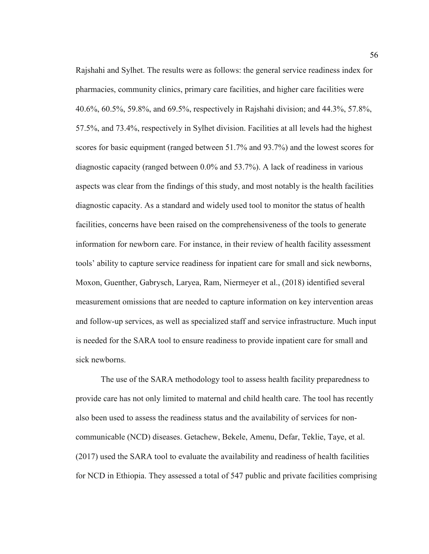Rajshahi and Sylhet. The results were as follows: the general service readiness index for pharmacies, community clinics, primary care facilities, and higher care facilities were 40.6%, 60.5%, 59.8%, and 69.5%, respectively in Rajshahi division; and 44.3%, 57.8%, 57.5%, and 73.4%, respectively in Sylhet division. Facilities at all levels had the highest scores for basic equipment (ranged between 51.7% and 93.7%) and the lowest scores for diagnostic capacity (ranged between 0.0% and 53.7%). A lack of readiness in various aspects was clear from the findings of this study, and most notably is the health facilities diagnostic capacity. As a standard and widely used tool to monitor the status of health facilities, concerns have been raised on the comprehensiveness of the tools to generate information for newborn care. For instance, in their review of health facility assessment tools' ability to capture service readiness for inpatient care for small and sick newborns, Moxon, Guenther, Gabrysch, Laryea, Ram, Niermeyer et al., (2018) identified several measurement omissions that are needed to capture information on key intervention areas and follow-up services, as well as specialized staff and service infrastructure. Much input is needed for the SARA tool to ensure readiness to provide inpatient care for small and sick newborns.

The use of the SARA methodology tool to assess health facility preparedness to provide care has not only limited to maternal and child health care. The tool has recently also been used to assess the readiness status and the availability of services for noncommunicable (NCD) diseases. Getachew, Bekele, Amenu, Defar, Teklie, Taye, et al. (2017) used the SARA tool to evaluate the availability and readiness of health facilities for NCD in Ethiopia. They assessed a total of 547 public and private facilities comprising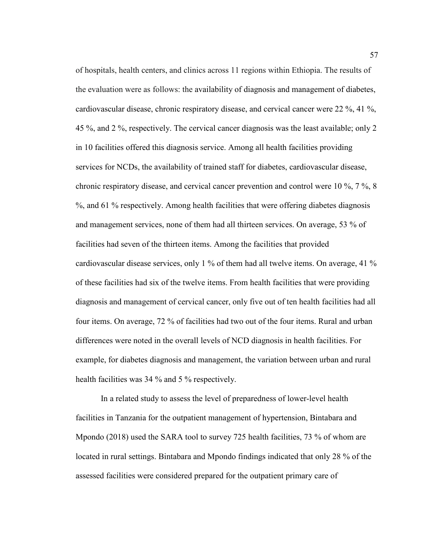of hospitals, health centers, and clinics across 11 regions within Ethiopia. The results of the evaluation were as follows: the availability of diagnosis and management of diabetes, cardiovascular disease, chronic respiratory disease, and cervical cancer were 22 %, 41 %, 45 %, and 2 %, respectively. The cervical cancer diagnosis was the least available; only 2 in 10 facilities offered this diagnosis service. Among all health facilities providing services for NCDs, the availability of trained staff for diabetes, cardiovascular disease, chronic respiratory disease, and cervical cancer prevention and control were 10 %, 7 %, 8 %, and 61 % respectively. Among health facilities that were offering diabetes diagnosis and management services, none of them had all thirteen services. On average, 53 % of facilities had seven of the thirteen items. Among the facilities that provided cardiovascular disease services, only 1 % of them had all twelve items. On average, 41 % of these facilities had six of the twelve items. From health facilities that were providing diagnosis and management of cervical cancer, only five out of ten health facilities had all four items. On average, 72 % of facilities had two out of the four items. Rural and urban differences were noted in the overall levels of NCD diagnosis in health facilities. For example, for diabetes diagnosis and management, the variation between urban and rural health facilities was 34 % and 5 % respectively.

In a related study to assess the level of preparedness of lower-level health facilities in Tanzania for the outpatient management of hypertension, Bintabara and Mpondo (2018) used the SARA tool to survey 725 health facilities, 73 % of whom are located in rural settings. Bintabara and Mpondo findings indicated that only 28 % of the assessed facilities were considered prepared for the outpatient primary care of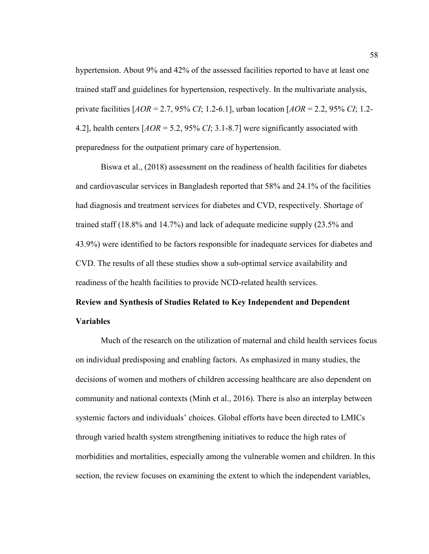hypertension. About 9% and 42% of the assessed facilities reported to have at least one trained staff and guidelines for hypertension, respectively. In the multivariate analysis, private facilities [*AOR* = 2.7, 95% *CI*; 1.2-6.1], urban location [*AOR* = 2.2, 95% *CI*; 1.2- 4.2], health centers [*AOR* = 5.2, 95% *CI*; 3.1-8.7] were significantly associated with preparedness for the outpatient primary care of hypertension.

Biswa et al., (2018) assessment on the readiness of health facilities for diabetes and cardiovascular services in Bangladesh reported that 58% and 24.1% of the facilities had diagnosis and treatment services for diabetes and CVD, respectively. Shortage of trained staff (18.8% and 14.7%) and lack of adequate medicine supply (23.5% and 43.9%) were identified to be factors responsible for inadequate services for diabetes and CVD. The results of all these studies show a sub-optimal service availability and readiness of the health facilities to provide NCD-related health services.

# **Review and Synthesis of Studies Related to Key Independent and Dependent Variables**

Much of the research on the utilization of maternal and child health services focus on individual predisposing and enabling factors. As emphasized in many studies, the decisions of women and mothers of children accessing healthcare are also dependent on community and national contexts (Minh et al., 2016). There is also an interplay between systemic factors and individuals' choices. Global efforts have been directed to LMICs through varied health system strengthening initiatives to reduce the high rates of morbidities and mortalities, especially among the vulnerable women and children. In this section, the review focuses on examining the extent to which the independent variables,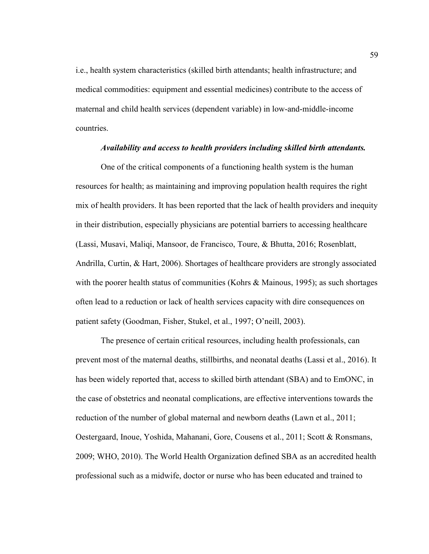i.e., health system characteristics (skilled birth attendants; health infrastructure; and medical commodities: equipment and essential medicines) contribute to the access of maternal and child health services (dependent variable) in low-and-middle-income countries.

### *Availability and access to health providers including skilled birth attendants.*

One of the critical components of a functioning health system is the human resources for health; as maintaining and improving population health requires the right mix of health providers. It has been reported that the lack of health providers and inequity in their distribution, especially physicians are potential barriers to accessing healthcare (Lassi, Musavi, Maliqi, Mansoor, de Francisco, Toure, & Bhutta, 2016; Rosenblatt, Andrilla, Curtin, & Hart, 2006). Shortages of healthcare providers are strongly associated with the poorer health status of communities (Kohrs  $\&$  Mainous, 1995); as such shortages often lead to a reduction or lack of health services capacity with dire consequences on patient safety (Goodman, Fisher, Stukel, et al., 1997; O'neill, 2003).

The presence of certain critical resources, including health professionals, can prevent most of the maternal deaths, stillbirths, and neonatal deaths (Lassi et al., 2016). It has been widely reported that, access to skilled birth attendant (SBA) and to EmONC, in the case of obstetrics and neonatal complications, are effective interventions towards the reduction of the number of global maternal and newborn deaths (Lawn et al., 2011; Oestergaard, Inoue, Yoshida, Mahanani, Gore, Cousens et al., 2011; Scott & Ronsmans, 2009; WHO, 2010). The World Health Organization defined SBA as an accredited health professional such as a midwife, doctor or nurse who has been educated and trained to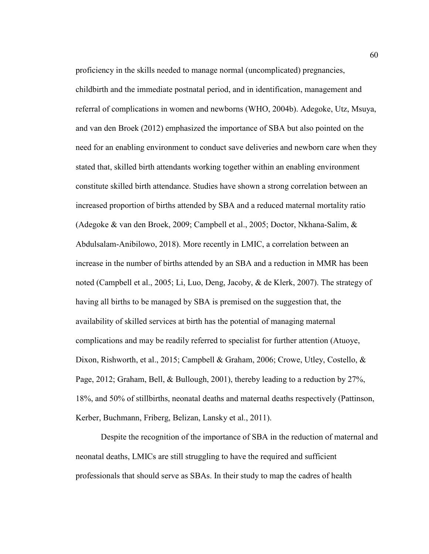proficiency in the skills needed to manage normal (uncomplicated) pregnancies, childbirth and the immediate postnatal period, and in identification, management and referral of complications in women and newborns (WHO, 2004b). Adegoke, Utz, Msuya, and van den Broek (2012) emphasized the importance of SBA but also pointed on the need for an enabling environment to conduct save deliveries and newborn care when they stated that, skilled birth attendants working together within an enabling environment constitute skilled birth attendance. Studies have shown a strong correlation between an increased proportion of births attended by SBA and a reduced maternal mortality ratio (Adegoke & van den Broek, 2009; Campbell et al., 2005; Doctor, Nkhana-Salim, & Abdulsalam-Anibilowo, 2018). More recently in LMIC, a correlation between an increase in the number of births attended by an SBA and a reduction in MMR has been noted (Campbell et al., 2005; Li, Luo, Deng, Jacoby, & de Klerk, 2007). The strategy of having all births to be managed by SBA is premised on the suggestion that, the availability of skilled services at birth has the potential of managing maternal complications and may be readily referred to specialist for further attention (Atuoye, Dixon, Rishworth, et al., 2015; Campbell & Graham, 2006; Crowe, Utley, Costello, & Page, 2012; Graham, Bell, & Bullough, 2001), thereby leading to a reduction by 27%, 18%, and 50% of stillbirths, neonatal deaths and maternal deaths respectively (Pattinson, Kerber, Buchmann, Friberg, Belizan, Lansky et al., 2011).

Despite the recognition of the importance of SBA in the reduction of maternal and neonatal deaths, LMICs are still struggling to have the required and sufficient professionals that should serve as SBAs. In their study to map the cadres of health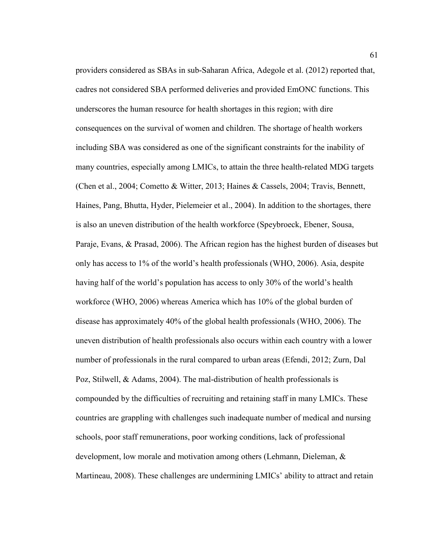providers considered as SBAs in sub-Saharan Africa, Adegole et al. (2012) reported that, cadres not considered SBA performed deliveries and provided EmONC functions. This underscores the human resource for health shortages in this region; with dire consequences on the survival of women and children. The shortage of health workers including SBA was considered as one of the significant constraints for the inability of many countries, especially among LMICs, to attain the three health-related MDG targets (Chen et al., 2004; Cometto & Witter, 2013; Haines & Cassels, 2004; Travis, Bennett, Haines, Pang, Bhutta, Hyder, Pielemeier et al., 2004). In addition to the shortages, there is also an uneven distribution of the health workforce (Speybroeck, Ebener, Sousa, Paraje, Evans, & Prasad, 2006). The African region has the highest burden of diseases but only has access to 1% of the world's health professionals (WHO, 2006). Asia, despite having half of the world's population has access to only 30% of the world's health workforce (WHO, 2006) whereas America which has 10% of the global burden of disease has approximately 40% of the global health professionals (WHO, 2006). The uneven distribution of health professionals also occurs within each country with a lower number of professionals in the rural compared to urban areas (Efendi, 2012; Zurn, Dal Poz, Stilwell, & Adams, 2004). The mal-distribution of health professionals is compounded by the difficulties of recruiting and retaining staff in many LMICs. These countries are grappling with challenges such inadequate number of medical and nursing schools, poor staff remunerations, poor working conditions, lack of professional development, low morale and motivation among others (Lehmann, Dieleman, & Martineau, 2008). These challenges are undermining LMICs' ability to attract and retain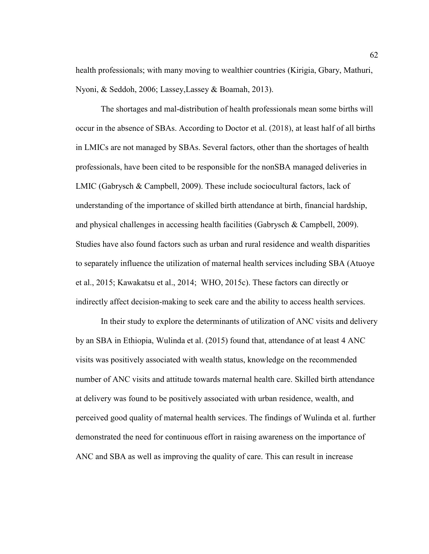health professionals; with many moving to wealthier countries (Kirigia, Gbary, Mathuri, Nyoni, & Seddoh, 2006; Lassey,Lassey & Boamah, 2013).

The shortages and mal-distribution of health professionals mean some births will occur in the absence of SBAs. According to Doctor et al. (2018), at least half of all births in LMICs are not managed by SBAs. Several factors, other than the shortages of health professionals, have been cited to be responsible for the nonSBA managed deliveries in LMIC (Gabrysch & Campbell, 2009). These include sociocultural factors, lack of understanding of the importance of skilled birth attendance at birth, financial hardship, and physical challenges in accessing health facilities (Gabrysch & Campbell, 2009). Studies have also found factors such as urban and rural residence and wealth disparities to separately influence the utilization of maternal health services including SBA (Atuoye et al., 2015; Kawakatsu et al., 2014; WHO, 2015c). These factors can directly or indirectly affect decision-making to seek care and the ability to access health services.

In their study to explore the determinants of utilization of ANC visits and delivery by an SBA in Ethiopia, Wulinda et al. (2015) found that, attendance of at least 4 ANC visits was positively associated with wealth status, knowledge on the recommended number of ANC visits and attitude towards maternal health care. Skilled birth attendance at delivery was found to be positively associated with urban residence, wealth, and perceived good quality of maternal health services. The findings of Wulinda et al. further demonstrated the need for continuous effort in raising awareness on the importance of ANC and SBA as well as improving the quality of care. This can result in increase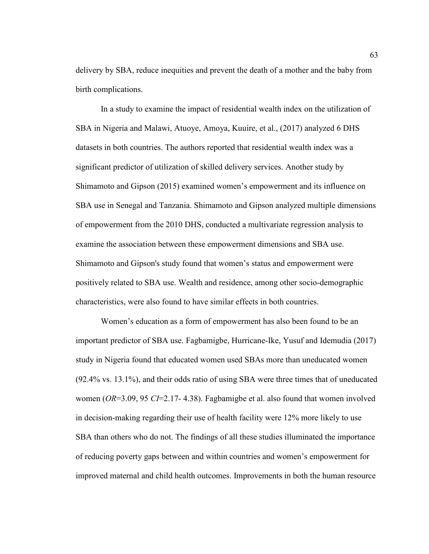delivery by SBA, reduce inequities and prevent the death of a mother and the baby from birth complications.

In a study to examine the impact of residential wealth index on the utilization of SBA in Nigeria and Malawi, Atuoye, Amoya, Kuuire, et al., (2017) analyzed 6 DHS datasets in both countries. The authors reported that residential wealth index was a significant predictor of utilization of skilled delivery services. Another study by Shimamoto and Gipson (2015) examined women's empowerment and its influence on SBA use in Senegal and Tanzania. Shimamoto and Gipson analyzed multiple dimensions of empowerment from the 2010 DHS, conducted a multivariate regression analysis to examine the association between these empowerment dimensions and SBA use. Shimamoto and Gipson's study found that women's status and empowerment were positively related to SBA use. Wealth and residence, among other socio-demographic characteristics, were also found to have similar effects in both countries.

Women's education as a form of empowerment has also been found to be an important predictor of SBA use. Fagbamigbe, Hurricane-Ike, Yusuf and Idemudia (2017) study in Nigeria found that educated women used SBAs more than uneducated women (92.4% vs. 13.1%), and their odds ratio of using SBA were three times that of uneducated women (*OR*=3.09, 95 *CI*=2.17- 4.38). Fagbamigbe et al. also found that women involved in decision-making regarding their use of health facility were 12% more likely to use SBA than others who do not. The findings of all these studies illuminated the importance of reducing poverty gaps between and within countries and women's empowerment for improved maternal and child health outcomes. Improvements in both the human resource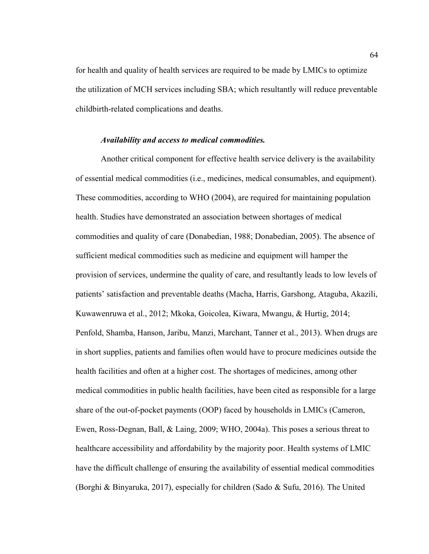for health and quality of health services are required to be made by LMICs to optimize the utilization of MCH services including SBA; which resultantly will reduce preventable childbirth-related complications and deaths.

#### *Availability and access to medical commodities.*

Another critical component for effective health service delivery is the availability of essential medical commodities (i.e., medicines, medical consumables, and equipment). These commodities, according to WHO (2004), are required for maintaining population health. Studies have demonstrated an association between shortages of medical commodities and quality of care (Donabedian, 1988; Donabedian, 2005). The absence of sufficient medical commodities such as medicine and equipment will hamper the provision of services, undermine the quality of care, and resultantly leads to low levels of patients' satisfaction and preventable deaths (Macha, Harris, Garshong, Ataguba, Akazili, Kuwawenruwa et al., 2012; Mkoka, Goicolea, Kiwara, Mwangu, & Hurtig, 2014; Penfold, Shamba, Hanson, Jaribu, Manzi, Marchant, Tanner et al., 2013). When drugs are in short supplies, patients and families often would have to procure medicines outside the health facilities and often at a higher cost. The shortages of medicines, among other medical commodities in public health facilities, have been cited as responsible for a large share of the out-of-pocket payments (OOP) faced by households in LMICs (Cameron, Ewen, Ross-Degnan, Ball, & Laing, 2009; WHO, 2004a). This poses a serious threat to healthcare accessibility and affordability by the majority poor. Health systems of LMIC have the difficult challenge of ensuring the availability of essential medical commodities (Borghi & Binyaruka, 2017), especially for children (Sado & Sufu, 2016). The United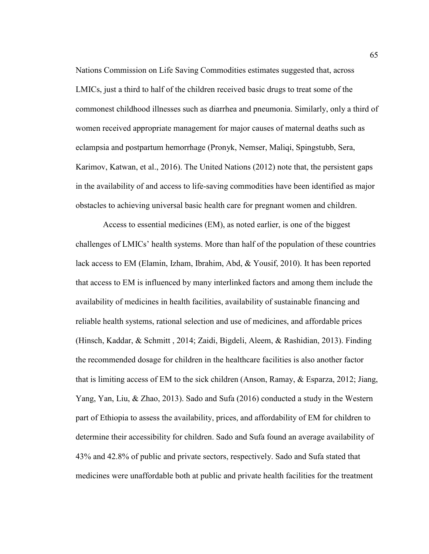Nations Commission on Life Saving Commodities estimates suggested that, across LMICs, just a third to half of the children received basic drugs to treat some of the commonest childhood illnesses such as diarrhea and pneumonia. Similarly, only a third of women received appropriate management for major causes of maternal deaths such as eclampsia and postpartum hemorrhage (Pronyk, Nemser, Maliqi, Spingstubb, Sera, Karimov, Katwan, et al., 2016). The United Nations (2012) note that, the persistent gaps in the availability of and access to life-saving commodities have been identified as major obstacles to achieving universal basic health care for pregnant women and children.

 Access to essential medicines (EM), as noted earlier, is one of the biggest challenges of LMICs' health systems. More than half of the population of these countries lack access to EM (Elamin, Izham, Ibrahim, Abd, & Yousif, 2010). It has been reported that access to EM is influenced by many interlinked factors and among them include the availability of medicines in health facilities, availability of sustainable financing and reliable health systems, rational selection and use of medicines, and affordable prices (Hinsch, Kaddar, & Schmitt , 2014; Zaidi, Bigdeli, Aleem, & Rashidian, 2013). Finding the recommended dosage for children in the healthcare facilities is also another factor that is limiting access of EM to the sick children (Anson, Ramay, & Esparza, 2012; Jiang, Yang, Yan, Liu, & Zhao, 2013). Sado and Sufa (2016) conducted a study in the Western part of Ethiopia to assess the availability, prices, and affordability of EM for children to determine their accessibility for children. Sado and Sufa found an average availability of 43% and 42.8% of public and private sectors, respectively. Sado and Sufa stated that medicines were unaffordable both at public and private health facilities for the treatment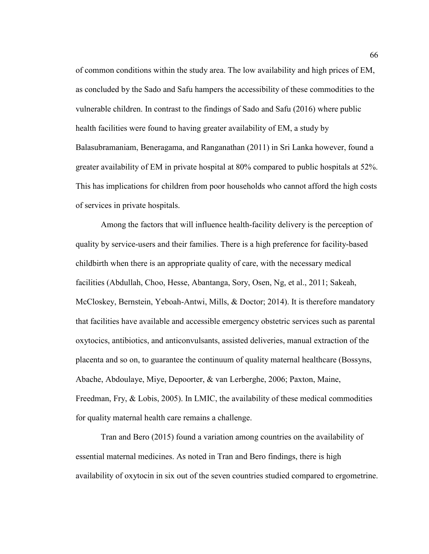of common conditions within the study area. The low availability and high prices of EM, as concluded by the Sado and Safu hampers the accessibility of these commodities to the vulnerable children. In contrast to the findings of Sado and Safu (2016) where public health facilities were found to having greater availability of EM, a study by Balasubramaniam, Beneragama, and Ranganathan (2011) in Sri Lanka however, found a greater availability of EM in private hospital at 80% compared to public hospitals at 52%. This has implications for children from poor households who cannot afford the high costs of services in private hospitals.

Among the factors that will influence health-facility delivery is the perception of quality by service-users and their families. There is a high preference for facility-based childbirth when there is an appropriate quality of care, with the necessary medical facilities (Abdullah, Choo, Hesse, Abantanga, Sory, Osen, Ng, et al., 2011; Sakeah, McCloskey, Bernstein, Yeboah-Antwi, Mills, & Doctor; 2014). It is therefore mandatory that facilities have available and accessible emergency obstetric services such as parental oxytocics, antibiotics, and anticonvulsants, assisted deliveries, manual extraction of the placenta and so on, to guarantee the continuum of quality maternal healthcare (Bossyns, Abache, Abdoulaye, Miye, Depoorter, & van Lerberghe, 2006; Paxton, Maine, Freedman, Fry, & Lobis, 2005). In LMIC, the availability of these medical commodities for quality maternal health care remains a challenge.

Tran and Bero (2015) found a variation among countries on the availability of essential maternal medicines. As noted in Tran and Bero findings, there is high availability of oxytocin in six out of the seven countries studied compared to ergometrine.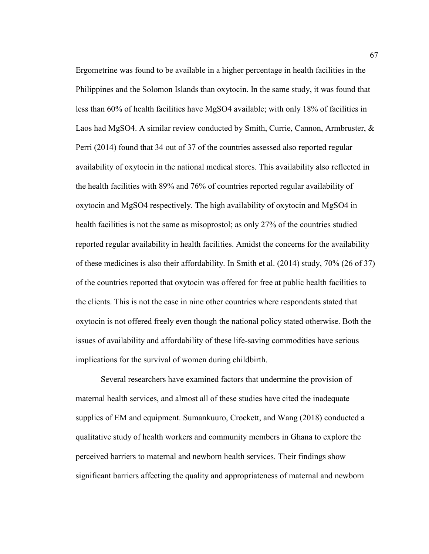Ergometrine was found to be available in a higher percentage in health facilities in the Philippines and the Solomon Islands than oxytocin. In the same study, it was found that less than 60% of health facilities have MgSO4 available; with only 18% of facilities in Laos had MgSO4. A similar review conducted by Smith, Currie, Cannon, Armbruster, & Perri (2014) found that 34 out of 37 of the countries assessed also reported regular availability of oxytocin in the national medical stores. This availability also reflected in the health facilities with 89% and 76% of countries reported regular availability of oxytocin and MgSO4 respectively. The high availability of oxytocin and MgSO4 in health facilities is not the same as misoprostol; as only 27% of the countries studied reported regular availability in health facilities. Amidst the concerns for the availability of these medicines is also their affordability. In Smith et al. (2014) study, 70% (26 of 37) of the countries reported that oxytocin was offered for free at public health facilities to the clients. This is not the case in nine other countries where respondents stated that oxytocin is not offered freely even though the national policy stated otherwise. Both the issues of availability and affordability of these life-saving commodities have serious implications for the survival of women during childbirth.

Several researchers have examined factors that undermine the provision of maternal health services, and almost all of these studies have cited the inadequate supplies of EM and equipment. Sumankuuro, Crockett, and Wang (2018) conducted a qualitative study of health workers and community members in Ghana to explore the perceived barriers to maternal and newborn health services. Their findings show significant barriers affecting the quality and appropriateness of maternal and newborn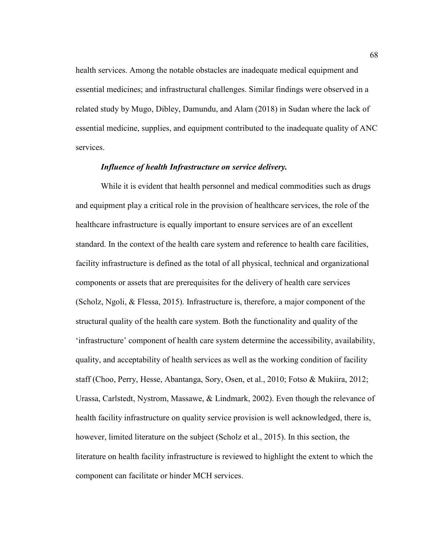health services. Among the notable obstacles are inadequate medical equipment and essential medicines; and infrastructural challenges. Similar findings were observed in a related study by Mugo, Dibley, Damundu, and Alam (2018) in Sudan where the lack of essential medicine, supplies, and equipment contributed to the inadequate quality of ANC services.

## *Influence of health Infrastructure on service delivery.*

While it is evident that health personnel and medical commodities such as drugs and equipment play a critical role in the provision of healthcare services, the role of the healthcare infrastructure is equally important to ensure services are of an excellent standard. In the context of the health care system and reference to health care facilities, facility infrastructure is defined as the total of all physical, technical and organizational components or assets that are prerequisites for the delivery of health care services (Scholz, Ngoli, & Flessa, 2015). Infrastructure is, therefore, a major component of the structural quality of the health care system. Both the functionality and quality of the 'infrastructure' component of health care system determine the accessibility, availability, quality, and acceptability of health services as well as the working condition of facility staff (Choo, Perry, Hesse, Abantanga, Sory, Osen, et al., 2010; Fotso & Mukiira, 2012; Urassa, Carlstedt, Nystrom, Massawe, & Lindmark, 2002). Even though the relevance of health facility infrastructure on quality service provision is well acknowledged, there is, however, limited literature on the subject (Scholz et al., 2015). In this section, the literature on health facility infrastructure is reviewed to highlight the extent to which the component can facilitate or hinder MCH services.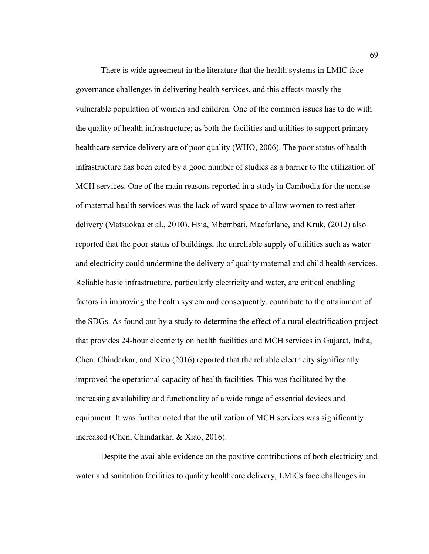There is wide agreement in the literature that the health systems in LMIC face governance challenges in delivering health services, and this affects mostly the vulnerable population of women and children. One of the common issues has to do with the quality of health infrastructure; as both the facilities and utilities to support primary healthcare service delivery are of poor quality (WHO, 2006). The poor status of health infrastructure has been cited by a good number of studies as a barrier to the utilization of MCH services. One of the main reasons reported in a study in Cambodia for the nonuse of maternal health services was the lack of ward space to allow women to rest after delivery (Matsuokaa et al., 2010). Hsia, Mbembati, Macfarlane, and Kruk, (2012) also reported that the poor status of buildings, the unreliable supply of utilities such as water and electricity could undermine the delivery of quality maternal and child health services. Reliable basic infrastructure, particularly electricity and water, are critical enabling factors in improving the health system and consequently, contribute to the attainment of the SDGs. As found out by a study to determine the effect of a rural electrification project that provides 24-hour electricity on health facilities and MCH services in Gujarat, India, Chen, Chindarkar, and Xiao (2016) reported that the reliable electricity significantly improved the operational capacity of health facilities. This was facilitated by the increasing availability and functionality of a wide range of essential devices and equipment. It was further noted that the utilization of MCH services was significantly increased (Chen, Chindarkar, & Xiao, 2016).

Despite the available evidence on the positive contributions of both electricity and water and sanitation facilities to quality healthcare delivery, LMICs face challenges in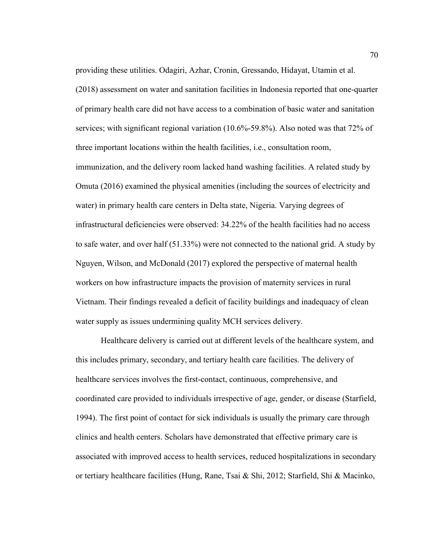providing these utilities. Odagiri, Azhar, Cronin, Gressando, Hidayat, Utamin et al. (2018) assessment on water and sanitation facilities in Indonesia reported that one-quarter of primary health care did not have access to a combination of basic water and sanitation services; with significant regional variation (10.6%-59.8%). Also noted was that 72% of three important locations within the health facilities, i.e., consultation room, immunization, and the delivery room lacked hand washing facilities. A related study by Omuta (2016) examined the physical amenities (including the sources of electricity and water) in primary health care centers in Delta state, Nigeria. Varying degrees of infrastructural deficiencies were observed: 34.22% of the health facilities had no access to safe water, and over half (51.33%) were not connected to the national grid. A study by Nguyen, Wilson, and McDonald (2017) explored the perspective of maternal health workers on how infrastructure impacts the provision of maternity services in rural Vietnam. Their findings revealed a deficit of facility buildings and inadequacy of clean water supply as issues undermining quality MCH services delivery.

Healthcare delivery is carried out at different levels of the healthcare system, and this includes primary, secondary, and tertiary health care facilities. The delivery of healthcare services involves the first-contact, continuous, comprehensive, and coordinated care provided to individuals irrespective of age, gender, or disease (Starfield, 1994). The first point of contact for sick individuals is usually the primary care through clinics and health centers. Scholars have demonstrated that effective primary care is associated with improved access to health services, reduced hospitalizations in secondary or tertiary healthcare facilities (Hung, Rane, Tsai & Shi, 2012; Starfield, Shi & Macinko,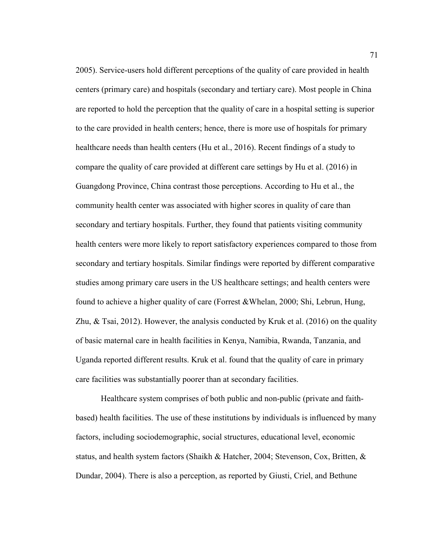2005). Service-users hold different perceptions of the quality of care provided in health centers (primary care) and hospitals (secondary and tertiary care). Most people in China are reported to hold the perception that the quality of care in a hospital setting is superior to the care provided in health centers; hence, there is more use of hospitals for primary healthcare needs than health centers (Hu et al., 2016). Recent findings of a study to compare the quality of care provided at different care settings by Hu et al. (2016) in Guangdong Province, China contrast those perceptions. According to Hu et al., the community health center was associated with higher scores in quality of care than secondary and tertiary hospitals. Further, they found that patients visiting community health centers were more likely to report satisfactory experiences compared to those from secondary and tertiary hospitals. Similar findings were reported by different comparative studies among primary care users in the US healthcare settings; and health centers were found to achieve a higher quality of care (Forrest &Whelan, 2000; Shi, Lebrun, Hung, Zhu, & Tsai, 2012). However, the analysis conducted by Kruk et al. (2016) on the quality of basic maternal care in health facilities in Kenya, Namibia, Rwanda, Tanzania, and Uganda reported different results. Kruk et al. found that the quality of care in primary care facilities was substantially poorer than at secondary facilities.

Healthcare system comprises of both public and non-public (private and faithbased) health facilities. The use of these institutions by individuals is influenced by many factors, including sociodemographic, social structures, educational level, economic status, and health system factors (Shaikh & Hatcher, 2004; Stevenson, Cox, Britten, & Dundar, 2004). There is also a perception, as reported by Giusti, Criel, and Bethune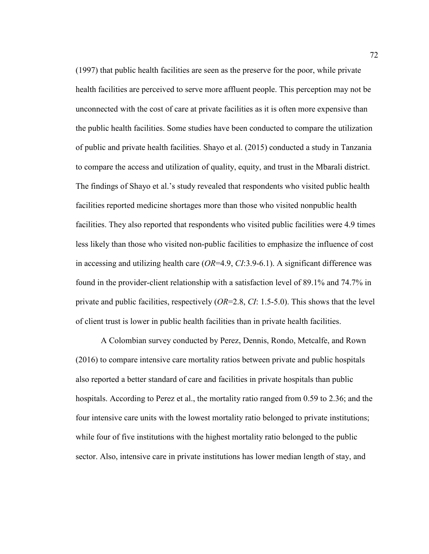(1997) that public health facilities are seen as the preserve for the poor, while private health facilities are perceived to serve more affluent people. This perception may not be unconnected with the cost of care at private facilities as it is often more expensive than the public health facilities. Some studies have been conducted to compare the utilization of public and private health facilities. Shayo et al. (2015) conducted a study in Tanzania to compare the access and utilization of quality, equity, and trust in the Mbarali district. The findings of Shayo et al.'s study revealed that respondents who visited public health facilities reported medicine shortages more than those who visited nonpublic health facilities. They also reported that respondents who visited public facilities were 4.9 times less likely than those who visited non-public facilities to emphasize the influence of cost in accessing and utilizing health care (*OR*=4.9, *CI*:3.9-6.1). A significant difference was found in the provider-client relationship with a satisfaction level of 89.1% and 74.7% in private and public facilities, respectively (*OR*=2.8, *CI*: 1.5-5.0). This shows that the level of client trust is lower in public health facilities than in private health facilities.

A Colombian survey conducted by Perez, Dennis, Rondo, Metcalfe, and Rown (2016) to compare intensive care mortality ratios between private and public hospitals also reported a better standard of care and facilities in private hospitals than public hospitals. According to Perez et al., the mortality ratio ranged from 0.59 to 2.36; and the four intensive care units with the lowest mortality ratio belonged to private institutions; while four of five institutions with the highest mortality ratio belonged to the public sector. Also, intensive care in private institutions has lower median length of stay, and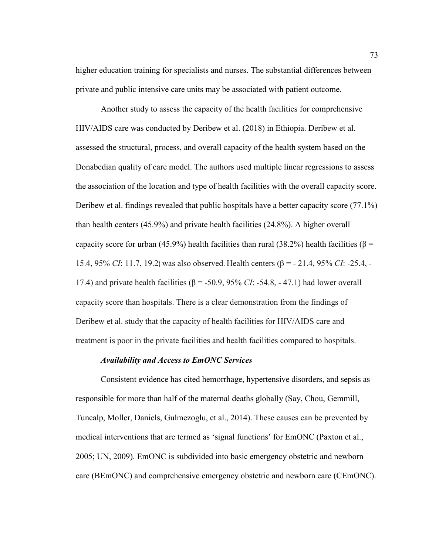higher education training for specialists and nurses. The substantial differences between private and public intensive care units may be associated with patient outcome.

Another study to assess the capacity of the health facilities for comprehensive HIV/AIDS care was conducted by Deribew et al. (2018) in Ethiopia. Deribew et al. assessed the structural, process, and overall capacity of the health system based on the Donabedian quality of care model. The authors used multiple linear regressions to assess the association of the location and type of health facilities with the overall capacity score. Deribew et al. findings revealed that public hospitals have a better capacity score (77.1%) than health centers (45.9%) and private health facilities (24.8%). A higher overall capacity score for urban (45.9%) health facilities than rural (38.2%) health facilities ( $\beta$  = 15.4, 95% *CI*: 11.7, 19.2) was also observed. Health centers (β = - 21.4, 95% *CI*: -25.4, - 17.4) and private health facilities ( $β = -50.9, 95% CI: -54.8, -47.1$ ) had lower overall capacity score than hospitals. There is a clear demonstration from the findings of Deribew et al. study that the capacity of health facilities for HIV/AIDS care and treatment is poor in the private facilities and health facilities compared to hospitals.

#### *Availability and Access to EmONC Services*

Consistent evidence has cited hemorrhage, hypertensive disorders, and sepsis as responsible for more than half of the maternal deaths globally (Say, Chou, Gemmill, Tuncalp, Moller, Daniels, Gulmezoglu, et al., 2014). These causes can be prevented by medical interventions that are termed as 'signal functions' for EmONC (Paxton et al., 2005; UN, 2009). EmONC is subdivided into basic emergency obstetric and newborn care (BEmONC) and comprehensive emergency obstetric and newborn care (CEmONC).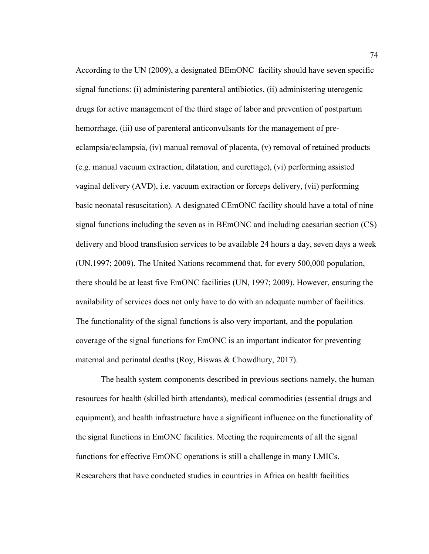According to the UN (2009), a designated BEmONC facility should have seven specific signal functions: (i) administering parenteral antibiotics, (ii) administering uterogenic drugs for active management of the third stage of labor and prevention of postpartum hemorrhage, (iii) use of parenteral anticonvulsants for the management of preeclampsia/eclampsia, (iv) manual removal of placenta, (v) removal of retained products (e.g. manual vacuum extraction, dilatation, and curettage), (vi) performing assisted vaginal delivery (AVD), i.e. vacuum extraction or forceps delivery, (vii) performing basic neonatal resuscitation). A designated CEmONC facility should have a total of nine signal functions including the seven as in BEmONC and including caesarian section (CS) delivery and blood transfusion services to be available 24 hours a day, seven days a week (UN,1997; 2009). The United Nations recommend that, for every 500,000 population, there should be at least five EmONC facilities (UN, 1997; 2009). However, ensuring the availability of services does not only have to do with an adequate number of facilities. The functionality of the signal functions is also very important, and the population coverage of the signal functions for EmONC is an important indicator for preventing maternal and perinatal deaths (Roy, Biswas & Chowdhury, 2017).

The health system components described in previous sections namely, the human resources for health (skilled birth attendants), medical commodities (essential drugs and equipment), and health infrastructure have a significant influence on the functionality of the signal functions in EmONC facilities. Meeting the requirements of all the signal functions for effective EmONC operations is still a challenge in many LMICs. Researchers that have conducted studies in countries in Africa on health facilities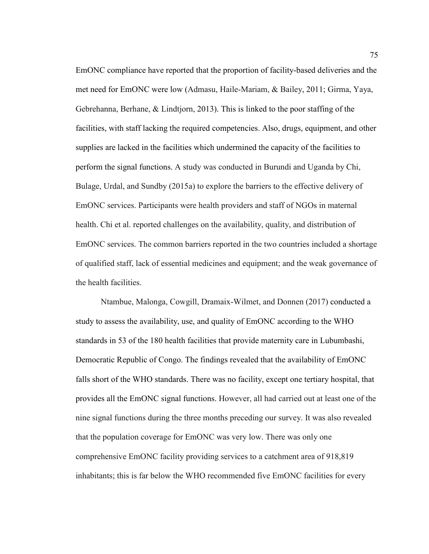EmONC compliance have reported that the proportion of facility-based deliveries and the met need for EmONC were low (Admasu, Haile-Mariam, & Bailey, 2011; Girma, Yaya, Gebrehanna, Berhane, & Lindtjorn, 2013). This is linked to the poor staffing of the facilities, with staff lacking the required competencies. Also, drugs, equipment, and other supplies are lacked in the facilities which undermined the capacity of the facilities to perform the signal functions. A study was conducted in Burundi and Uganda by Chi, Bulage, Urdal, and Sundby (2015a) to explore the barriers to the effective delivery of EmONC services. Participants were health providers and staff of NGOs in maternal health. Chi et al. reported challenges on the availability, quality, and distribution of EmONC services. The common barriers reported in the two countries included a shortage of qualified staff, lack of essential medicines and equipment; and the weak governance of the health facilities.

Ntambue, Malonga, Cowgill, Dramaix-Wilmet, and Donnen (2017) conducted a study to assess the availability, use, and quality of EmONC according to the WHO standards in 53 of the 180 health facilities that provide maternity care in Lubumbashi, Democratic Republic of Congo. The findings revealed that the availability of EmONC falls short of the WHO standards. There was no facility, except one tertiary hospital, that provides all the EmONC signal functions. However, all had carried out at least one of the nine signal functions during the three months preceding our survey. It was also revealed that the population coverage for EmONC was very low. There was only one comprehensive EmONC facility providing services to a catchment area of 918,819 inhabitants; this is far below the WHO recommended five EmONC facilities for every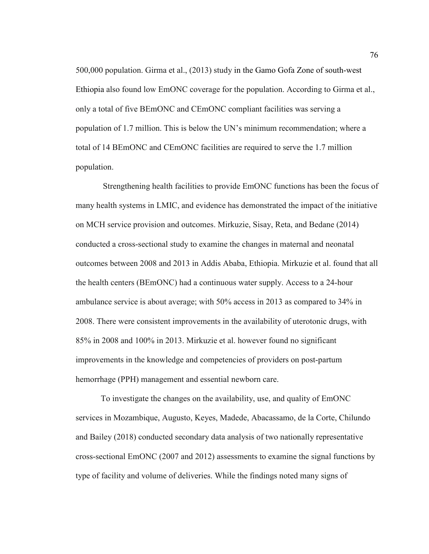500,000 population. Girma et al., (2013) study in the Gamo Gofa Zone of south-west Ethiopia also found low EmONC coverage for the population. According to Girma et al., only a total of five BEmONC and CEmONC compliant facilities was serving a population of 1.7 million. This is below the UN's minimum recommendation; where a total of 14 BEmONC and CEmONC facilities are required to serve the 1.7 million population.

 Strengthening health facilities to provide EmONC functions has been the focus of many health systems in LMIC, and evidence has demonstrated the impact of the initiative on MCH service provision and outcomes. Mirkuzie, Sisay, Reta, and Bedane (2014) conducted a cross-sectional study to examine the changes in maternal and neonatal outcomes between 2008 and 2013 in Addis Ababa, Ethiopia. Mirkuzie et al. found that all the health centers (BEmONC) had a continuous water supply. Access to a 24-hour ambulance service is about average; with 50% access in 2013 as compared to 34% in 2008. There were consistent improvements in the availability of uterotonic drugs, with 85% in 2008 and 100% in 2013. Mirkuzie et al. however found no significant improvements in the knowledge and competencies of providers on post-partum hemorrhage (PPH) management and essential newborn care.

To investigate the changes on the availability, use, and quality of EmONC services in Mozambique, Augusto, Keyes, Madede, Abacassamo, de la Corte, Chilundo and Bailey (2018) conducted secondary data analysis of two nationally representative cross-sectional EmONC (2007 and 2012) assessments to examine the signal functions by type of facility and volume of deliveries. While the findings noted many signs of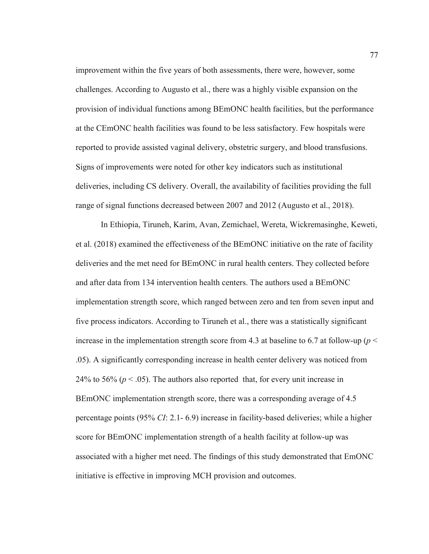improvement within the five years of both assessments, there were, however, some challenges. According to Augusto et al., there was a highly visible expansion on the provision of individual functions among BEmONC health facilities, but the performance at the CEmONC health facilities was found to be less satisfactory. Few hospitals were reported to provide assisted vaginal delivery, obstetric surgery, and blood transfusions. Signs of improvements were noted for other key indicators such as institutional deliveries, including CS delivery. Overall, the availability of facilities providing the full range of signal functions decreased between 2007 and 2012 (Augusto et al., 2018).

In Ethiopia, Tiruneh, Karim, Avan, Zemichael, Wereta, Wickremasinghe, Keweti, et al. (2018) examined the effectiveness of the BEmONC initiative on the rate of facility deliveries and the met need for BEmONC in rural health centers. They collected before and after data from 134 intervention health centers. The authors used a BEmONC implementation strength score, which ranged between zero and ten from seven input and five process indicators. According to Tiruneh et al., there was a statistically significant increase in the implementation strength score from 4.3 at baseline to 6.7 at follow-up ( $p <$ .05). A significantly corresponding increase in health center delivery was noticed from 24% to 56% ( $p < .05$ ). The authors also reported that, for every unit increase in BEmONC implementation strength score, there was a corresponding average of 4.5 percentage points (95% *CI*: 2.1- 6.9) increase in facility-based deliveries; while a higher score for BEmONC implementation strength of a health facility at follow-up was associated with a higher met need. The findings of this study demonstrated that EmONC initiative is effective in improving MCH provision and outcomes.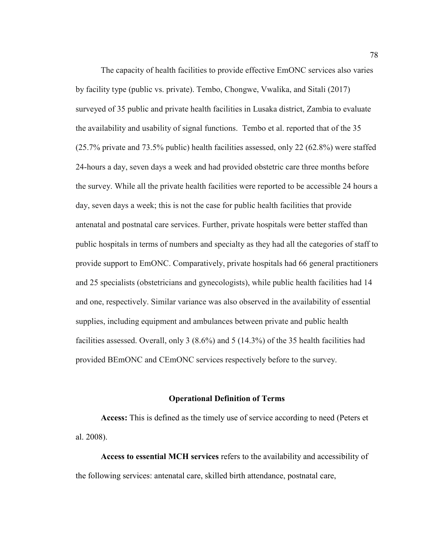The capacity of health facilities to provide effective EmONC services also varies by facility type (public vs. private). Tembo, Chongwe, Vwalika, and Sitali (2017) surveyed of 35 public and private health facilities in Lusaka district, Zambia to evaluate the availability and usability of signal functions. Tembo et al. reported that of the 35 (25.7% private and 73.5% public) health facilities assessed, only 22 (62.8%) were staffed 24-hours a day, seven days a week and had provided obstetric care three months before the survey. While all the private health facilities were reported to be accessible 24 hours a day, seven days a week; this is not the case for public health facilities that provide antenatal and postnatal care services. Further, private hospitals were better staffed than public hospitals in terms of numbers and specialty as they had all the categories of staff to provide support to EmONC. Comparatively, private hospitals had 66 general practitioners and 25 specialists (obstetricians and gynecologists), while public health facilities had 14 and one, respectively. Similar variance was also observed in the availability of essential supplies, including equipment and ambulances between private and public health facilities assessed. Overall, only 3 (8.6%) and 5 (14.3%) of the 35 health facilities had provided BEmONC and CEmONC services respectively before to the survey.

#### **Operational Definition of Terms**

**Access:** This is defined as the timely use of service according to need (Peters et al. 2008).

**Access to essential MCH services** refers to the availability and accessibility of the following services: antenatal care, skilled birth attendance, postnatal care,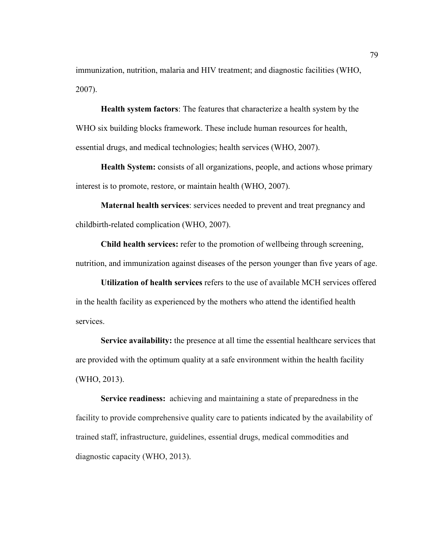immunization, nutrition, malaria and HIV treatment; and diagnostic facilities (WHO, 2007).

**Health system factors**: The features that characterize a health system by the WHO six building blocks framework. These include human resources for health, essential drugs, and medical technologies; health services (WHO, 2007).

**Health System:** consists of all organizations, people, and actions whose primary interest is to promote, restore, or maintain health (WHO, 2007).

**Maternal health services**: services needed to prevent and treat pregnancy and childbirth-related complication (WHO, 2007).

**Child health services:** refer to the promotion of wellbeing through screening, nutrition, and immunization against diseases of the person younger than five years of age.

**Utilization of health services** refers to the use of available MCH services offered in the health facility as experienced by the mothers who attend the identified health services.

**Service availability:** the presence at all time the essential healthcare services that are provided with the optimum quality at a safe environment within the health facility (WHO, 2013).

**Service readiness:** achieving and maintaining a state of preparedness in the facility to provide comprehensive quality care to patients indicated by the availability of trained staff, infrastructure, guidelines, essential drugs, medical commodities and diagnostic capacity (WHO, 2013).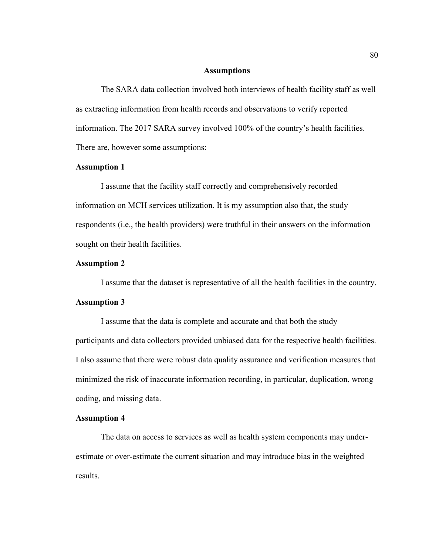#### **Assumptions**

The SARA data collection involved both interviews of health facility staff as well as extracting information from health records and observations to verify reported information. The 2017 SARA survey involved 100% of the country's health facilities. There are, however some assumptions:

## **Assumption 1**

I assume that the facility staff correctly and comprehensively recorded information on MCH services utilization. It is my assumption also that, the study respondents (i.e., the health providers) were truthful in their answers on the information sought on their health facilities.

## **Assumption 2**

I assume that the dataset is representative of all the health facilities in the country.

#### **Assumption 3**

I assume that the data is complete and accurate and that both the study participants and data collectors provided unbiased data for the respective health facilities. I also assume that there were robust data quality assurance and verification measures that minimized the risk of inaccurate information recording, in particular, duplication, wrong coding, and missing data.

## **Assumption 4**

The data on access to services as well as health system components may underestimate or over-estimate the current situation and may introduce bias in the weighted results.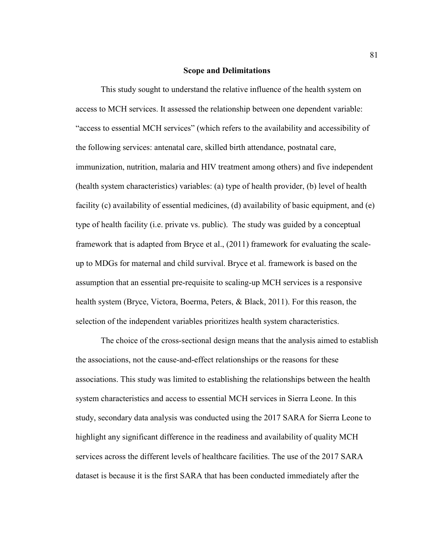#### **Scope and Delimitations**

This study sought to understand the relative influence of the health system on access to MCH services. It assessed the relationship between one dependent variable: "access to essential MCH services" (which refers to the availability and accessibility of the following services: antenatal care, skilled birth attendance, postnatal care, immunization, nutrition, malaria and HIV treatment among others) and five independent (health system characteristics) variables: (a) type of health provider, (b) level of health facility (c) availability of essential medicines, (d) availability of basic equipment, and (e) type of health facility (i.e. private vs. public). The study was guided by a conceptual framework that is adapted from Bryce et al., (2011) framework for evaluating the scaleup to MDGs for maternal and child survival. Bryce et al. framework is based on the assumption that an essential pre-requisite to scaling-up MCH services is a responsive health system (Bryce, Victora, Boerma, Peters, & Black, 2011). For this reason, the selection of the independent variables prioritizes health system characteristics.

The choice of the cross-sectional design means that the analysis aimed to establish the associations, not the cause-and-effect relationships or the reasons for these associations. This study was limited to establishing the relationships between the health system characteristics and access to essential MCH services in Sierra Leone. In this study, secondary data analysis was conducted using the 2017 SARA for Sierra Leone to highlight any significant difference in the readiness and availability of quality MCH services across the different levels of healthcare facilities. The use of the 2017 SARA dataset is because it is the first SARA that has been conducted immediately after the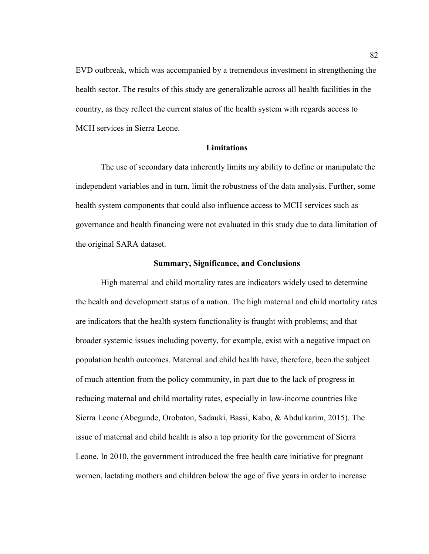EVD outbreak, which was accompanied by a tremendous investment in strengthening the health sector. The results of this study are generalizable across all health facilities in the country, as they reflect the current status of the health system with regards access to MCH services in Sierra Leone.

#### **Limitations**

The use of secondary data inherently limits my ability to define or manipulate the independent variables and in turn, limit the robustness of the data analysis. Further, some health system components that could also influence access to MCH services such as governance and health financing were not evaluated in this study due to data limitation of the original SARA dataset.

#### **Summary, Significance, and Conclusions**

High maternal and child mortality rates are indicators widely used to determine the health and development status of a nation. The high maternal and child mortality rates are indicators that the health system functionality is fraught with problems; and that broader systemic issues including poverty, for example, exist with a negative impact on population health outcomes. Maternal and child health have, therefore, been the subject of much attention from the policy community, in part due to the lack of progress in reducing maternal and child mortality rates, especially in low-income countries like Sierra Leone (Abegunde, Orobaton, Sadauki, Bassi, Kabo, & Abdulkarim, 2015). The issue of maternal and child health is also a top priority for the government of Sierra Leone. In 2010, the government introduced the free health care initiative for pregnant women, lactating mothers and children below the age of five years in order to increase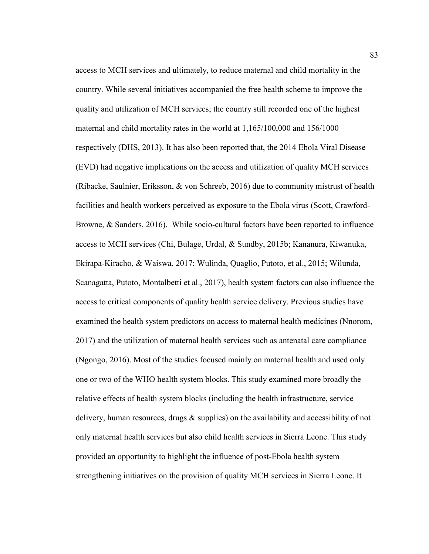access to MCH services and ultimately, to reduce maternal and child mortality in the country. While several initiatives accompanied the free health scheme to improve the quality and utilization of MCH services; the country still recorded one of the highest maternal and child mortality rates in the world at 1,165/100,000 and 156/1000 respectively (DHS, 2013). It has also been reported that, the 2014 Ebola Viral Disease (EVD) had negative implications on the access and utilization of quality MCH services (Ribacke, Saulnier, Eriksson, & von Schreeb, 2016) due to community mistrust of health facilities and health workers perceived as exposure to the Ebola virus (Scott, Crawford-Browne, & Sanders, 2016). While socio-cultural factors have been reported to influence access to MCH services (Chi, Bulage, Urdal, & Sundby, 2015b; Kananura, Kiwanuka, Ekirapa-Kiracho, & Waiswa, 2017; Wulinda, Quaglio, Putoto, et al., 2015; Wilunda, Scanagatta, Putoto, Montalbetti et al., 2017), health system factors can also influence the access to critical components of quality health service delivery. Previous studies have examined the health system predictors on access to maternal health medicines (Nnorom, 2017) and the utilization of maternal health services such as antenatal care compliance (Ngongo, 2016). Most of the studies focused mainly on maternal health and used only one or two of the WHO health system blocks. This study examined more broadly the relative effects of health system blocks (including the health infrastructure, service delivery, human resources, drugs & supplies) on the availability and accessibility of not only maternal health services but also child health services in Sierra Leone. This study provided an opportunity to highlight the influence of post-Ebola health system strengthening initiatives on the provision of quality MCH services in Sierra Leone. It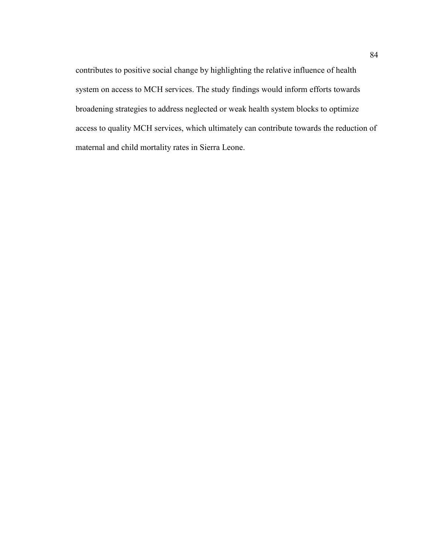contributes to positive social change by highlighting the relative influence of health system on access to MCH services. The study findings would inform efforts towards broadening strategies to address neglected or weak health system blocks to optimize access to quality MCH services, which ultimately can contribute towards the reduction of maternal and child mortality rates in Sierra Leone.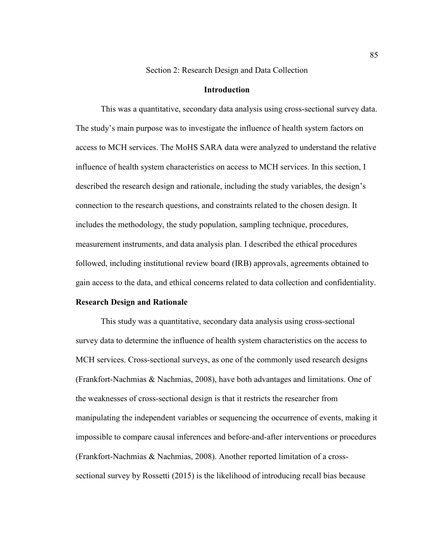#### Section 2: Research Design and Data Collection

## **Introduction**

This was a quantitative, secondary data analysis using cross-sectional survey data. The study's main purpose was to investigate the influence of health system factors on access to MCH services. The MoHS SARA data were analyzed to understand the relative influence of health system characteristics on access to MCH services. In this section, I described the research design and rationale, including the study variables, the design's connection to the research questions, and constraints related to the chosen design. It includes the methodology, the study population, sampling technique, procedures, measurement instruments, and data analysis plan. I described the ethical procedures followed, including institutional review board (IRB) approvals, agreements obtained to gain access to the data, and ethical concerns related to data collection and confidentiality.

#### **Research Design and Rationale**

This study was a quantitative, secondary data analysis using cross-sectional survey data to determine the influence of health system characteristics on the access to MCH services. Cross-sectional surveys, as one of the commonly used research designs (Frankfort-Nachmias & Nachmias, 2008), have both advantages and limitations. One of the weaknesses of cross-sectional design is that it restricts the researcher from manipulating the independent variables or sequencing the occurrence of events, making it impossible to compare causal inferences and before-and-after interventions or procedures (Frankfort-Nachmias & Nachmias, 2008). Another reported limitation of a crosssectional survey by Rossetti (2015) is the likelihood of introducing recall bias because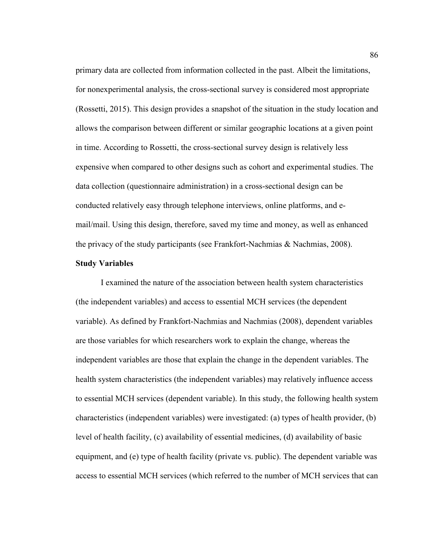primary data are collected from information collected in the past. Albeit the limitations, for nonexperimental analysis, the cross-sectional survey is considered most appropriate (Rossetti, 2015). This design provides a snapshot of the situation in the study location and allows the comparison between different or similar geographic locations at a given point in time. According to Rossetti, the cross-sectional survey design is relatively less expensive when compared to other designs such as cohort and experimental studies. The data collection (questionnaire administration) in a cross-sectional design can be conducted relatively easy through telephone interviews, online platforms, and email/mail. Using this design, therefore, saved my time and money, as well as enhanced the privacy of the study participants (see Frankfort-Nachmias & Nachmias, 2008).

#### **Study Variables**

I examined the nature of the association between health system characteristics (the independent variables) and access to essential MCH services (the dependent variable). As defined by Frankfort-Nachmias and Nachmias (2008), dependent variables are those variables for which researchers work to explain the change, whereas the independent variables are those that explain the change in the dependent variables. The health system characteristics (the independent variables) may relatively influence access to essential MCH services (dependent variable). In this study, the following health system characteristics (independent variables) were investigated: (a) types of health provider, (b) level of health facility, (c) availability of essential medicines, (d) availability of basic equipment, and (e) type of health facility (private vs. public). The dependent variable was access to essential MCH services (which referred to the number of MCH services that can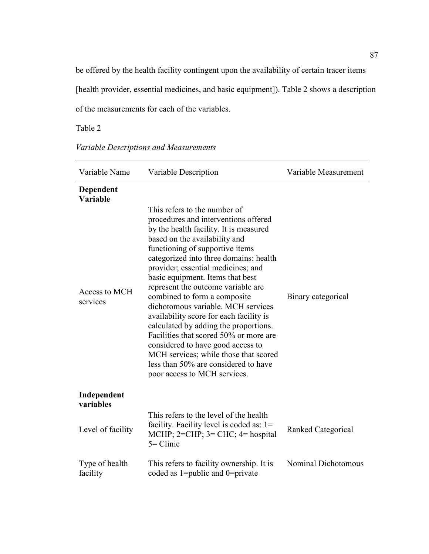be offered by the health facility contingent upon the availability of certain tracer items [health provider, essential medicines, and basic equipment]). Table 2 shows a description of the measurements for each of the variables.

Table 2

| Variable Descriptions and Measurements |  |  |
|----------------------------------------|--|--|
|----------------------------------------|--|--|

| Variable Name              | Variable Description                                                                                                                                                                                                                                                                                                                                                                                                                                                                                                                                                                                                                                                                                   | Variable Measurement |
|----------------------------|--------------------------------------------------------------------------------------------------------------------------------------------------------------------------------------------------------------------------------------------------------------------------------------------------------------------------------------------------------------------------------------------------------------------------------------------------------------------------------------------------------------------------------------------------------------------------------------------------------------------------------------------------------------------------------------------------------|----------------------|
| Dependent<br>Variable      |                                                                                                                                                                                                                                                                                                                                                                                                                                                                                                                                                                                                                                                                                                        |                      |
| Access to MCH<br>services  | This refers to the number of<br>procedures and interventions offered<br>by the health facility. It is measured<br>based on the availability and<br>functioning of supportive items<br>categorized into three domains: health<br>provider; essential medicines; and<br>basic equipment. Items that best<br>represent the outcome variable are<br>combined to form a composite<br>dichotomous variable. MCH services<br>availability score for each facility is<br>calculated by adding the proportions.<br>Facilities that scored 50% or more are<br>considered to have good access to<br>MCH services; while those that scored<br>less than 50% are considered to have<br>poor access to MCH services. | Binary categorical   |
| Independent<br>variables   |                                                                                                                                                                                                                                                                                                                                                                                                                                                                                                                                                                                                                                                                                                        |                      |
| Level of facility          | This refers to the level of the health<br>facility. Facility level is coded as: $1 =$<br>MCHP; $2=CHP$ ; $3=CHC$ ; $4=$ hospital<br>$5 =$ Clinic                                                                                                                                                                                                                                                                                                                                                                                                                                                                                                                                                       | Ranked Categorical   |
| Type of health<br>facility | This refers to facility ownership. It is<br>coded as 1=public and 0=private                                                                                                                                                                                                                                                                                                                                                                                                                                                                                                                                                                                                                            | Nominal Dichotomous  |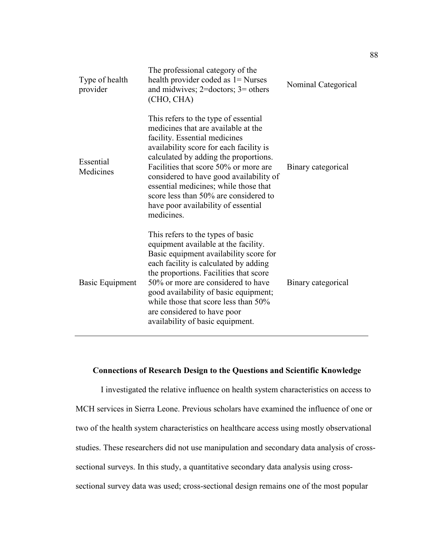| Type of health<br>provider | The professional category of the<br>health provider coded as 1 = Nurses<br>and midwives; $2 =$ doctors; $3 =$ others<br>(CHO, CHA)                                                                                                                                                                                                                                                                                          | Nominal Categorical |
|----------------------------|-----------------------------------------------------------------------------------------------------------------------------------------------------------------------------------------------------------------------------------------------------------------------------------------------------------------------------------------------------------------------------------------------------------------------------|---------------------|
| Essential<br>Medicines     | This refers to the type of essential<br>medicines that are available at the<br>facility. Essential medicines<br>availability score for each facility is<br>calculated by adding the proportions.<br>Facilities that score 50% or more are<br>considered to have good availability of<br>essential medicines; while those that<br>score less than 50% are considered to<br>have poor availability of essential<br>medicines. | Binary categorical  |
| Basic Equipment            | This refers to the types of basic<br>equipment available at the facility.<br>Basic equipment availability score for<br>each facility is calculated by adding<br>the proportions. Facilities that score<br>50% or more are considered to have<br>good availability of basic equipment;<br>while those that score less than 50%<br>are considered to have poor<br>availability of basic equipment.                            | Binary categorical  |

# **Connections of Research Design to the Questions and Scientific Knowledge**

I investigated the relative influence on health system characteristics on access to MCH services in Sierra Leone. Previous scholars have examined the influence of one or two of the health system characteristics on healthcare access using mostly observational studies. These researchers did not use manipulation and secondary data analysis of crosssectional surveys. In this study, a quantitative secondary data analysis using crosssectional survey data was used; cross-sectional design remains one of the most popular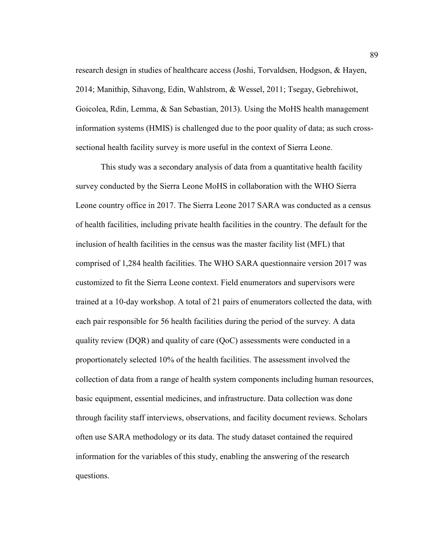research design in studies of healthcare access (Joshi, Torvaldsen, Hodgson, & Hayen, 2014; Manithip, Sihavong, Edin, Wahlstrom, & Wessel, 2011; Tsegay, Gebrehiwot, Goicolea, Rdin, Lemma, & San Sebastian, 2013). Using the MoHS health management information systems (HMIS) is challenged due to the poor quality of data; as such crosssectional health facility survey is more useful in the context of Sierra Leone.

This study was a secondary analysis of data from a quantitative health facility survey conducted by the Sierra Leone MoHS in collaboration with the WHO Sierra Leone country office in 2017. The Sierra Leone 2017 SARA was conducted as a census of health facilities, including private health facilities in the country. The default for the inclusion of health facilities in the census was the master facility list (MFL) that comprised of 1,284 health facilities. The WHO SARA questionnaire version 2017 was customized to fit the Sierra Leone context. Field enumerators and supervisors were trained at a 10-day workshop. A total of 21 pairs of enumerators collected the data, with each pair responsible for 56 health facilities during the period of the survey. A data quality review (DQR) and quality of care (QoC) assessments were conducted in a proportionately selected 10% of the health facilities. The assessment involved the collection of data from a range of health system components including human resources, basic equipment, essential medicines, and infrastructure. Data collection was done through facility staff interviews, observations, and facility document reviews. Scholars often use SARA methodology or its data. The study dataset contained the required information for the variables of this study, enabling the answering of the research questions.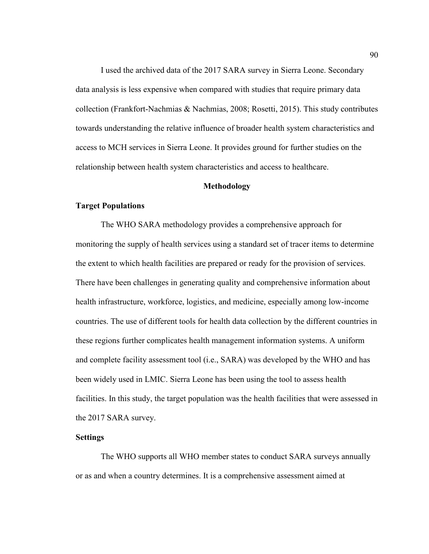I used the archived data of the 2017 SARA survey in Sierra Leone. Secondary data analysis is less expensive when compared with studies that require primary data collection (Frankfort-Nachmias & Nachmias, 2008; Rosetti, 2015). This study contributes towards understanding the relative influence of broader health system characteristics and access to MCH services in Sierra Leone. It provides ground for further studies on the relationship between health system characteristics and access to healthcare.

#### **Methodology**

### **Target Populations**

The WHO SARA methodology provides a comprehensive approach for monitoring the supply of health services using a standard set of tracer items to determine the extent to which health facilities are prepared or ready for the provision of services. There have been challenges in generating quality and comprehensive information about health infrastructure, workforce, logistics, and medicine, especially among low-income countries. The use of different tools for health data collection by the different countries in these regions further complicates health management information systems. A uniform and complete facility assessment tool (i.e., SARA) was developed by the WHO and has been widely used in LMIC. Sierra Leone has been using the tool to assess health facilities. In this study, the target population was the health facilities that were assessed in the 2017 SARA survey.

#### **Settings**

The WHO supports all WHO member states to conduct SARA surveys annually or as and when a country determines. It is a comprehensive assessment aimed at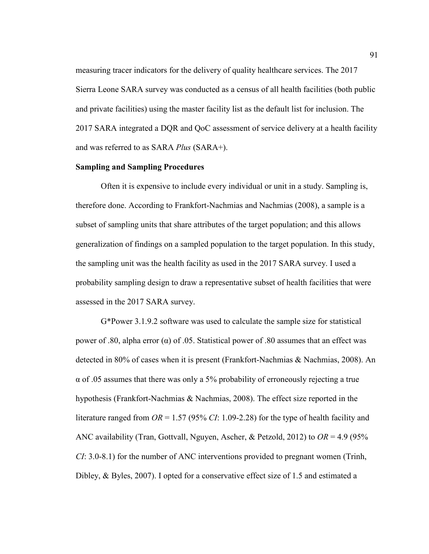measuring tracer indicators for the delivery of quality healthcare services. The 2017 Sierra Leone SARA survey was conducted as a census of all health facilities (both public and private facilities) using the master facility list as the default list for inclusion. The 2017 SARA integrated a DQR and QoC assessment of service delivery at a health facility and was referred to as SARA *Plus* (SARA+).

# **Sampling and Sampling Procedures**

Often it is expensive to include every individual or unit in a study. Sampling is, therefore done. According to Frankfort-Nachmias and Nachmias (2008), a sample is a subset of sampling units that share attributes of the target population; and this allows generalization of findings on a sampled population to the target population. In this study, the sampling unit was the health facility as used in the 2017 SARA survey. I used a probability sampling design to draw a representative subset of health facilities that were assessed in the 2017 SARA survey.

G\*Power 3.1.9.2 software was used to calculate the sample size for statistical power of .80, alpha error (α) of .05. Statistical power of .80 assumes that an effect was detected in 80% of cases when it is present (Frankfort-Nachmias & Nachmias, 2008). An  $\alpha$  of .05 assumes that there was only a 5% probability of erroneously rejecting a true hypothesis (Frankfort-Nachmias & Nachmias, 2008). The effect size reported in the literature ranged from  $OR = 1.57$  (95% *CI*: 1.09-2.28) for the type of health facility and ANC availability (Tran, Gottvall, Nguyen, Ascher, & Petzold, 2012) to *OR* = 4.9 (95% *CI*: 3.0-8.1) for the number of ANC interventions provided to pregnant women (Trinh, Dibley, & Byles, 2007). I opted for a conservative effect size of 1.5 and estimated a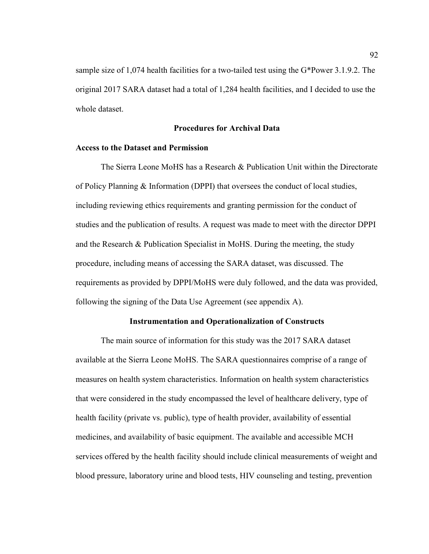sample size of 1,074 health facilities for a two-tailed test using the G\*Power 3.1.9.2. The original 2017 SARA dataset had a total of 1,284 health facilities, and I decided to use the whole dataset.

## **Procedures for Archival Data**

## **Access to the Dataset and Permission**

The Sierra Leone MoHS has a Research & Publication Unit within the Directorate of Policy Planning & Information (DPPI) that oversees the conduct of local studies, including reviewing ethics requirements and granting permission for the conduct of studies and the publication of results. A request was made to meet with the director DPPI and the Research & Publication Specialist in MoHS. During the meeting, the study procedure, including means of accessing the SARA dataset, was discussed. The requirements as provided by DPPI/MoHS were duly followed, and the data was provided, following the signing of the Data Use Agreement (see appendix A).

#### **Instrumentation and Operationalization of Constructs**

The main source of information for this study was the 2017 SARA dataset available at the Sierra Leone MoHS. The SARA questionnaires comprise of a range of measures on health system characteristics. Information on health system characteristics that were considered in the study encompassed the level of healthcare delivery, type of health facility (private vs. public), type of health provider, availability of essential medicines, and availability of basic equipment. The available and accessible MCH services offered by the health facility should include clinical measurements of weight and blood pressure, laboratory urine and blood tests, HIV counseling and testing, prevention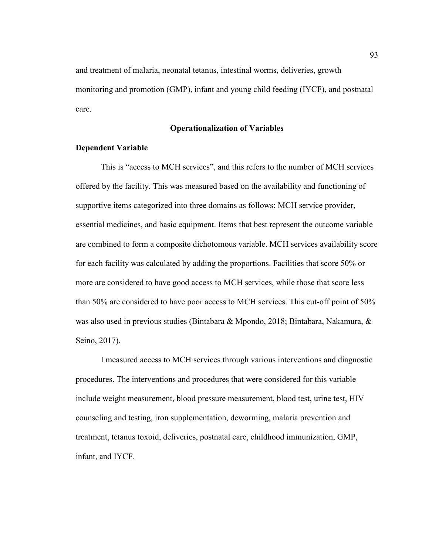and treatment of malaria, neonatal tetanus, intestinal worms, deliveries, growth monitoring and promotion (GMP), infant and young child feeding (IYCF), and postnatal care.

## **Operationalization of Variables**

#### **Dependent Variable**

This is "access to MCH services", and this refers to the number of MCH services offered by the facility. This was measured based on the availability and functioning of supportive items categorized into three domains as follows: MCH service provider, essential medicines, and basic equipment. Items that best represent the outcome variable are combined to form a composite dichotomous variable. MCH services availability score for each facility was calculated by adding the proportions. Facilities that score 50% or more are considered to have good access to MCH services, while those that score less than 50% are considered to have poor access to MCH services. This cut-off point of 50% was also used in previous studies (Bintabara & Mpondo, 2018; Bintabara, Nakamura, & Seino, 2017).

I measured access to MCH services through various interventions and diagnostic procedures. The interventions and procedures that were considered for this variable include weight measurement, blood pressure measurement, blood test, urine test, HIV counseling and testing, iron supplementation, deworming, malaria prevention and treatment, tetanus toxoid, deliveries, postnatal care, childhood immunization, GMP, infant, and IYCF.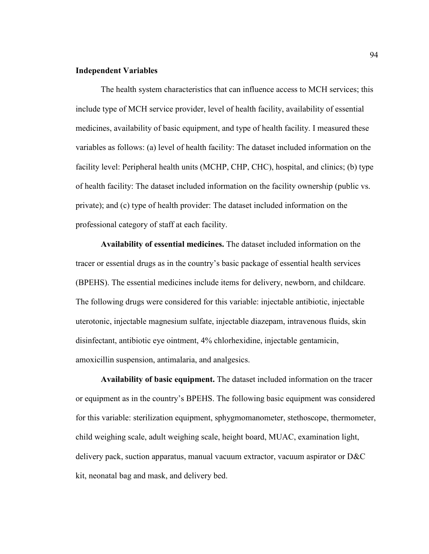#### **Independent Variables**

The health system characteristics that can influence access to MCH services; this include type of MCH service provider, level of health facility, availability of essential medicines, availability of basic equipment, and type of health facility. I measured these variables as follows: (a) level of health facility: The dataset included information on the facility level: Peripheral health units (MCHP, CHP, CHC), hospital, and clinics; (b) type of health facility: The dataset included information on the facility ownership (public vs. private); and (c) type of health provider: The dataset included information on the professional category of staff at each facility.

**Availability of essential medicines.** The dataset included information on the tracer or essential drugs as in the country's basic package of essential health services (BPEHS). The essential medicines include items for delivery, newborn, and childcare. The following drugs were considered for this variable: injectable antibiotic, injectable uterotonic, injectable magnesium sulfate, injectable diazepam, intravenous fluids, skin disinfectant, antibiotic eye ointment, 4% chlorhexidine, injectable gentamicin, amoxicillin suspension, antimalaria, and analgesics.

**Availability of basic equipment.** The dataset included information on the tracer or equipment as in the country's BPEHS. The following basic equipment was considered for this variable: sterilization equipment, sphygmomanometer, stethoscope, thermometer, child weighing scale, adult weighing scale, height board, MUAC, examination light, delivery pack, suction apparatus, manual vacuum extractor, vacuum aspirator or D&C kit, neonatal bag and mask, and delivery bed.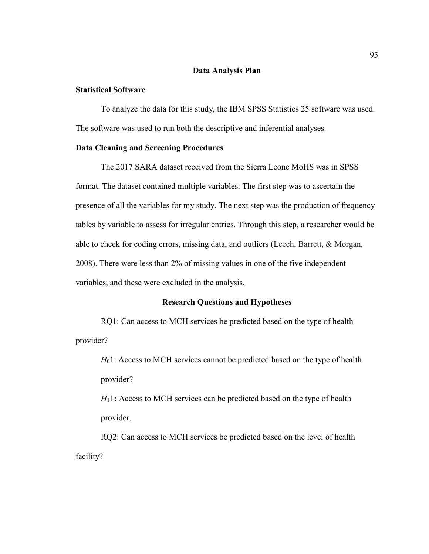### **Data Analysis Plan**

# **Statistical Software**

To analyze the data for this study, the IBM SPSS Statistics 25 software was used. The software was used to run both the descriptive and inferential analyses.

#### **Data Cleaning and Screening Procedures**

The 2017 SARA dataset received from the Sierra Leone MoHS was in SPSS format. The dataset contained multiple variables. The first step was to ascertain the presence of all the variables for my study. The next step was the production of frequency tables by variable to assess for irregular entries. Through this step, a researcher would be able to check for coding errors, missing data, and outliers (Leech, Barrett, & Morgan, 2008). There were less than 2% of missing values in one of the five independent variables, and these were excluded in the analysis.

#### **Research Questions and Hypotheses**

RQ1: Can access to MCH services be predicted based on the type of health provider?

*H*<sub>0</sub>1: Access to MCH services cannot be predicted based on the type of health provider?

*H*11**:** Access to MCH services can be predicted based on the type of health provider.

RQ2: Can access to MCH services be predicted based on the level of health facility?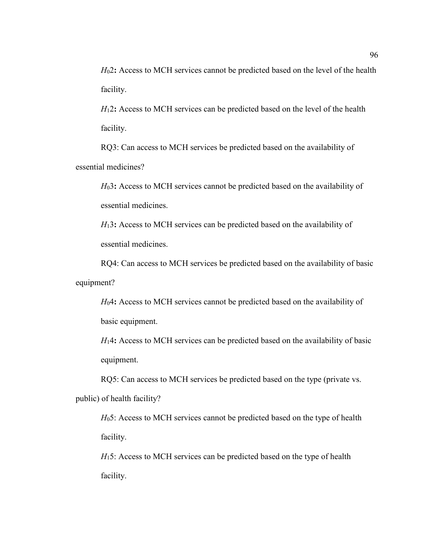*H*02**:** Access to MCH services cannot be predicted based on the level of the health facility.

*H*12**:** Access to MCH services can be predicted based on the level of the health facility.

RQ3: Can access to MCH services be predicted based on the availability of essential medicines?

*H*03**:** Access to MCH services cannot be predicted based on the availability of essential medicines.

*H*13**:** Access to MCH services can be predicted based on the availability of essential medicines.

RQ4: Can access to MCH services be predicted based on the availability of basic equipment?

*H*04**:** Access to MCH services cannot be predicted based on the availability of basic equipment.

*H*14**:** Access to MCH services can be predicted based on the availability of basic equipment.

RQ5: Can access to MCH services be predicted based on the type (private vs. public) of health facility?

*H*<sub>0</sub>5: Access to MCH services cannot be predicted based on the type of health facility.

*H*<sub>15</sub>: Access to MCH services can be predicted based on the type of health facility.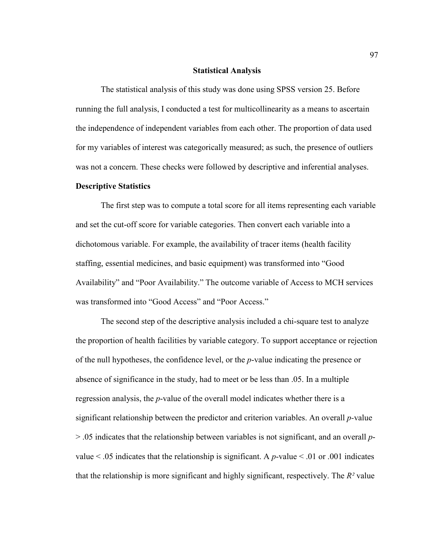#### **Statistical Analysis**

The statistical analysis of this study was done using SPSS version 25. Before running the full analysis, I conducted a test for multicollinearity as a means to ascertain the independence of independent variables from each other. The proportion of data used for my variables of interest was categorically measured; as such, the presence of outliers was not a concern. These checks were followed by descriptive and inferential analyses.

## **Descriptive Statistics**

The first step was to compute a total score for all items representing each variable and set the cut-off score for variable categories. Then convert each variable into a dichotomous variable. For example, the availability of tracer items (health facility staffing, essential medicines, and basic equipment) was transformed into "Good Availability" and "Poor Availability." The outcome variable of Access to MCH services was transformed into "Good Access" and "Poor Access."

The second step of the descriptive analysis included a chi-square test to analyze the proportion of health facilities by variable category. To support acceptance or rejection of the null hypotheses, the confidence level, or the *p*-value indicating the presence or absence of significance in the study, had to meet or be less than .05. In a multiple regression analysis, the *p*-value of the overall model indicates whether there is a significant relationship between the predictor and criterion variables. An overall *p-*value > .05 indicates that the relationship between variables is not significant, and an overall *p*value  $\leq$  0.05 indicates that the relationship is significant. A *p*-value  $\leq$  0.01 or 0.001 indicates that the relationship is more significant and highly significant, respectively. The *R²* value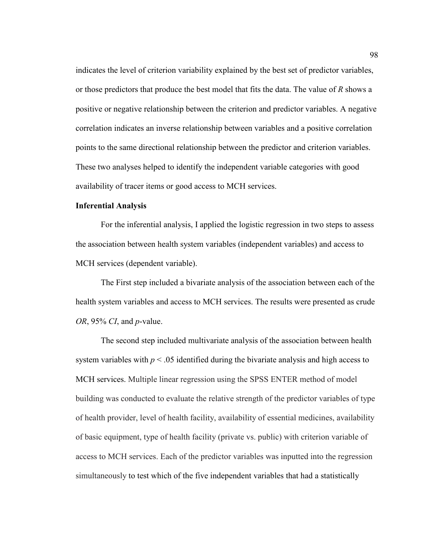indicates the level of criterion variability explained by the best set of predictor variables, or those predictors that produce the best model that fits the data. The value of *R* shows a positive or negative relationship between the criterion and predictor variables. A negative correlation indicates an inverse relationship between variables and a positive correlation points to the same directional relationship between the predictor and criterion variables. These two analyses helped to identify the independent variable categories with good availability of tracer items or good access to MCH services.

## **Inferential Analysis**

For the inferential analysis, I applied the logistic regression in two steps to assess the association between health system variables (independent variables) and access to MCH services (dependent variable).

The First step included a bivariate analysis of the association between each of the health system variables and access to MCH services. The results were presented as crude *OR*, 95% *CI*, and *p*-value.

The second step included multivariate analysis of the association between health system variables with  $p < 0.05$  identified during the bivariate analysis and high access to MCH services. Multiple linear regression using the SPSS ENTER method of model building was conducted to evaluate the relative strength of the predictor variables of type of health provider, level of health facility, availability of essential medicines, availability of basic equipment, type of health facility (private vs. public) with criterion variable of access to MCH services. Each of the predictor variables was inputted into the regression simultaneously to test which of the five independent variables that had a statistically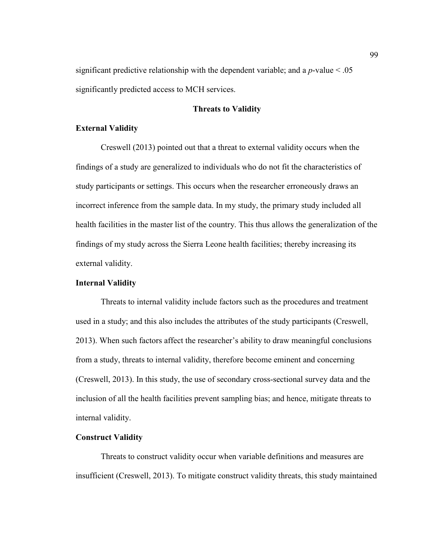significant predictive relationship with the dependent variable; and a  $p$ -value  $\leq 0.05$ significantly predicted access to MCH services.

## **Threats to Validity**

## **External Validity**

Creswell (2013) pointed out that a threat to external validity occurs when the findings of a study are generalized to individuals who do not fit the characteristics of study participants or settings. This occurs when the researcher erroneously draws an incorrect inference from the sample data. In my study, the primary study included all health facilities in the master list of the country. This thus allows the generalization of the findings of my study across the Sierra Leone health facilities; thereby increasing its external validity.

#### **Internal Validity**

Threats to internal validity include factors such as the procedures and treatment used in a study; and this also includes the attributes of the study participants (Creswell, 2013). When such factors affect the researcher's ability to draw meaningful conclusions from a study, threats to internal validity, therefore become eminent and concerning (Creswell, 2013). In this study, the use of secondary cross-sectional survey data and the inclusion of all the health facilities prevent sampling bias; and hence, mitigate threats to internal validity.

## **Construct Validity**

Threats to construct validity occur when variable definitions and measures are insufficient (Creswell, 2013). To mitigate construct validity threats, this study maintained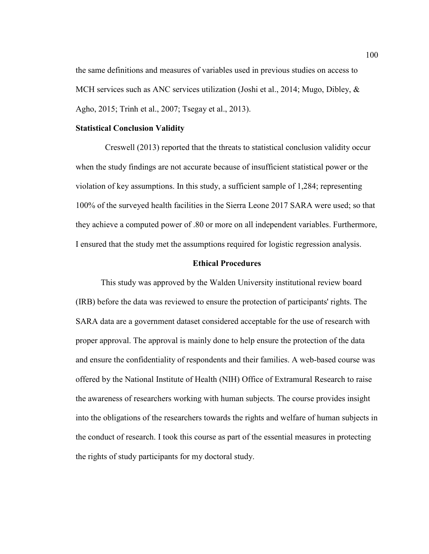the same definitions and measures of variables used in previous studies on access to MCH services such as ANC services utilization (Joshi et al., 2014; Mugo, Dibley,  $\&$ Agho, 2015; Trinh et al., 2007; Tsegay et al., 2013).

#### **Statistical Conclusion Validity**

Creswell (2013) reported that the threats to statistical conclusion validity occur when the study findings are not accurate because of insufficient statistical power or the violation of key assumptions. In this study, a sufficient sample of 1,284; representing 100% of the surveyed health facilities in the Sierra Leone 2017 SARA were used; so that they achieve a computed power of .80 or more on all independent variables. Furthermore, I ensured that the study met the assumptions required for logistic regression analysis.

#### **Ethical Procedures**

This study was approved by the Walden University institutional review board (IRB) before the data was reviewed to ensure the protection of participants' rights. The SARA data are a government dataset considered acceptable for the use of research with proper approval. The approval is mainly done to help ensure the protection of the data and ensure the confidentiality of respondents and their families. A web-based course was offered by the National Institute of Health (NIH) Office of Extramural Research to raise the awareness of researchers working with human subjects. The course provides insight into the obligations of the researchers towards the rights and welfare of human subjects in the conduct of research. I took this course as part of the essential measures in protecting the rights of study participants for my doctoral study.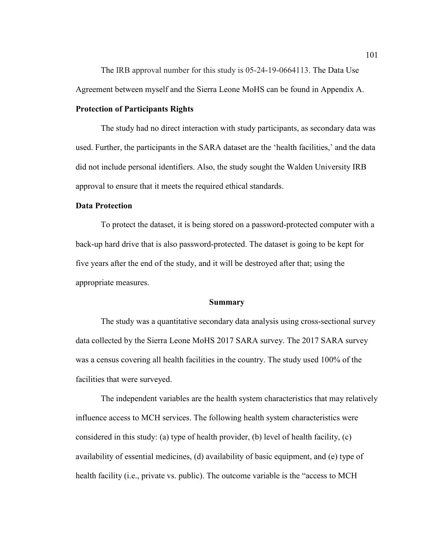The IRB approval number for this study is 05-24-19-0664113. The Data Use Agreement between myself and the Sierra Leone MoHS can be found in Appendix A.

#### **Protection of Participants Rights**

The study had no direct interaction with study participants, as secondary data was used. Further, the participants in the SARA dataset are the 'health facilities,' and the data did not include personal identifiers. Also, the study sought the Walden University IRB approval to ensure that it meets the required ethical standards.

## **Data Protection**

To protect the dataset, it is being stored on a password-protected computer with a back-up hard drive that is also password-protected. The dataset is going to be kept for five years after the end of the study, and it will be destroyed after that; using the appropriate measures.

#### **Summary**

The study was a quantitative secondary data analysis using cross-sectional survey data collected by the Sierra Leone MoHS 2017 SARA survey. The 2017 SARA survey was a census covering all health facilities in the country. The study used 100% of the facilities that were surveyed.

The independent variables are the health system characteristics that may relatively influence access to MCH services. The following health system characteristics were considered in this study: (a) type of health provider, (b) level of health facility, (c) availability of essential medicines, (d) availability of basic equipment, and (e) type of health facility (i.e., private vs. public). The outcome variable is the "access to MCH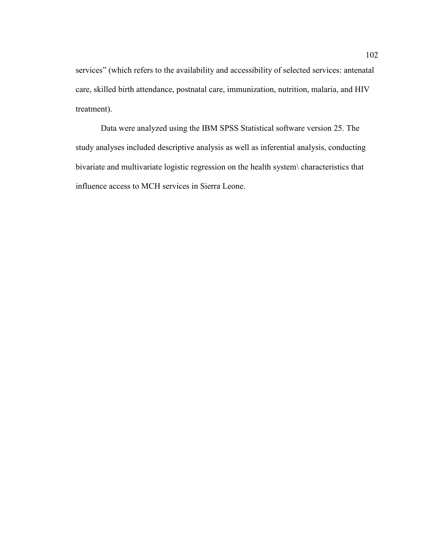services" (which refers to the availability and accessibility of selected services: antenatal care, skilled birth attendance, postnatal care, immunization, nutrition, malaria, and HIV treatment).

Data were analyzed using the IBM SPSS Statistical software version 25. The study analyses included descriptive analysis as well as inferential analysis, conducting bivariate and multivariate logistic regression on the health system\ characteristics that influence access to MCH services in Sierra Leone.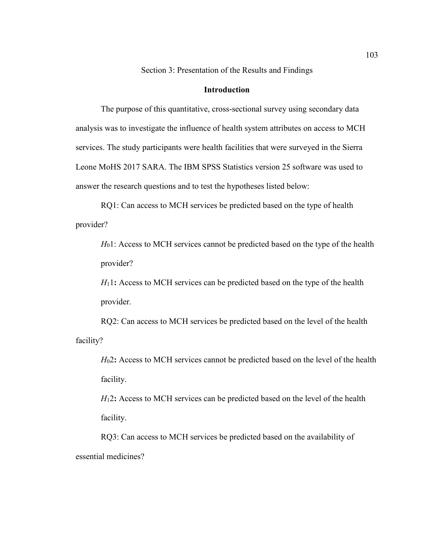Section 3: Presentation of the Results and Findings

## **Introduction**

The purpose of this quantitative, cross-sectional survey using secondary data analysis was to investigate the influence of health system attributes on access to MCH services. The study participants were health facilities that were surveyed in the Sierra Leone MoHS 2017 SARA. The IBM SPSS Statistics version 25 software was used to answer the research questions and to test the hypotheses listed below:

RQ1: Can access to MCH services be predicted based on the type of health provider?

*H*<sub>0</sub>1: Access to MCH services cannot be predicted based on the type of the health provider?

*H*<sub>1</sub>1: Access to MCH services can be predicted based on the type of the health provider.

RQ2: Can access to MCH services be predicted based on the level of the health facility?

*H*02**:** Access to MCH services cannot be predicted based on the level of the health facility.

*H*12**:** Access to MCH services can be predicted based on the level of the health facility.

RQ3: Can access to MCH services be predicted based on the availability of essential medicines?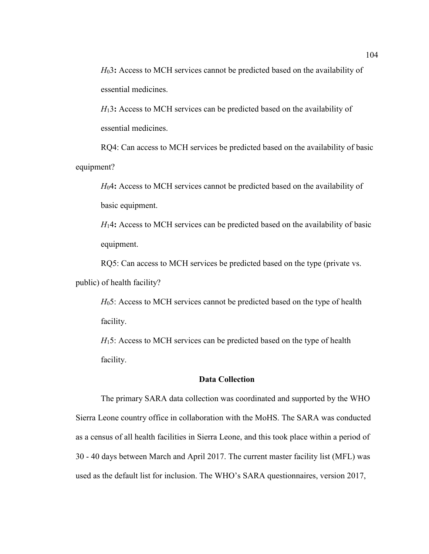*H*03**:** Access to MCH services cannot be predicted based on the availability of essential medicines.

*H*13**:** Access to MCH services can be predicted based on the availability of essential medicines.

RQ4: Can access to MCH services be predicted based on the availability of basic equipment?

*H*04**:** Access to MCH services cannot be predicted based on the availability of basic equipment.

*H*14**:** Access to MCH services can be predicted based on the availability of basic equipment.

RQ5: Can access to MCH services be predicted based on the type (private vs. public) of health facility?

*H*<sub>0</sub>5: Access to MCH services cannot be predicted based on the type of health facility.

*H*<sub>15</sub>: Access to MCH services can be predicted based on the type of health facility.

## **Data Collection**

The primary SARA data collection was coordinated and supported by the WHO Sierra Leone country office in collaboration with the MoHS. The SARA was conducted as a census of all health facilities in Sierra Leone, and this took place within a period of 30 - 40 days between March and April 2017. The current master facility list (MFL) was used as the default list for inclusion. The WHO's SARA questionnaires, version 2017,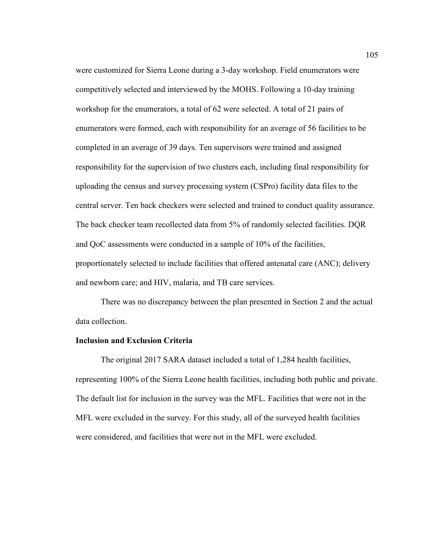were customized for Sierra Leone during a 3-day workshop. Field enumerators were competitively selected and interviewed by the MOHS. Following a 10-day training workshop for the enumerators, a total of 62 were selected. A total of 21 pairs of enumerators were formed, each with responsibility for an average of 56 facilities to be completed in an average of 39 days. Ten supervisors were trained and assigned responsibility for the supervision of two clusters each, including final responsibility for uploading the census and survey processing system (CSPro) facility data files to the central server. Ten back checkers were selected and trained to conduct quality assurance. The back checker team recollected data from 5% of randomly selected facilities. DQR and QoC assessments were conducted in a sample of 10% of the facilities, proportionately selected to include facilities that offered antenatal care (ANC); delivery and newborn care; and HIV, malaria, and TB care services.

There was no discrepancy between the plan presented in Section 2 and the actual data collection.

## **Inclusion and Exclusion Criteria**

The original 2017 SARA dataset included a total of 1,284 health facilities, representing 100% of the Sierra Leone health facilities, including both public and private. The default list for inclusion in the survey was the MFL. Facilities that were not in the MFL were excluded in the survey. For this study, all of the surveyed health facilities were considered, and facilities that were not in the MFL were excluded.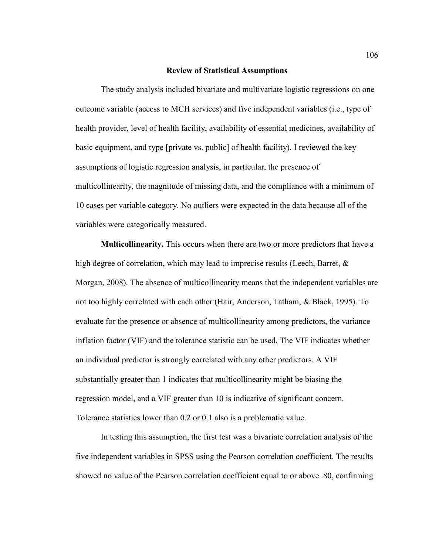#### **Review of Statistical Assumptions**

The study analysis included bivariate and multivariate logistic regressions on one outcome variable (access to MCH services) and five independent variables (i.e., type of health provider, level of health facility, availability of essential medicines, availability of basic equipment, and type [private vs. public] of health facility). I reviewed the key assumptions of logistic regression analysis, in particular, the presence of multicollinearity, the magnitude of missing data, and the compliance with a minimum of 10 cases per variable category. No outliers were expected in the data because all of the variables were categorically measured.

**Multicollinearity.** This occurs when there are two or more predictors that have a high degree of correlation, which may lead to imprecise results (Leech, Barret,  $\&$ Morgan, 2008). The absence of multicollinearity means that the independent variables are not too highly correlated with each other (Hair, Anderson, Tatham, & Black, 1995). To evaluate for the presence or absence of multicollinearity among predictors, the variance inflation factor (VIF) and the tolerance statistic can be used. The VIF indicates whether an individual predictor is strongly correlated with any other predictors. A VIF substantially greater than 1 indicates that multicollinearity might be biasing the regression model, and a VIF greater than 10 is indicative of significant concern. Tolerance statistics lower than 0.2 or 0.1 also is a problematic value.

In testing this assumption, the first test was a bivariate correlation analysis of the five independent variables in SPSS using the Pearson correlation coefficient. The results showed no value of the Pearson correlation coefficient equal to or above .80, confirming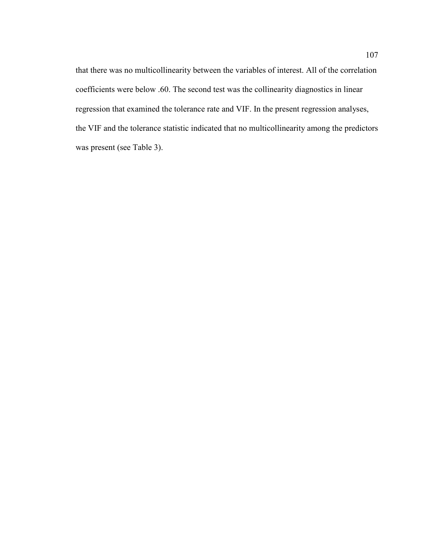that there was no multicollinearity between the variables of interest. All of the correlation coefficients were below .60. The second test was the collinearity diagnostics in linear regression that examined the tolerance rate and VIF. In the present regression analyses, the VIF and the tolerance statistic indicated that no multicollinearity among the predictors was present (see Table 3).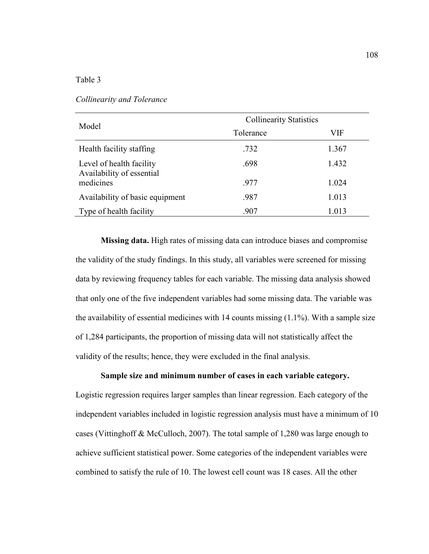Table 3

| Model                                                 | <b>Collinearity Statistics</b> |       |  |  |
|-------------------------------------------------------|--------------------------------|-------|--|--|
|                                                       | Tolerance                      | VIF   |  |  |
| Health facility staffing                              | .732                           | 1.367 |  |  |
| Level of health facility<br>Availability of essential | .698                           | 1.432 |  |  |
| medicines                                             | .977                           | 1.024 |  |  |
| Availability of basic equipment                       | .987                           | 1.013 |  |  |
| Type of health facility                               | .907                           | 1.013 |  |  |

#### *Collinearity and Tolerance*

**Missing data.** High rates of missing data can introduce biases and compromise the validity of the study findings. In this study, all variables were screened for missing data by reviewing frequency tables for each variable. The missing data analysis showed that only one of the five independent variables had some missing data. The variable was the availability of essential medicines with  $14$  counts missing  $(1.1\%)$ . With a sample size of 1,284 participants, the proportion of missing data will not statistically affect the validity of the results; hence, they were excluded in the final analysis.

## **Sample size and minimum number of cases in each variable category.**

Logistic regression requires larger samples than linear regression. Each category of the independent variables included in logistic regression analysis must have a minimum of 10 cases (Vittinghoff & McCulloch, 2007). The total sample of 1,280 was large enough to achieve sufficient statistical power. Some categories of the independent variables were combined to satisfy the rule of 10. The lowest cell count was 18 cases. All the other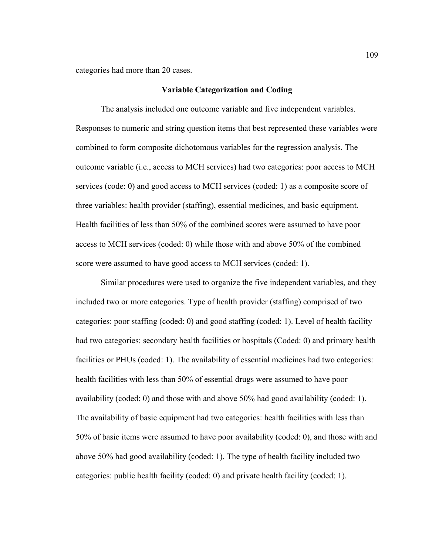categories had more than 20 cases.

#### **Variable Categorization and Coding**

The analysis included one outcome variable and five independent variables. Responses to numeric and string question items that best represented these variables were combined to form composite dichotomous variables for the regression analysis. The outcome variable (i.e., access to MCH services) had two categories: poor access to MCH services (code: 0) and good access to MCH services (coded: 1) as a composite score of three variables: health provider (staffing), essential medicines, and basic equipment. Health facilities of less than 50% of the combined scores were assumed to have poor access to MCH services (coded: 0) while those with and above 50% of the combined score were assumed to have good access to MCH services (coded: 1).

Similar procedures were used to organize the five independent variables, and they included two or more categories. Type of health provider (staffing) comprised of two categories: poor staffing (coded: 0) and good staffing (coded: 1). Level of health facility had two categories: secondary health facilities or hospitals (Coded: 0) and primary health facilities or PHUs (coded: 1). The availability of essential medicines had two categories: health facilities with less than 50% of essential drugs were assumed to have poor availability (coded: 0) and those with and above 50% had good availability (coded: 1). The availability of basic equipment had two categories: health facilities with less than 50% of basic items were assumed to have poor availability (coded: 0), and those with and above 50% had good availability (coded: 1). The type of health facility included two categories: public health facility (coded: 0) and private health facility (coded: 1).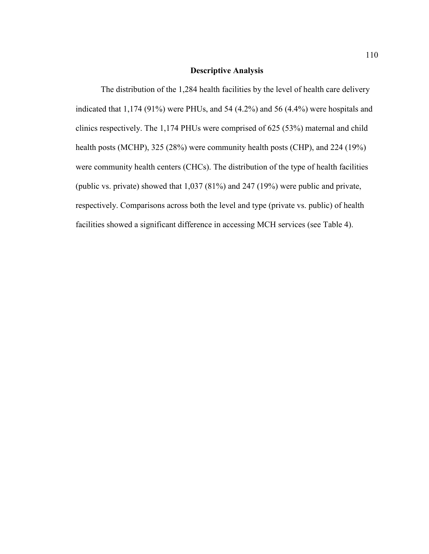## **Descriptive Analysis**

The distribution of the 1,284 health facilities by the level of health care delivery indicated that 1,174 (91%) were PHUs, and 54 (4.2%) and 56 (4.4%) were hospitals and clinics respectively. The 1,174 PHUs were comprised of 625 (53%) maternal and child health posts (MCHP), 325 (28%) were community health posts (CHP), and 224 (19%) were community health centers (CHCs). The distribution of the type of health facilities (public vs. private) showed that 1,037 (81%) and 247 (19%) were public and private, respectively. Comparisons across both the level and type (private vs. public) of health facilities showed a significant difference in accessing MCH services (see Table 4).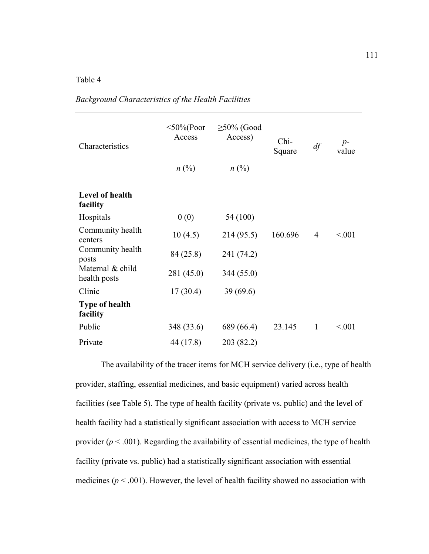## Table 4

| Characteristics                   | $<$ 50%(Poor<br>Access<br>$n\ (\%)$ | $\geq$ 50% (Good<br>Access)<br>$n(^{0}/_{0})$ | Chi-<br>Square | df             | $p-$<br>value |
|-----------------------------------|-------------------------------------|-----------------------------------------------|----------------|----------------|---------------|
| Level of health<br>facility       |                                     |                                               |                |                |               |
| Hospitals                         | 0(0)                                | 54 (100)                                      |                |                |               |
| Community health<br>centers       | 10(4.5)                             | 214 (95.5)                                    | 160.696        | $\overline{4}$ | < 0.01        |
| Community health<br>posts         | 84 (25.8)                           | 241 (74.2)                                    |                |                |               |
| Maternal & child<br>health posts  | 281 (45.0)                          | 344 (55.0)                                    |                |                |               |
| Clinic                            | 17(30.4)                            | 39(69.6)                                      |                |                |               |
| <b>Type of health</b><br>facility |                                     |                                               |                |                |               |
| Public                            | 348 (33.6)                          | 689 (66.4)                                    | 23.145         | $\mathbf{1}$   | < 001         |
| Private                           | 44 (17.8)                           | 203 (82.2)                                    |                |                |               |

*Background Characteristics of the Health Facilities*

The availability of the tracer items for MCH service delivery (i.e., type of health provider, staffing, essential medicines, and basic equipment) varied across health facilities (see Table 5). The type of health facility (private vs. public) and the level of health facility had a statistically significant association with access to MCH service provider  $(p < .001)$ . Regarding the availability of essential medicines, the type of health facility (private vs. public) had a statistically significant association with essential medicines ( $p < .001$ ). However, the level of health facility showed no association with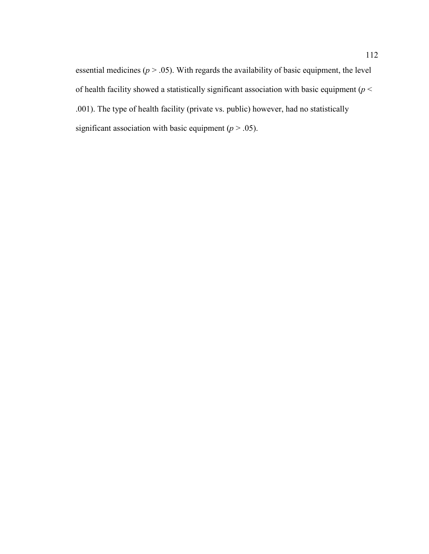essential medicines ( $p > .05$ ). With regards the availability of basic equipment, the level of health facility showed a statistically significant association with basic equipment (*p* < .001). The type of health facility (private vs. public) however, had no statistically significant association with basic equipment  $(p > .05)$ .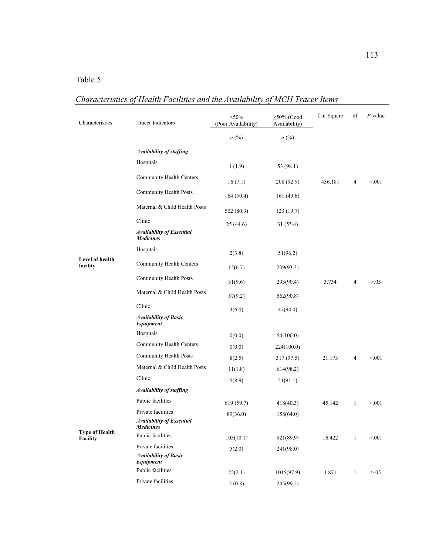# Table 5

# *Characteristics of Health Facilities and the Availability of MCH Tracer Items*

| Characteristics                   | <b>Tracer Indicators</b>                             | $<$ 50%<br>(Poor Availability) | $\geq$ 50% (Good<br>Availability) | Chi-Square | df           | $P$ -value |
|-----------------------------------|------------------------------------------------------|--------------------------------|-----------------------------------|------------|--------------|------------|
|                                   |                                                      | $n$ (%)                        | $n\ (\%)$                         |            |              |            |
|                                   | Availability of staffing                             |                                |                                   |            |              |            |
|                                   | Hospitals                                            | 1(1.9)                         | 53 (98.1)                         |            |              |            |
|                                   | Community Health Centers                             | 16(7.1)                        | 208 (92.9)                        | 436.181    | 4            | < 0.001    |
|                                   | Community Health Posts                               | 164(50.4)                      | 161(49.6)                         |            |              |            |
|                                   | Maternal & Child Health Posts                        | 502(80.3)                      | 123(19.7)                         |            |              |            |
|                                   | Clinic                                               | 25(44.6)                       | 31(55.4)                          |            |              |            |
|                                   | <b>Availability of Essential</b><br><b>Medicines</b> |                                |                                   |            |              |            |
|                                   | Hospitals                                            | 2(3.8)                         | 51(96.2)                          |            |              |            |
| Level of health<br>facility       | Community Health Centers                             | 15(6.7)                        | 209(93.3)                         |            |              |            |
|                                   | Community Health Posts                               | 31(9.6)                        | 293(90.4)                         | 3.734      | 4            | > 0.05     |
|                                   | Maternal & Child Health Posts                        | 57(9.2)                        | 562(90.8)                         |            |              |            |
|                                   | Clinic                                               | 3(6.0)                         | 47(94.0)                          |            |              |            |
|                                   | <b>Availability of Basic</b><br>Equipment            |                                |                                   |            |              |            |
|                                   | Hospitals                                            | 0(0.0)                         | 54(100.0)                         |            |              |            |
|                                   | Community Health Centers                             | 0(0.0)                         | 224(100.0)                        |            |              |            |
|                                   | Community Health Posts                               | 8(2.5)                         | 317 (97.5)                        | 21.173     | 4            | < 0.001    |
|                                   | Maternal & Child Health Posts                        | 11(1.8)                        | 614(98.2)                         |            |              |            |
|                                   | Clinic                                               | 5(8.9)                         | 51(91.1)                          |            |              |            |
|                                   | <b>Availability of staffing</b>                      |                                |                                   |            |              |            |
| <b>Type of Health</b><br>Facility | Public facilities                                    | 619(59.7)                      | 418(40.3)                         | 45.142     | 1            | < 0.001    |
|                                   | Private facilities                                   | 89(36.0)                       | 158(64.0)                         |            |              |            |
|                                   | <b>Availability of Essential</b><br><b>Medicines</b> |                                |                                   |            |              |            |
|                                   | Public facilities                                    | 103(10.1)                      | 921(89.9)                         | 16.422     | 1            | < 0.01     |
|                                   | Private facilities                                   | 5(2.0)                         | 241(98.0)                         |            |              |            |
|                                   | <b>Availability of Basic</b><br>Equipment            |                                |                                   |            |              |            |
|                                   | Public facilities                                    | 22(2.1)                        | 1015(97.9)                        | 1.871      | $\mathbf{1}$ | > 0.05     |
|                                   | Private facilities                                   | 2(0.8)                         | 245(99.2)                         |            |              |            |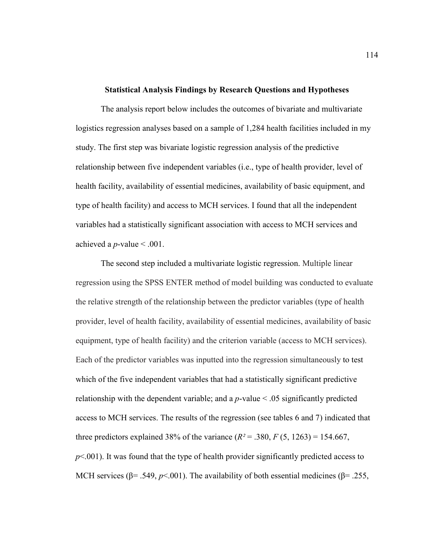#### **Statistical Analysis Findings by Research Questions and Hypotheses**

The analysis report below includes the outcomes of bivariate and multivariate logistics regression analyses based on a sample of 1,284 health facilities included in my study. The first step was bivariate logistic regression analysis of the predictive relationship between five independent variables (i.e., type of health provider, level of health facility, availability of essential medicines, availability of basic equipment, and type of health facility) and access to MCH services. I found that all the independent variables had a statistically significant association with access to MCH services and achieved a *p*-value  $\leq$  .001.

The second step included a multivariate logistic regression. Multiple linear regression using the SPSS ENTER method of model building was conducted to evaluate the relative strength of the relationship between the predictor variables (type of health provider, level of health facility, availability of essential medicines, availability of basic equipment, type of health facility) and the criterion variable (access to MCH services). Each of the predictor variables was inputted into the regression simultaneously to test which of the five independent variables that had a statistically significant predictive relationship with the dependent variable; and a *p*-value < .05 significantly predicted access to MCH services. The results of the regression (see tables 6 and 7) indicated that three predictors explained 38% of the variance  $(R^2 = .380, F(5, 1263) = 154.667$ , *p*<.001). It was found that the type of health provider significantly predicted access to MCH services ( $\beta$ = .549,  $p$ <.001). The availability of both essential medicines ( $\beta$ = .255,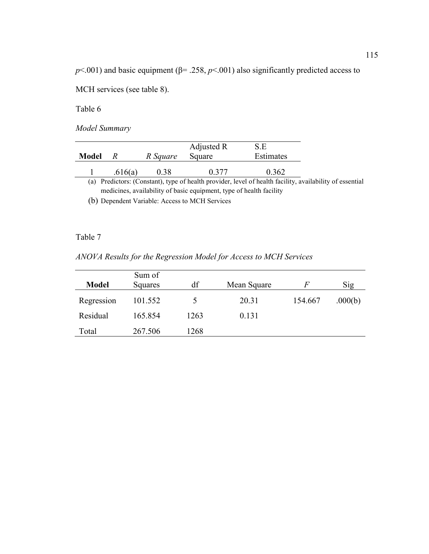$p$ <.001) and basic equipment ( $\beta$ = .258,  $p$ <.001) also significantly predicted access to

MCH services (see table 8).

Table 6

*Model Summary*

|                                                                                                             |         |          | Adjusted R | S.E       |  |  |
|-------------------------------------------------------------------------------------------------------------|---------|----------|------------|-----------|--|--|
| Model                                                                                                       | К       | R Square | Square     | Estimates |  |  |
|                                                                                                             | .616(a) | 0.38     | 0.377      | 0.362     |  |  |
| Predictors: (Constant), type of health provider, level of health facility, availability of essential<br>(a) |         |          |            |           |  |  |
| medicines, availability of basic equipment, type of health facility                                         |         |          |            |           |  |  |

(b) Dependent Variable: Access to MCH Services

## Table 7

*ANOVA Results for the Regression Model for Access to MCH Services*

| <b>Model</b> | Sum of<br>Squares | df   | Mean Square | $\mathcal{F}$ | Sig     |
|--------------|-------------------|------|-------------|---------------|---------|
| Regression   | 101.552           |      | 20.31       | 154.667       | .000(b) |
| Residual     | 165.854           | 1263 | 0.131       |               |         |
| Total        | 267.506           | 1268 |             |               |         |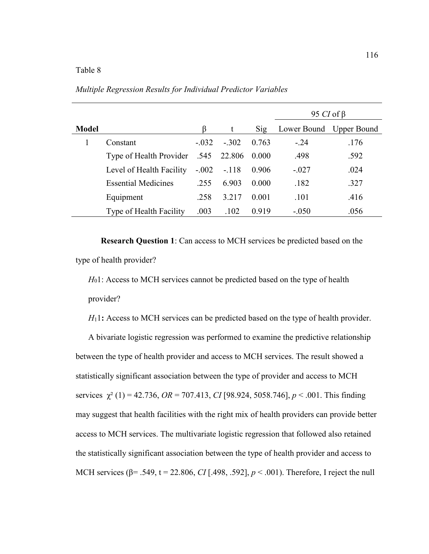|              |                              |         |         |       | 95 CI of $\beta$        |      |  |
|--------------|------------------------------|---------|---------|-------|-------------------------|------|--|
| <b>Model</b> |                              |         | t       | Sig   | Lower Bound Upper Bound |      |  |
|              | Constant                     | $-.032$ | $-.302$ | 0.763 | $-.24$                  | .176 |  |
|              | 545. Type of Health Provider |         | 22.806  | 0.000 | .498                    | .592 |  |
|              | Level of Health Facility     | $-.002$ | $-.118$ | 0.906 | $-.027$                 | .024 |  |
|              | <b>Essential Medicines</b>   | .255    | 6.903   | 0.000 | .182                    | .327 |  |
|              | Equipment                    | .258    | 3.217   | 0.001 | .101                    | .416 |  |
|              | Type of Health Facility      | .003    | .102    | 0.919 | $-.050$                 | .056 |  |

*Multiple Regression Results for Individual Predictor Variables*

**Research Question 1**: Can access to MCH services be predicted based on the type of health provider?

*H*<sub>0</sub>1: Access to MCH services cannot be predicted based on the type of health

provider?

*H*<sub>1</sub>1: Access to MCH services can be predicted based on the type of health provider.

A bivariate logistic regression was performed to examine the predictive relationship between the type of health provider and access to MCH services. The result showed a statistically significant association between the type of provider and access to MCH services χ² (1) = 42.736, *OR* = 707.413, *CI* [98.924, 5058.746], *p* < .001. This finding may suggest that health facilities with the right mix of health providers can provide better access to MCH services. The multivariate logistic regression that followed also retained the statistically significant association between the type of health provider and access to MCH services (β= .549, t = 22.806, *CI* [.498, .592], *p* < .001). Therefore, I reject the null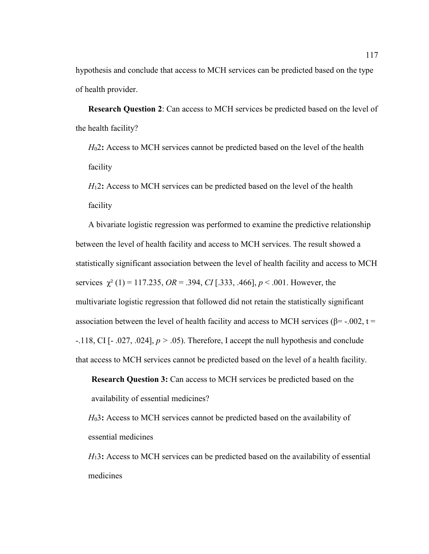hypothesis and conclude that access to MCH services can be predicted based on the type of health provider.

**Research Question 2**: Can access to MCH services be predicted based on the level of the health facility?

*H*02**:** Access to MCH services cannot be predicted based on the level of the health facility

*H*12**:** Access to MCH services can be predicted based on the level of the health facility

A bivariate logistic regression was performed to examine the predictive relationship between the level of health facility and access to MCH services. The result showed a statistically significant association between the level of health facility and access to MCH services  $\chi^2$  (1) = 117.235, *OR* = .394, *CI* [.333, .466], *p* < .001. However, the multivariate logistic regression that followed did not retain the statistically significant association between the level of health facility and access to MCH services ( $\beta$ = -.002, t = -.118, CI [- .027, .024], *p >* .05). Therefore, I accept the null hypothesis and conclude that access to MCH services cannot be predicted based on the level of a health facility.

*H*03**:** Access to MCH services cannot be predicted based on the availability of essential medicines

*H*13**:** Access to MCH services can be predicted based on the availability of essential medicines

**Research Question 3:** Can access to MCH services be predicted based on the availability of essential medicines?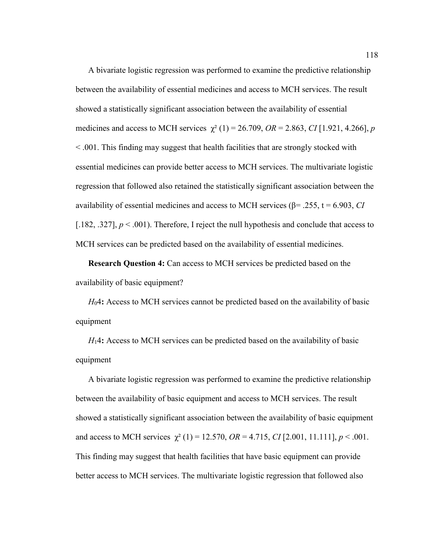A bivariate logistic regression was performed to examine the predictive relationship between the availability of essential medicines and access to MCH services. The result showed a statistically significant association between the availability of essential medicines and access to MCH services  $\chi^2$  (1) = 26.709, *OR* = 2.863, *CI* [1.921, 4.266], *p* < .001. This finding may suggest that health facilities that are strongly stocked with essential medicines can provide better access to MCH services. The multivariate logistic regression that followed also retained the statistically significant association between the availability of essential medicines and access to MCH services (β= .255, t = 6.903, *CI* [.182, .327],  $p < 0.001$ ). Therefore, I reject the null hypothesis and conclude that access to MCH services can be predicted based on the availability of essential medicines.

**Research Question 4:** Can access to MCH services be predicted based on the availability of basic equipment?

*H*04**:** Access to MCH services cannot be predicted based on the availability of basic equipment

*H*14**:** Access to MCH services can be predicted based on the availability of basic equipment

A bivariate logistic regression was performed to examine the predictive relationship between the availability of basic equipment and access to MCH services. The result showed a statistically significant association between the availability of basic equipment and access to MCH services  $\chi^2(1) = 12.570$ ,  $OR = 4.715$ ,  $CI$  [2.001, 11.111],  $p < .001$ . This finding may suggest that health facilities that have basic equipment can provide better access to MCH services. The multivariate logistic regression that followed also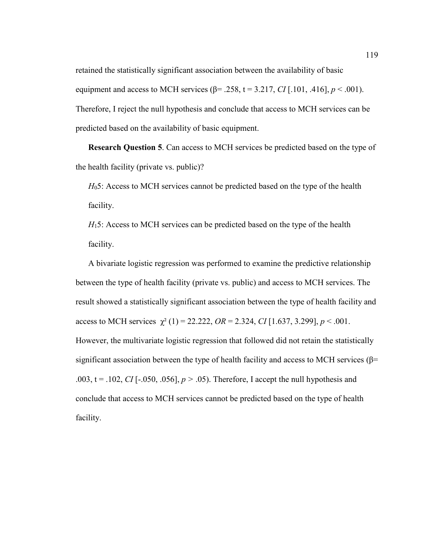retained the statistically significant association between the availability of basic equipment and access to MCH services ( $\beta$ = .258, t = 3.217, *CI* [.101, .416],  $p < .001$ ). Therefore, I reject the null hypothesis and conclude that access to MCH services can be predicted based on the availability of basic equipment.

**Research Question 5**. Can access to MCH services be predicted based on the type of the health facility (private vs. public)?

*H*<sub>0</sub>5: Access to MCH services cannot be predicted based on the type of the health facility.

*H*<sub>15</sub>: Access to MCH services can be predicted based on the type of the health facility.

A bivariate logistic regression was performed to examine the predictive relationship between the type of health facility (private vs. public) and access to MCH services. The result showed a statistically significant association between the type of health facility and access to MCH services  $\chi^2$  (1) = 22.222, *OR* = 2.324, *CI* [1.637, 3.299], *p* < .001. However, the multivariate logistic regression that followed did not retain the statistically significant association between the type of health facility and access to MCH services ( $\beta$ = .003,  $t = .102$ , *CI* [-.050, .056],  $p > .05$ ). Therefore, I accept the null hypothesis and conclude that access to MCH services cannot be predicted based on the type of health facility.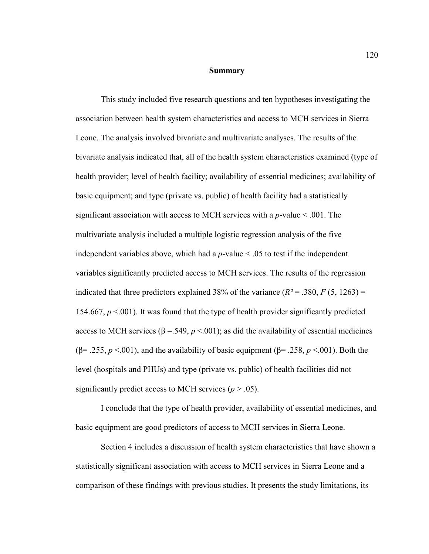#### **Summary**

This study included five research questions and ten hypotheses investigating the association between health system characteristics and access to MCH services in Sierra Leone. The analysis involved bivariate and multivariate analyses. The results of the bivariate analysis indicated that, all of the health system characteristics examined (type of health provider; level of health facility; availability of essential medicines; availability of basic equipment; and type (private vs. public) of health facility had a statistically significant association with access to MCH services with a *p*-value < .001. The multivariate analysis included a multiple logistic regression analysis of the five independent variables above, which had a  $p$ -value  $\leq 0.05$  to test if the independent variables significantly predicted access to MCH services. The results of the regression indicated that three predictors explained 38% of the variance  $(R^2 = .380, F(5, 1263) =$ 154.667,  $p < 001$ ). It was found that the type of health provider significantly predicted access to MCH services ( $\beta$  = .549,  $p$  < .001); as did the availability of essential medicines ( $\beta$ = .255, *p* <.001), and the availability of basic equipment ( $\beta$ = .258, *p* <.001). Both the level (hospitals and PHUs) and type (private vs. public) of health facilities did not significantly predict access to MCH services  $(p > .05)$ .

I conclude that the type of health provider, availability of essential medicines, and basic equipment are good predictors of access to MCH services in Sierra Leone.

Section 4 includes a discussion of health system characteristics that have shown a statistically significant association with access to MCH services in Sierra Leone and a comparison of these findings with previous studies. It presents the study limitations, its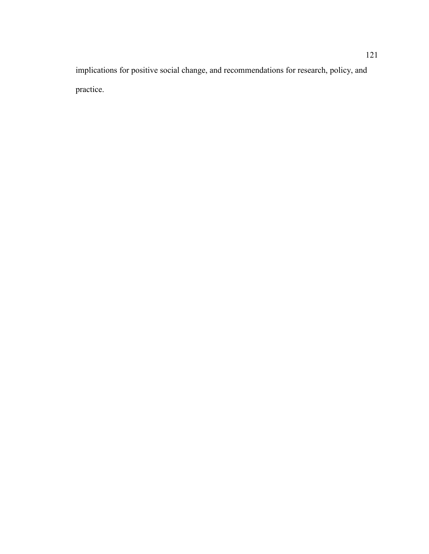implications for positive social change, and recommendations for research, policy, and practice.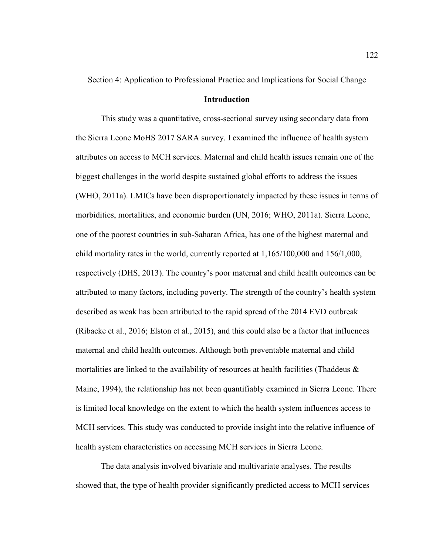Section 4: Application to Professional Practice and Implications for Social Change

#### **Introduction**

This study was a quantitative, cross-sectional survey using secondary data from the Sierra Leone MoHS 2017 SARA survey. I examined the influence of health system attributes on access to MCH services. Maternal and child health issues remain one of the biggest challenges in the world despite sustained global efforts to address the issues (WHO, 2011a). LMICs have been disproportionately impacted by these issues in terms of morbidities, mortalities, and economic burden (UN, 2016; WHO, 2011a). Sierra Leone, one of the poorest countries in sub-Saharan Africa, has one of the highest maternal and child mortality rates in the world, currently reported at 1,165/100,000 and 156/1,000, respectively (DHS, 2013). The country's poor maternal and child health outcomes can be attributed to many factors, including poverty. The strength of the country's health system described as weak has been attributed to the rapid spread of the 2014 EVD outbreak (Ribacke et al., 2016; Elston et al., 2015), and this could also be a factor that influences maternal and child health outcomes. Although both preventable maternal and child mortalities are linked to the availability of resources at health facilities (Thaddeus  $\&$ Maine, 1994), the relationship has not been quantifiably examined in Sierra Leone. There is limited local knowledge on the extent to which the health system influences access to MCH services. This study was conducted to provide insight into the relative influence of health system characteristics on accessing MCH services in Sierra Leone.

The data analysis involved bivariate and multivariate analyses. The results showed that, the type of health provider significantly predicted access to MCH services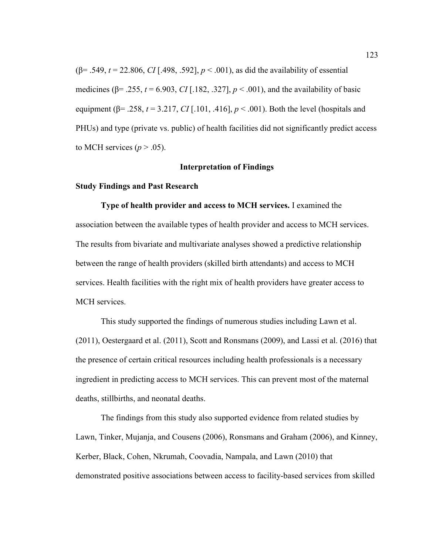( $\beta$ = .549, *t* = 22.806, *CI* [.498, .592], *p* < .001), as did the availability of essential medicines ( $\beta$ = .255, *t* = 6.903, *CI* [.182, .327], *p* < .001), and the availability of basic equipment ( $\beta$ = .258, *t* = 3.217, *CI* [.101, .416], *p* < .001). Both the level (hospitals and PHUs) and type (private vs. public) of health facilities did not significantly predict access to MCH services  $(p > .05)$ .

## **Interpretation of Findings**

### **Study Findings and Past Research**

**Type of health provider and access to MCH services.** I examined the association between the available types of health provider and access to MCH services. The results from bivariate and multivariate analyses showed a predictive relationship between the range of health providers (skilled birth attendants) and access to MCH services. Health facilities with the right mix of health providers have greater access to MCH services.

This study supported the findings of numerous studies including Lawn et al. (2011), Oestergaard et al. (2011), Scott and Ronsmans (2009), and Lassi et al. (2016) that the presence of certain critical resources including health professionals is a necessary ingredient in predicting access to MCH services. This can prevent most of the maternal deaths, stillbirths, and neonatal deaths.

The findings from this study also supported evidence from related studies by Lawn, Tinker, Mujanja, and Cousens (2006), Ronsmans and Graham (2006), and Kinney, Kerber, Black, Cohen, Nkrumah, Coovadia, Nampala, and Lawn (2010) that demonstrated positive associations between access to facility-based services from skilled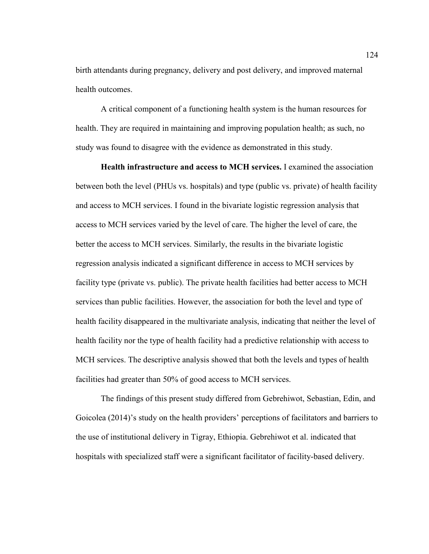birth attendants during pregnancy, delivery and post delivery, and improved maternal health outcomes.

A critical component of a functioning health system is the human resources for health. They are required in maintaining and improving population health; as such, no study was found to disagree with the evidence as demonstrated in this study.

**Health infrastructure and access to MCH services.** I examined the association between both the level (PHUs vs. hospitals) and type (public vs. private) of health facility and access to MCH services. I found in the bivariate logistic regression analysis that access to MCH services varied by the level of care. The higher the level of care, the better the access to MCH services. Similarly, the results in the bivariate logistic regression analysis indicated a significant difference in access to MCH services by facility type (private vs. public). The private health facilities had better access to MCH services than public facilities. However, the association for both the level and type of health facility disappeared in the multivariate analysis, indicating that neither the level of health facility nor the type of health facility had a predictive relationship with access to MCH services. The descriptive analysis showed that both the levels and types of health facilities had greater than 50% of good access to MCH services.

The findings of this present study differed from Gebrehiwot, Sebastian, Edin, and Goicolea (2014)'s study on the health providers' perceptions of facilitators and barriers to the use of institutional delivery in Tigray, Ethiopia. Gebrehiwot et al. indicated that hospitals with specialized staff were a significant facilitator of facility-based delivery.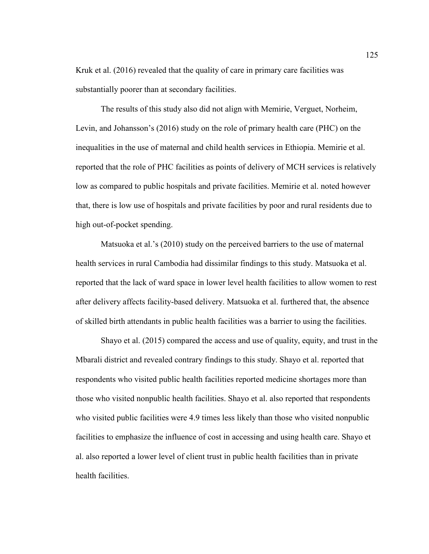Kruk et al. (2016) revealed that the quality of care in primary care facilities was substantially poorer than at secondary facilities.

The results of this study also did not align with Memirie, Verguet, Norheim, Levin, and Johansson's (2016) study on the role of primary health care (PHC) on the inequalities in the use of maternal and child health services in Ethiopia. Memirie et al. reported that the role of PHC facilities as points of delivery of MCH services is relatively low as compared to public hospitals and private facilities. Memirie et al. noted however that, there is low use of hospitals and private facilities by poor and rural residents due to high out-of-pocket spending.

Matsuoka et al.'s (2010) study on the perceived barriers to the use of maternal health services in rural Cambodia had dissimilar findings to this study. Matsuoka et al. reported that the lack of ward space in lower level health facilities to allow women to rest after delivery affects facility-based delivery. Matsuoka et al. furthered that, the absence of skilled birth attendants in public health facilities was a barrier to using the facilities.

Shayo et al. (2015) compared the access and use of quality, equity, and trust in the Mbarali district and revealed contrary findings to this study. Shayo et al. reported that respondents who visited public health facilities reported medicine shortages more than those who visited nonpublic health facilities. Shayo et al. also reported that respondents who visited public facilities were 4.9 times less likely than those who visited nonpublic facilities to emphasize the influence of cost in accessing and using health care. Shayo et al. also reported a lower level of client trust in public health facilities than in private health facilities.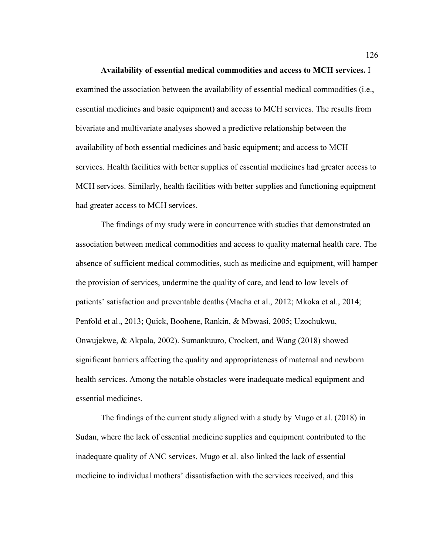**Availability of essential medical commodities and access to MCH services.** I examined the association between the availability of essential medical commodities (i.e., essential medicines and basic equipment) and access to MCH services. The results from bivariate and multivariate analyses showed a predictive relationship between the availability of both essential medicines and basic equipment; and access to MCH services. Health facilities with better supplies of essential medicines had greater access to MCH services. Similarly, health facilities with better supplies and functioning equipment had greater access to MCH services.

The findings of my study were in concurrence with studies that demonstrated an association between medical commodities and access to quality maternal health care. The absence of sufficient medical commodities, such as medicine and equipment, will hamper the provision of services, undermine the quality of care, and lead to low levels of patients' satisfaction and preventable deaths (Macha et al., 2012; Mkoka et al., 2014; Penfold et al., 2013; Quick, Boohene, Rankin, & Mbwasi, 2005; Uzochukwu, Onwujekwe, & Akpala, 2002). Sumankuuro, Crockett, and Wang (2018) showed significant barriers affecting the quality and appropriateness of maternal and newborn health services. Among the notable obstacles were inadequate medical equipment and essential medicines.

The findings of the current study aligned with a study by Mugo et al. (2018) in Sudan, where the lack of essential medicine supplies and equipment contributed to the inadequate quality of ANC services. Mugo et al. also linked the lack of essential medicine to individual mothers' dissatisfaction with the services received, and this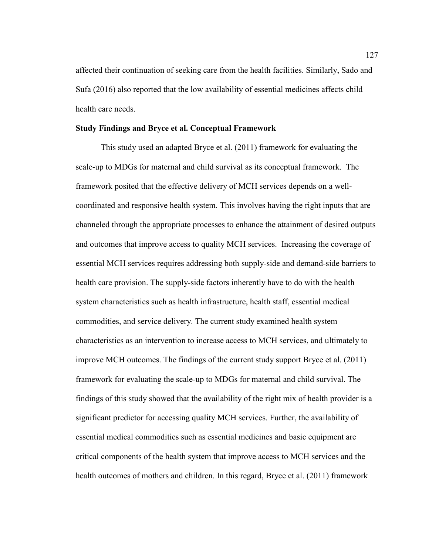affected their continuation of seeking care from the health facilities. Similarly, Sado and Sufa (2016) also reported that the low availability of essential medicines affects child health care needs.

## **Study Findings and Bryce et al. Conceptual Framework**

This study used an adapted Bryce et al. (2011) framework for evaluating the scale-up to MDGs for maternal and child survival as its conceptual framework. The framework posited that the effective delivery of MCH services depends on a wellcoordinated and responsive health system. This involves having the right inputs that are channeled through the appropriate processes to enhance the attainment of desired outputs and outcomes that improve access to quality MCH services. Increasing the coverage of essential MCH services requires addressing both supply-side and demand-side barriers to health care provision. The supply-side factors inherently have to do with the health system characteristics such as health infrastructure, health staff, essential medical commodities, and service delivery. The current study examined health system characteristics as an intervention to increase access to MCH services, and ultimately to improve MCH outcomes. The findings of the current study support Bryce et al. (2011) framework for evaluating the scale-up to MDGs for maternal and child survival. The findings of this study showed that the availability of the right mix of health provider is a significant predictor for accessing quality MCH services. Further, the availability of essential medical commodities such as essential medicines and basic equipment are critical components of the health system that improve access to MCH services and the health outcomes of mothers and children. In this regard, Bryce et al. (2011) framework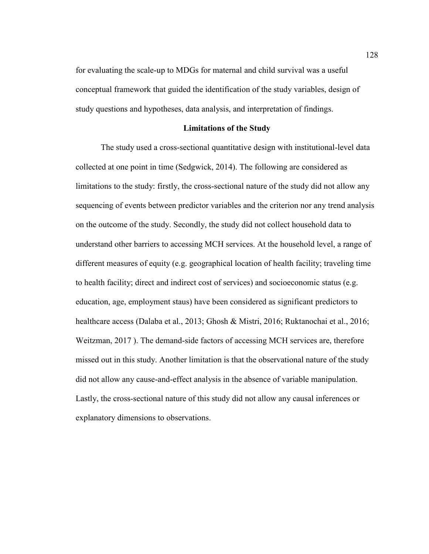for evaluating the scale-up to MDGs for maternal and child survival was a useful conceptual framework that guided the identification of the study variables, design of study questions and hypotheses, data analysis, and interpretation of findings.

## **Limitations of the Study**

The study used a cross-sectional quantitative design with institutional-level data collected at one point in time (Sedgwick, 2014). The following are considered as limitations to the study: firstly, the cross-sectional nature of the study did not allow any sequencing of events between predictor variables and the criterion nor any trend analysis on the outcome of the study. Secondly, the study did not collect household data to understand other barriers to accessing MCH services. At the household level, a range of different measures of equity (e.g. geographical location of health facility; traveling time to health facility; direct and indirect cost of services) and socioeconomic status (e.g. education, age, employment staus) have been considered as significant predictors to healthcare access (Dalaba et al., 2013; Ghosh & Mistri, 2016; Ruktanochai et al., 2016; Weitzman, 2017 ). The demand-side factors of accessing MCH services are, therefore missed out in this study. Another limitation is that the observational nature of the study did not allow any cause-and-effect analysis in the absence of variable manipulation. Lastly, the cross-sectional nature of this study did not allow any causal inferences or explanatory dimensions to observations.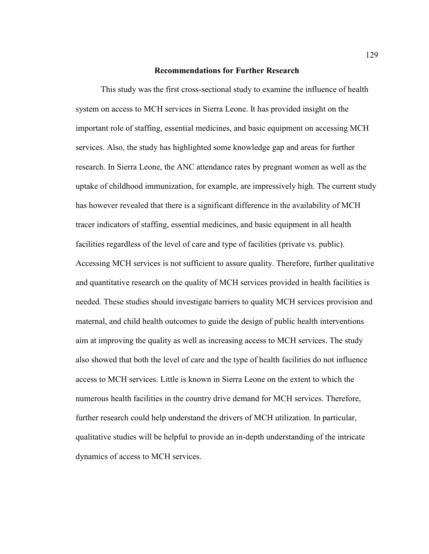#### **Recommendations for Further Research**

This study was the first cross-sectional study to examine the influence of health system on access to MCH services in Sierra Leone. It has provided insight on the important role of staffing, essential medicines, and basic equipment on accessing MCH services. Also, the study has highlighted some knowledge gap and areas for further research. In Sierra Leone, the ANC attendance rates by pregnant women as well as the uptake of childhood immunization, for example, are impressively high. The current study has however revealed that there is a significant difference in the availability of MCH tracer indicators of staffing, essential medicines, and basic equipment in all health facilities regardless of the level of care and type of facilities (private vs. public). Accessing MCH services is not sufficient to assure quality. Therefore, further qualitative and quantitative research on the quality of MCH services provided in health facilities is needed. These studies should investigate barriers to quality MCH services provision and maternal, and child health outcomes to guide the design of public health interventions aim at improving the quality as well as increasing access to MCH services. The study also showed that both the level of care and the type of health facilities do not influence access to MCH services. Little is known in Sierra Leone on the extent to which the numerous health facilities in the country drive demand for MCH services. Therefore, further research could help understand the drivers of MCH utilization. In particular, qualitative studies will be helpful to provide an in-depth understanding of the intricate dynamics of access to MCH services.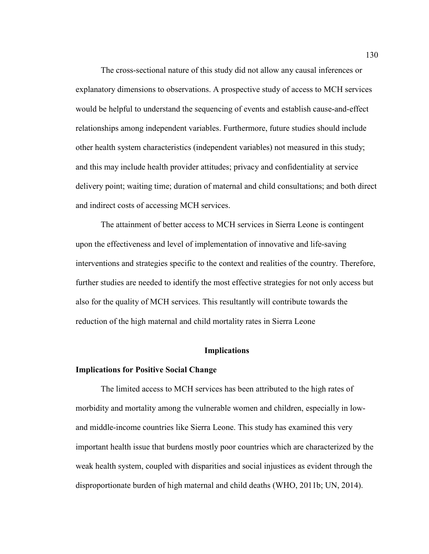The cross-sectional nature of this study did not allow any causal inferences or explanatory dimensions to observations. A prospective study of access to MCH services would be helpful to understand the sequencing of events and establish cause-and-effect relationships among independent variables. Furthermore, future studies should include other health system characteristics (independent variables) not measured in this study; and this may include health provider attitudes; privacy and confidentiality at service delivery point; waiting time; duration of maternal and child consultations; and both direct and indirect costs of accessing MCH services.

The attainment of better access to MCH services in Sierra Leone is contingent upon the effectiveness and level of implementation of innovative and life-saving interventions and strategies specific to the context and realities of the country. Therefore, further studies are needed to identify the most effective strategies for not only access but also for the quality of MCH services. This resultantly will contribute towards the reduction of the high maternal and child mortality rates in Sierra Leone

#### **Implications**

#### **Implications for Positive Social Change**

The limited access to MCH services has been attributed to the high rates of morbidity and mortality among the vulnerable women and children, especially in lowand middle-income countries like Sierra Leone. This study has examined this very important health issue that burdens mostly poor countries which are characterized by the weak health system, coupled with disparities and social injustices as evident through the disproportionate burden of high maternal and child deaths (WHO, 2011b; UN, 2014).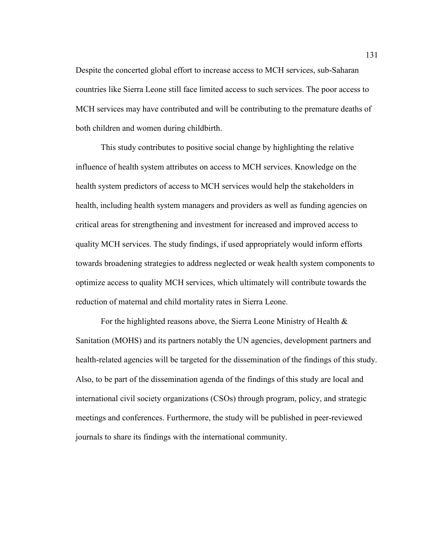Despite the concerted global effort to increase access to MCH services, sub-Saharan countries like Sierra Leone still face limited access to such services. The poor access to MCH services may have contributed and will be contributing to the premature deaths of both children and women during childbirth.

This study contributes to positive social change by highlighting the relative influence of health system attributes on access to MCH services. Knowledge on the health system predictors of access to MCH services would help the stakeholders in health, including health system managers and providers as well as funding agencies on critical areas for strengthening and investment for increased and improved access to quality MCH services. The study findings, if used appropriately would inform efforts towards broadening strategies to address neglected or weak health system components to optimize access to quality MCH services, which ultimately will contribute towards the reduction of maternal and child mortality rates in Sierra Leone.

For the highlighted reasons above, the Sierra Leone Ministry of Health & Sanitation (MOHS) and its partners notably the UN agencies, development partners and health-related agencies will be targeted for the dissemination of the findings of this study. Also, to be part of the dissemination agenda of the findings of this study are local and international civil society organizations (CSOs) through program, policy, and strategic meetings and conferences. Furthermore, the study will be published in peer-reviewed journals to share its findings with the international community.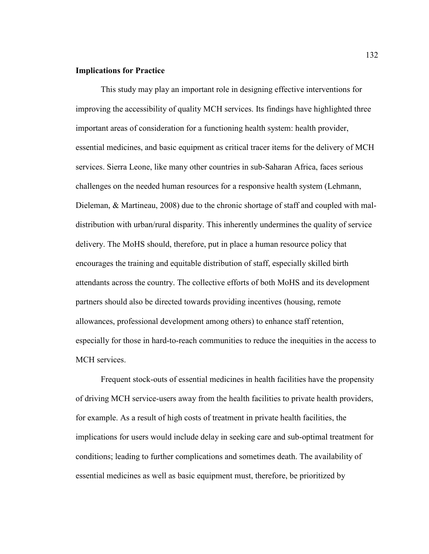## **Implications for Practice**

This study may play an important role in designing effective interventions for improving the accessibility of quality MCH services. Its findings have highlighted three important areas of consideration for a functioning health system: health provider, essential medicines, and basic equipment as critical tracer items for the delivery of MCH services. Sierra Leone, like many other countries in sub-Saharan Africa, faces serious challenges on the needed human resources for a responsive health system (Lehmann, Dieleman, & Martineau, 2008) due to the chronic shortage of staff and coupled with maldistribution with urban/rural disparity. This inherently undermines the quality of service delivery. The MoHS should, therefore, put in place a human resource policy that encourages the training and equitable distribution of staff, especially skilled birth attendants across the country. The collective efforts of both MoHS and its development partners should also be directed towards providing incentives (housing, remote allowances, professional development among others) to enhance staff retention, especially for those in hard-to-reach communities to reduce the inequities in the access to MCH services.

Frequent stock-outs of essential medicines in health facilities have the propensity of driving MCH service-users away from the health facilities to private health providers, for example. As a result of high costs of treatment in private health facilities, the implications for users would include delay in seeking care and sub-optimal treatment for conditions; leading to further complications and sometimes death. The availability of essential medicines as well as basic equipment must, therefore, be prioritized by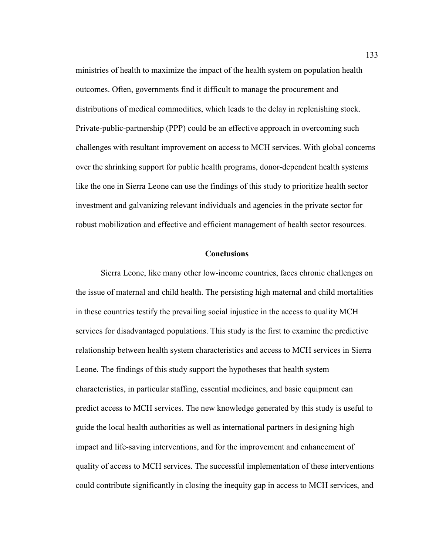ministries of health to maximize the impact of the health system on population health outcomes. Often, governments find it difficult to manage the procurement and distributions of medical commodities, which leads to the delay in replenishing stock. Private-public-partnership (PPP) could be an effective approach in overcoming such challenges with resultant improvement on access to MCH services. With global concerns over the shrinking support for public health programs, donor-dependent health systems like the one in Sierra Leone can use the findings of this study to prioritize health sector investment and galvanizing relevant individuals and agencies in the private sector for robust mobilization and effective and efficient management of health sector resources.

## **Conclusions**

Sierra Leone, like many other low-income countries, faces chronic challenges on the issue of maternal and child health. The persisting high maternal and child mortalities in these countries testify the prevailing social injustice in the access to quality MCH services for disadvantaged populations. This study is the first to examine the predictive relationship between health system characteristics and access to MCH services in Sierra Leone. The findings of this study support the hypotheses that health system characteristics, in particular staffing, essential medicines, and basic equipment can predict access to MCH services. The new knowledge generated by this study is useful to guide the local health authorities as well as international partners in designing high impact and life-saving interventions, and for the improvement and enhancement of quality of access to MCH services. The successful implementation of these interventions could contribute significantly in closing the inequity gap in access to MCH services, and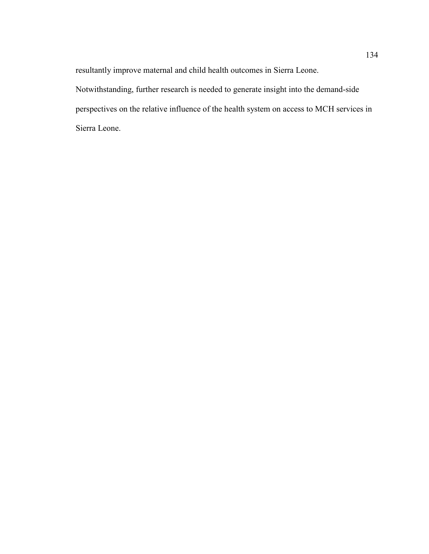resultantly improve maternal and child health outcomes in Sierra Leone.

Notwithstanding, further research is needed to generate insight into the demand-side perspectives on the relative influence of the health system on access to MCH services in Sierra Leone.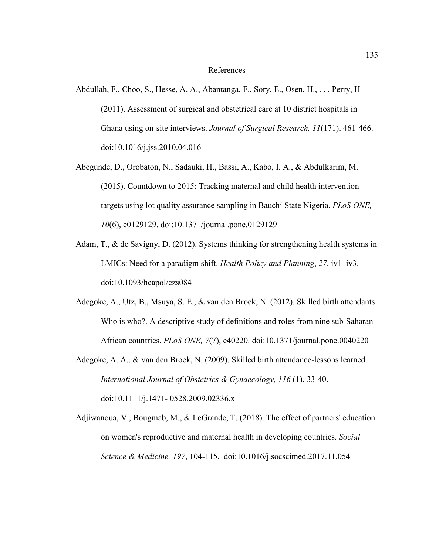## References

- Abdullah, F., Choo, S., Hesse, A. A., Abantanga, F., Sory, E., Osen, H., . . . Perry, H (2011). Assessment of surgical and obstetrical care at 10 district hospitals in Ghana using on-site interviews. *Journal of Surgical Research, 11*(171), 461-466. doi:10.1016/j.jss.2010.04.016
- Abegunde, D., Orobaton, N., Sadauki, H., Bassi, A., Kabo, I. A., & Abdulkarim, M. (2015). Countdown to 2015: Tracking maternal and child health intervention targets using lot quality assurance sampling in Bauchi State Nigeria. *PLoS ONE, 10*(6), e0129129. doi:10.1371/journal.pone.0129129
- Adam, T., & de Savigny, D. (2012). Systems thinking for strengthening health systems in LMICs: Need for a paradigm shift. *Health Policy and Planning*, *27*, iv1–iv3. doi:10.1093/heapol/czs084
- Adegoke, A., Utz, B., Msuya, S. E., & van den Broek, N. (2012). Skilled birth attendants: Who is who?. A descriptive study of definitions and roles from nine sub-Saharan African countries. *PLoS ONE, 7*(7), e40220. doi:10.1371/journal.pone.0040220
- Adegoke, A. A., & van den Broek, N. (2009). Skilled birth attendance-lessons learned. *International Journal of Obstetrics & Gynaecology, 116* (1), 33-40. doi:10.1111/j.1471- 0528.2009.02336.x
- Adjiwanoua, V., Bougmab, M., & LeGrandc, T. (2018). The effect of partners' education on women's reproductive and maternal health in developing countries. *Social Science & Medicine, 197*, 104-115. doi:10.1016/j.socscimed.2017.11.054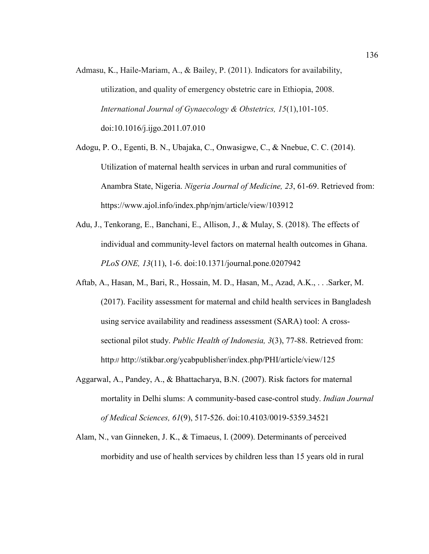- Admasu, K., Haile-Mariam, A., & Bailey, P. (2011). Indicators for availability, utilization, and quality of emergency obstetric care in Ethiopia, 2008. *International Journal of Gynaecology & Obstetrics, 15*(1),101-105. doi:10.1016/j.ijgo.2011.07.010
- Adogu, P. O., Egenti, B. N., Ubajaka, C., Onwasigwe, C., & Nnebue, C. C. (2014). Utilization of maternal health services in urban and rural communities of Anambra State, Nigeria. *Nigeria Journal of Medicine, 23*, 61-69. Retrieved from: https://www.ajol.info/index.php/njm/article/view/103912
- Adu, J., Tenkorang, E., Banchani, E., Allison, J., & Mulay, S. (2018). The effects of individual and community-level factors on maternal health outcomes in Ghana. *PLoS ONE, 13*(11), 1-6. doi:10.1371/journal.pone.0207942
- Aftab, A., Hasan, M., Bari, R., Hossain, M. D., Hasan, M., Azad, A.K., . . .Sarker, M. (2017). Facility assessment for maternal and child health services in Bangladesh using service availability and readiness assessment (SARA) tool: A crosssectional pilot study. *Public Health of Indonesia, 3*(3), 77-88. Retrieved from: http:// http://stikbar.org/ycabpublisher/index.php/PHI/article/view/125
- Aggarwal, A., Pandey, A., & Bhattacharya, B.N. (2007). Risk factors for maternal mortality in Delhi slums: A community-based case-control study. *Indian Journal of Medical Sciences, 61*(9), 517-526. doi:10.4103/0019-5359.34521
- Alam, N., van Ginneken, J. K., & Timaeus, I. (2009). Determinants of perceived morbidity and use of health services by children less than 15 years old in rural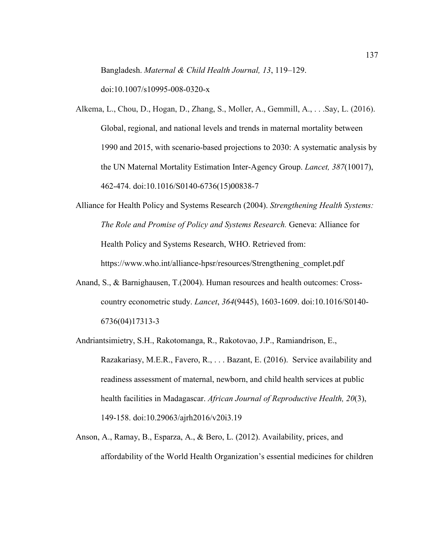Bangladesh. *Maternal & Child Health Journal, 13*, 119–129.

doi:10.1007/s10995-008-0320-x

- Alkema, L., Chou, D., Hogan, D., Zhang, S., Moller, A., Gemmill, A., . . .Say, L. (2016). Global, regional, and national levels and trends in maternal mortality between 1990 and 2015, with scenario-based projections to 2030: A systematic analysis by the UN Maternal Mortality Estimation Inter-Agency Group. *Lancet, 387*(10017), 462-474. doi:10.1016/S0140-6736(15)00838-7
- Alliance for Health Policy and Systems Research (2004). *Strengthening Health Systems: The Role and Promise of Policy and Systems Research.* Geneva: Alliance for Health Policy and Systems Research, WHO. Retrieved from: https://www.who.int/alliance-hpsr/resources/Strengthening\_complet.pdf
- Anand, S., & Barnighausen, T.(2004). Human resources and health outcomes: Crosscountry econometric study. *Lancet*, *364*(9445), 1603-1609. doi:10.1016/S0140- 6736(04)17313-3
- Andriantsimietry, S.H., Rakotomanga, R., Rakotovao, J.P., Ramiandrison, E., Razakariasy, M.E.R., Favero, R., . . . Bazant, E. (2016). Service availability and readiness assessment of maternal, newborn, and child health services at public health facilities in Madagascar. *African Journal of Reproductive Health, 20*(3), 149-158. doi:10.29063/ajrh2016/v20i3.19
- Anson, A., Ramay, B., Esparza, A., & Bero, L. (2012). Availability, prices, and affordability of the World Health Organization's essential medicines for children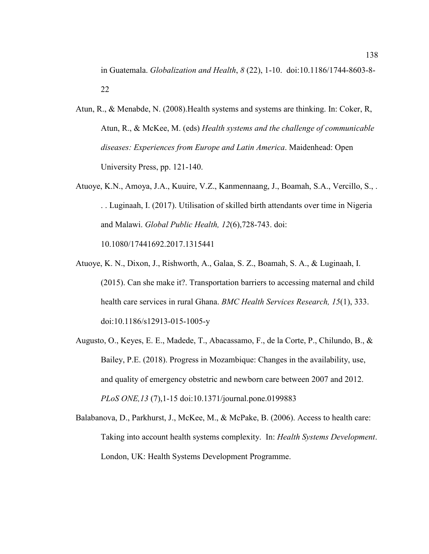in Guatemala. *Globalization and Health*, *8* (22), 1-10. doi:10.1186/1744-8603-8- 22

- Atun, R., & Menabde, N. (2008).Health systems and systems are thinking. In: Coker, R, Atun, R., & McKee, M. (eds) *Health systems and the challenge of communicable diseases: Experiences from Europe and Latin America*. Maidenhead: Open University Press, pp. 121-140.
- Atuoye, K.N., Amoya, J.A., Kuuire, V.Z., Kanmennaang, J., Boamah, S.A., Vercillo, S., . . . Luginaah, I. (2017). Utilisation of skilled birth attendants over time in Nigeria and Malawi. *Global Public Health, 12*(6),728-743. doi: 10.1080/17441692.2017.1315441
- Atuoye, K. N., Dixon, J., Rishworth, A., Galaa, S. Z., Boamah, S. A., & Luginaah, I. (2015). Can she make it?. Transportation barriers to accessing maternal and child health care services in rural Ghana. *BMC Health Services Research, 15*(1), 333. doi:10.1186/s12913-015-1005-y
- Augusto, O., Keyes, E. E., Madede, T., Abacassamo, F., de la Corte, P., Chilundo, B., & Bailey, P.E. (2018). Progress in Mozambique: Changes in the availability, use, and quality of emergency obstetric and newborn care between 2007 and 2012. *PLoS ONE,13* (7),1-15 doi:10.1371/journal.pone.0199883
- Balabanova, D., Parkhurst, J., McKee, M., & McPake, B. (2006). Access to health care: Taking into account health systems complexity. In: *Health Systems Development*. London, UK: Health Systems Development Programme.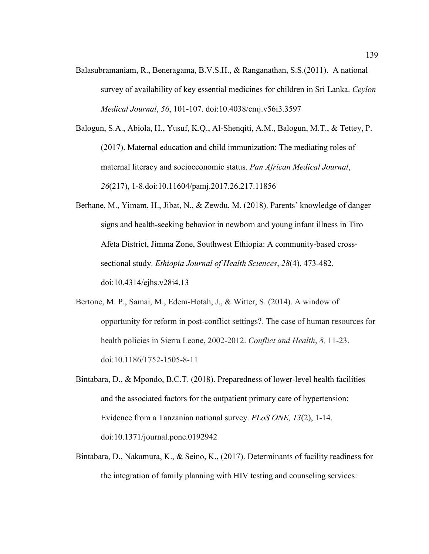Balasubramaniam, R., Beneragama, B.V.S.H., & Ranganathan, S.S.(2011). A national survey of availability of key essential medicines for children in Sri Lanka. *Ceylon Medical Journal*, *56*, 101-107. doi:10.4038/cmj.v56i3.3597

Balogun, S.A., Abiola, H., Yusuf, K.Q., Al-Shenqiti, A.M., Balogun, M.T., & Tettey, P. (2017). Maternal education and child immunization: The mediating roles of maternal literacy and socioeconomic status. *Pan African Medical Journal*, *26*(217), 1-8.doi:10.11604/pamj.2017.26.217.11856

- Berhane, M., Yimam, H., Jibat, N., & Zewdu, M. (2018). Parents' knowledge of danger signs and health-seeking behavior in newborn and young infant illness in Tiro Afeta District, Jimma Zone, Southwest Ethiopia: A community-based crosssectional study. *Ethiopia Journal of Health Sciences*, *28*(4), 473-482. doi:10.4314/ejhs.v28i4.13
- Bertone, M. P., Samai, M., Edem-Hotah, J., & Witter, S. (2014). A window of opportunity for reform in post-conflict settings?. The case of human resources for health policies in Sierra Leone, 2002-2012. *Conflict and Health*, *8,* 11-23. doi:10.1186/1752-1505-8-11
- Bintabara, D., & Mpondo, B.C.T. (2018). Preparedness of lower-level health facilities and the associated factors for the outpatient primary care of hypertension: Evidence from a Tanzanian national survey. *PLoS ONE, 13*(2), 1-14. doi:10.1371/journal.pone.0192942
- Bintabara, D., Nakamura, K., & Seino, K., (2017). Determinants of facility readiness for the integration of family planning with HIV testing and counseling services: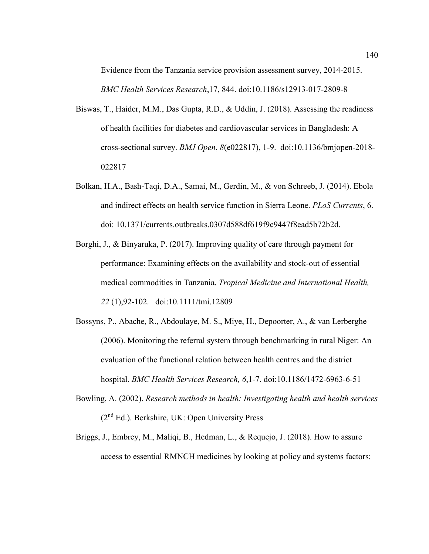Evidence from the Tanzania service provision assessment survey, 2014-2015. *BMC Health Services Research*,17, 844. doi:10.1186/s12913-017-2809-8

- Biswas, T., Haider, M.M., Das Gupta, R.D., & Uddin, J. (2018). Assessing the readiness of health facilities for diabetes and cardiovascular services in Bangladesh: A cross-sectional survey. *BMJ Open*, *8*(e022817), 1-9. doi:10.1136/bmjopen-2018- 022817
- Bolkan, H.A., Bash-Taqi, D.A., Samai, M., Gerdin, M., & von Schreeb, J. (2014). Ebola and indirect effects on health service function in Sierra Leone. *PLoS Currents*, 6. doi: 10.1371/currents.outbreaks.0307d588df619f9c9447f8ead5b72b2d.
- Borghi, J., & Binyaruka, P. (2017). Improving quality of care through payment for performance: Examining effects on the availability and stock-out of essential medical commodities in Tanzania. *Tropical Medicine and International Health, 22* (1),92-102. doi:10.1111/tmi.12809
- Bossyns, P., Abache, R., Abdoulaye, M. S., Miye, H., Depoorter, A., & van Lerberghe (2006). Monitoring the referral system through benchmarking in rural Niger: An evaluation of the functional relation between health centres and the district hospital. *BMC Health Services Research, 6*,1-7. doi:10.1186/1472-6963-6-51
- Bowling, A. (2002). *Research methods in health: Investigating health and health services* (2nd Ed.). Berkshire, UK: Open University Press
- Briggs, J., Embrey, M., Maliqi, B., Hedman, L., & Requejo, J. (2018). How to assure access to essential RMNCH medicines by looking at policy and systems factors: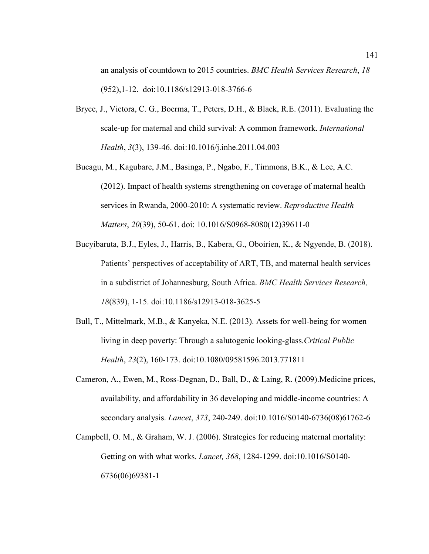an analysis of countdown to 2015 countries. *BMC Health Services Research*, *18* (952),1-12. doi:10.1186/s12913-018-3766-6

- Bryce, J., Victora, C. G., Boerma, T., Peters, D.H., & Black, R.E. (2011). Evaluating the scale-up for maternal and child survival: A common framework. *International Health*, *3*(3), 139-46. doi:10.1016/j.inhe.2011.04.003
- Bucagu, M., Kagubare, J.M., Basinga, P., Ngabo, F., Timmons, B.K., & Lee, A.C. (2012). Impact of health systems strengthening on coverage of maternal health services in Rwanda, 2000-2010: A systematic review. *Reproductive Health Matters*, *20*(39), 50-61. doi: 10.1016/S0968-8080(12)39611-0
- Bucyibaruta, B.J., Eyles, J., Harris, B., Kabera, G., Oboirien, K., & Ngyende, B. (2018). Patients' perspectives of acceptability of ART, TB, and maternal health services in a subdistrict of Johannesburg, South Africa. *BMC Health Services Research, 18*(839), 1-15. doi:10.1186/s12913-018-3625-5
- Bull, T., Mittelmark, M.B., & Kanyeka, N.E. (2013). Assets for well-being for women living in deep poverty: Through a salutogenic looking-glass.*Critical Public Health*, *23*(2), 160-173. doi:10.1080/09581596.2013.771811
- Cameron, A., Ewen, M., Ross-Degnan, D., Ball, D., & Laing, R. (2009).Medicine prices, availability, and affordability in 36 developing and middle-income countries: A secondary analysis. *Lancet*, *373*, 240-249. doi:10.1016/S0140-6736(08)61762-6
- Campbell, O. M., & Graham, W. J. (2006). Strategies for reducing maternal mortality: Getting on with what works. *Lancet, 368*, 1284-1299. doi:10.1016/S0140- 6736(06)69381-1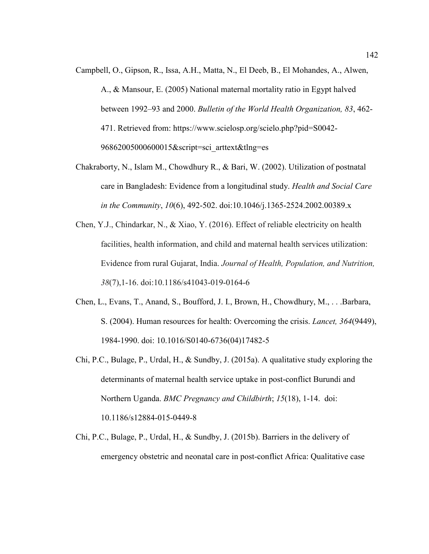- Campbell, O., Gipson, R., Issa, A.H., Matta, N., El Deeb, B., El Mohandes, A., Alwen, A., & Mansour, E. (2005) National maternal mortality ratio in Egypt halved between 1992–93 and 2000. *Bulletin of the World Health Organization, 83*, 462- 471. Retrieved from: https://www.scielosp.org/scielo.php?pid=S0042- 96862005000600015&script=sci\_arttext&tlng=es
- Chakraborty, N., Islam M., Chowdhury R., & Bari, W. (2002). Utilization of postnatal care in Bangladesh: Evidence from a longitudinal study. *Health and Social Care in the Community*, *10*(6), 492-502. doi:10.1046/j.1365-2524.2002.00389.x
- Chen, Y.J., Chindarkar, N., & Xiao, Y. (2016). Effect of reliable electricity on health facilities, health information, and child and maternal health services utilization: Evidence from rural Gujarat, India. *Journal of Health, Population, and Nutrition, 38*(7),1-16. doi:10.1186/s41043-019-0164-6
- Chen, L., Evans, T., Anand, S., Boufford, J. I., Brown, H., Chowdhury, M., . . .Barbara, S. (2004). Human resources for health: Overcoming the crisis. *Lancet, 364*(9449), 1984-1990. doi: 10.1016/S0140-6736(04)17482-5
- Chi, P.C., Bulage, P., Urdal, H., & Sundby, J. (2015a). A qualitative study exploring the determinants of maternal health service uptake in post-conflict Burundi and Northern Uganda. *BMC Pregnancy and Childbirth*; *15*(18), 1-14. doi: 10.1186/s12884-015-0449-8
- Chi, P.C., Bulage, P., Urdal, H., & Sundby, J. (2015b). Barriers in the delivery of emergency obstetric and neonatal care in post-conflict Africa: Qualitative case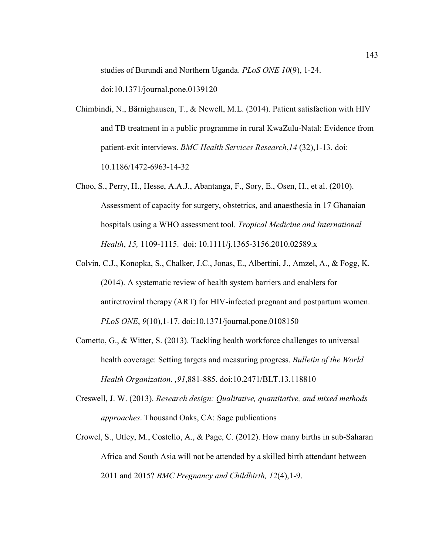studies of Burundi and Northern Uganda. *PLoS ONE 10*(9), 1-24.

doi:10.1371/journal.pone.0139120

- Chimbindi, N., Bärnighausen, T., & Newell, M.L. (2014). Patient satisfaction with HIV and TB treatment in a public programme in rural KwaZulu-Natal: Evidence from patient-exit interviews. *BMC Health Services Research*,*14* (32),1-13. doi: 10.1186/1472-6963-14-32
- Choo, S., Perry, H., Hesse, A.A.J., Abantanga, F., Sory, E., Osen, H., et al. (2010). Assessment of capacity for surgery, obstetrics, and anaesthesia in 17 Ghanaian hospitals using a WHO assessment tool. *Tropical Medicine and International Health*, *15,* 1109-1115. doi: 10.1111/j.1365-3156.2010.02589.x
- Colvin, C.J., Konopka, S., Chalker, J.C., Jonas, E., Albertini, J., Amzel, A., & Fogg, K. (2014). A systematic review of health system barriers and enablers for antiretroviral therapy (ART) for HIV-infected pregnant and postpartum women. *PLoS ONE*, *9*(10),1-17. doi:10.1371/journal.pone.0108150
- Cometto, G., & Witter, S. (2013). Tackling health workforce challenges to universal health coverage: Setting targets and measuring progress. *Bulletin of the World Health Organization. ,91*,881-885. doi:10.2471/BLT.13.118810
- Creswell, J. W. (2013). *Research design: Qualitative, quantitative, and mixed methods approaches*. Thousand Oaks, CA: Sage publications
- Crowel, S., Utley, M., Costello, A., & Page, C. (2012). How many births in sub-Saharan Africa and South Asia will not be attended by a skilled birth attendant between 2011 and 2015? *BMC Pregnancy and Childbirth, 12*(4),1-9.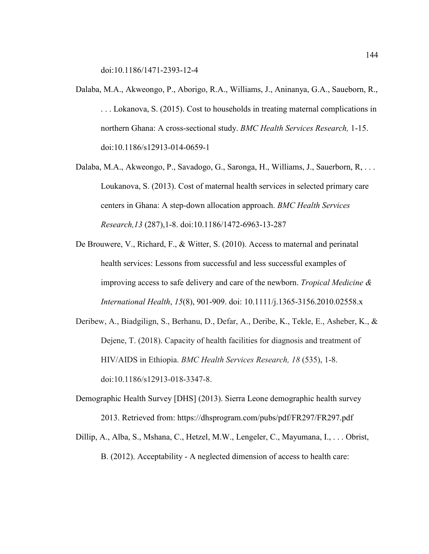doi:10.1186/1471-2393-12-4

- Dalaba, M.A., Akweongo, P., Aborigo, R.A., Williams, J., Aninanya, G.A., Saueborn, R., . . . Lokanova, S. (2015). Cost to households in treating maternal complications in northern Ghana: A cross-sectional study. *BMC Health Services Research,* 1-15. doi:10.1186/s12913-014-0659-1
- Dalaba, M.A., Akweongo, P., Savadogo, G., Saronga, H., Williams, J., Sauerborn, R, . . . Loukanova, S. (2013). Cost of maternal health services in selected primary care centers in Ghana: A step-down allocation approach. *BMC Health Services Research,13* (287),1-8. doi:10.1186/1472-6963-13-287
- De Brouwere, V., Richard, F., & Witter, S. (2010). Access to maternal and perinatal health services: Lessons from successful and less successful examples of improving access to safe delivery and care of the newborn. *Tropical Medicine & International Health*, *15*(8), 901-909. doi: 10.1111/j.1365-3156.2010.02558.x
- Deribew, A., Biadgilign, S., Berhanu, D., Defar, A., Deribe, K., Tekle, E., Asheber, K., & Dejene, T. (2018). Capacity of health facilities for diagnosis and treatment of HIV/AIDS in Ethiopia. *BMC Health Services Research, 18* (535), 1-8. doi:10.1186/s12913-018-3347-8.
- Demographic Health Survey [DHS] (2013). Sierra Leone demographic health survey 2013. Retrieved from: https://dhsprogram.com/pubs/pdf/FR297/FR297.pdf
- Dillip, A., Alba, S., Mshana, C., Hetzel, M.W., Lengeler, C., Mayumana, I., . . . Obrist, B. (2012). Acceptability - A neglected dimension of access to health care: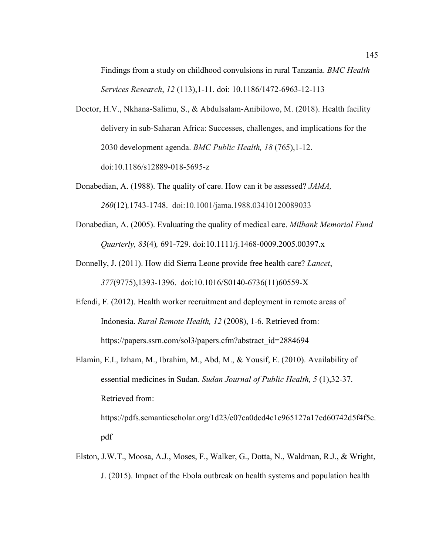Findings from a study on childhood convulsions in rural Tanzania. *BMC Health Services Research*, *12* (113),1-11. doi: 10.1186/1472-6963-12-113

- Doctor, H.V., Nkhana-Salimu, S., & Abdulsalam-Anibilowo, M. (2018). Health facility delivery in sub-Saharan Africa: Successes, challenges, and implications for the 2030 development agenda. *BMC Public Health, 18* (765),1-12. doi:10.1186/s12889-018-5695-z
- Donabedian, A. (1988). The quality of care. How can it be assessed? *JAMA, 260*(12)*,*1743-1748. doi:10.1001/jama.1988.03410120089033
- Donabedian, A. (2005). Evaluating the quality of medical care. *Milbank Memorial Fund Quarterly, 83*(4)*,* 691-729. doi:10.1111/j.1468-0009.2005.00397.x
- Donnelly, J. (2011). How did Sierra Leone provide free health care? *Lancet*, *377*(9775),1393-1396. doi:10.1016/S0140-6736(11)60559-X
- Efendi, F. (2012). Health worker recruitment and deployment in remote areas of Indonesia. *Rural Remote Health, 12* (2008), 1-6. Retrieved from: https://papers.ssrn.com/sol3/papers.cfm?abstract\_id=2884694

Elamin, E.I., Izham, M., Ibrahim, M., Abd, M., & Yousif, E. (2010). Availability of essential medicines in Sudan. *Sudan Journal of Public Health, 5* (1),32-37. Retrieved from: https://pdfs.semanticscholar.org/1d23/e07ca0dcd4c1e965127a17ed60742d5f4f5c.

pdf

Elston, J.W.T., Moosa, A.J., Moses, F., Walker, G., Dotta, N., Waldman, R.J., & Wright, J. (2015). Impact of the Ebola outbreak on health systems and population health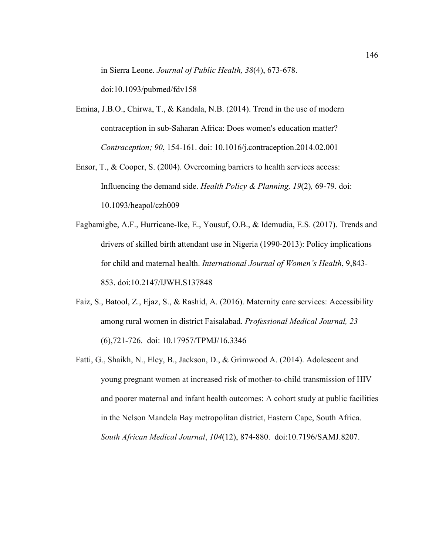in Sierra Leone. *Journal of Public Health, 38*(4), 673-678.

doi:10.1093/pubmed/fdv158

- Emina, J.B.O., Chirwa, T., & Kandala, N.B. (2014). Trend in the use of modern contraception in sub-Saharan Africa: Does women's education matter? *Contraception; 90*, 154-161. doi: 10.1016/j.contraception.2014.02.001
- Ensor, T., & Cooper, S. (2004). Overcoming barriers to health services access: Influencing the demand side. *Health Policy & Planning, 19*(2)*,* 69-79. doi: 10.1093/heapol/czh009
- Fagbamigbe, A.F., Hurricane-Ike, E., Yousuf, O.B., & Idemudia, E.S. (2017). Trends and drivers of skilled birth attendant use in Nigeria (1990-2013): Policy implications for child and maternal health. *International Journal of Women's Health*, 9,843- 853. doi:10.2147/IJWH.S137848
- Faiz, S., Batool, Z., Ejaz, S., & Rashid, A. (2016). Maternity care services: Accessibility among rural women in district Faisalabad. *Professional Medical Journal, 23*  (6),721-726. doi: 10.17957/TPMJ/16.3346
- Fatti, G., Shaikh, N., Eley, B., Jackson, D., & Grimwood A. (2014). Adolescent and young pregnant women at increased risk of mother-to-child transmission of HIV and poorer maternal and infant health outcomes: A cohort study at public facilities in the Nelson Mandela Bay metropolitan district, Eastern Cape, South Africa. *South African Medical Journal*, *104*(12), 874-880. doi:10.7196/SAMJ.8207.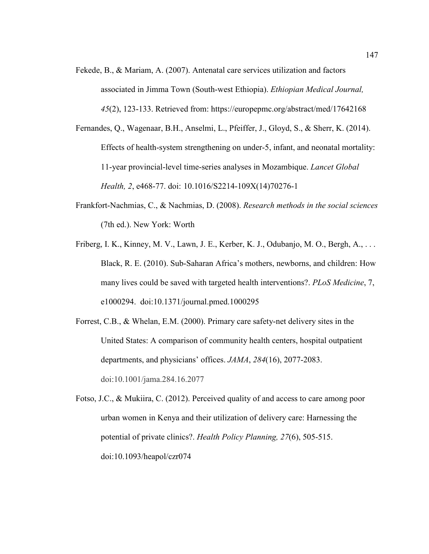- Fekede, B., & Mariam, A. (2007). Antenatal care services utilization and factors associated in Jimma Town (South-west Ethiopia). *Ethiopian Medical Journal, 45*(2), 123-133. Retrieved from: https://europepmc.org/abstract/med/17642168
- Fernandes, Q., Wagenaar, B.H., Anselmi, L., Pfeiffer, J., Gloyd, S., & Sherr, K. (2014). Effects of health-system strengthening on under-5, infant, and neonatal mortality: 11-year provincial-level time-series analyses in Mozambique. *Lancet Global Health, 2*, e468-77. doi: 10.1016/S2214-109X(14)70276-1
- Frankfort-Nachmias, C., & Nachmias, D. (2008). *Research methods in the social sciences*  (7th ed.). New York: Worth
- Friberg, I. K., Kinney, M. V., Lawn, J. E., Kerber, K. J., Odubanjo, M. O., Bergh, A., ... Black, R. E. (2010). Sub-Saharan Africa's mothers, newborns, and children: How many lives could be saved with targeted health interventions?. *PLoS Medicine*, 7, e1000294. doi:10.1371/journal.pmed.1000295
- Forrest, C.B., & Whelan, E.M. (2000). Primary care safety-net delivery sites in the United States: A comparison of community health centers, hospital outpatient departments, and physicians' offices. *JAMA*, *284*(16), 2077-2083. doi:10.1001/jama.284.16.2077
- Fotso, J.C., & Mukiira, C. (2012). Perceived quality of and access to care among poor urban women in Kenya and their utilization of delivery care: Harnessing the potential of private clinics?. *Health Policy Planning, 27*(6), 505-515. doi:10.1093/heapol/czr074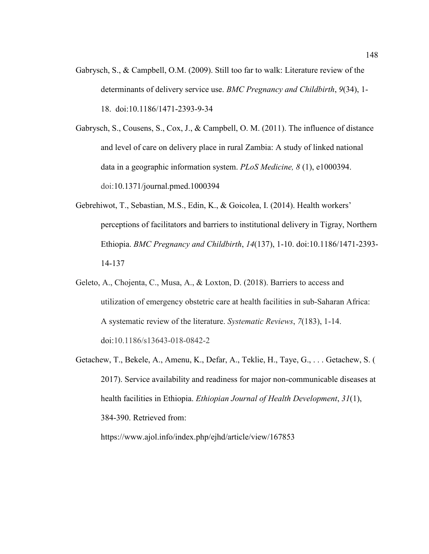Gabrysch, S., & Campbell, O.M. (2009). Still too far to walk: Literature review of the determinants of delivery service use. *BMC Pregnancy and Childbirth*, *9*(34), 1- 18. doi:10.1186/1471-2393-9-34

Gabrysch, S., Cousens, S., Cox, J., & Campbell, O. M. (2011). The influence of distance and level of care on delivery place in rural Zambia: A study of linked national data in a geographic information system. *PLoS Medicine, 8* (1), e1000394. doi:10.1371/journal.pmed.1000394

- Gebrehiwot, T., Sebastian, M.S., Edin, K., & Goicolea, I. (2014). Health workers' perceptions of facilitators and barriers to institutional delivery in Tigray, Northern Ethiopia. *BMC Pregnancy and Childbirth*, *14*(137), 1-10. doi:10.1186/1471-2393- 14-137
- Geleto, A., Chojenta, C., Musa, A., & Loxton, D. (2018). Barriers to access and utilization of emergency obstetric care at health facilities in sub-Saharan Africa: A systematic review of the literature. *Systematic Reviews*, *7*(183), 1-14. doi:10.1186/s13643-018-0842-2
- Getachew, T., Bekele, A., Amenu, K., Defar, A., Teklie, H., Taye, G., . . . Getachew, S. ( 2017). Service availability and readiness for major non-communicable diseases at health facilities in Ethiopia. *Ethiopian Journal of Health Development*, *31*(1), 384-390. Retrieved from:

https://www.ajol.info/index.php/ejhd/article/view/167853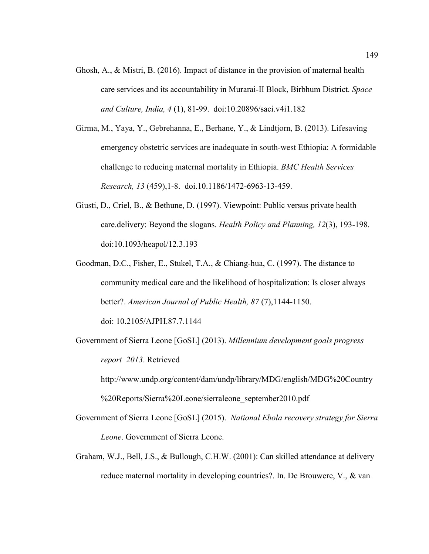- Ghosh, A., & Mistri, B. (2016). Impact of distance in the provision of maternal health care services and its accountability in Murarai-II Block, Birbhum District. *Space and Culture, India, 4* (1), 81-99. doi:10.20896/saci.v4i1.182
- Girma, M., Yaya, Y., Gebrehanna, E., Berhane, Y., & Lindtjorn, B. (2013). Lifesaving emergency obstetric services are inadequate in south-west Ethiopia: A formidable challenge to reducing maternal mortality in Ethiopia. *BMC Health Services Research, 13* (459),1-8. doi.10.1186/1472-6963-13-459.
- Giusti, D., Criel, B., & Bethune, D. (1997). Viewpoint: Public versus private health care.delivery: Beyond the slogans. *Health Policy and Planning, 12*(3), 193-198. doi:10.1093/heapol/12.3.193
- Goodman, D.C., Fisher, E., Stukel, T.A., & Chiang-hua, C. (1997). The distance to community medical care and the likelihood of hospitalization: Is closer always better?. *American Journal of Public Health, 87* (7),1144-1150.

doi: 10.2105/AJPH.87.7.1144

Government of Sierra Leone [GoSL] (2013). *Millennium development goals progress report 2013*. Retrieved

http://www.undp.org/content/dam/undp/library/MDG/english/MDG%20Country %20Reports/Sierra%20Leone/sierraleone\_september2010.pdf

- Government of Sierra Leone [GoSL] (2015). *National Ebola recovery strategy for Sierra Leone*. Government of Sierra Leone.
- Graham, W.J., Bell, J.S., & Bullough, C.H.W. (2001): Can skilled attendance at delivery reduce maternal mortality in developing countries?. In. De Brouwere, V., & van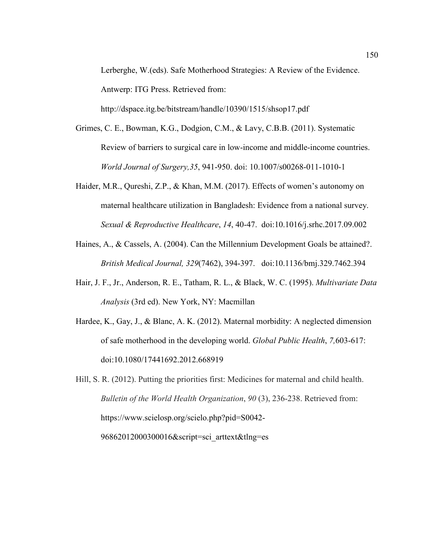Lerberghe, W.(eds). Safe Motherhood Strategies: A Review of the Evidence. Antwerp: ITG Press. Retrieved from:

http://dspace.itg.be/bitstream/handle/10390/1515/shsop17.pdf

- Grimes, C. E., Bowman, K.G., Dodgion, C.M., & Lavy, C.B.B. (2011). Systematic Review of barriers to surgical care in low-income and middle-income countries. *World Journal of Surgery,35*, 941-950. doi: 10.1007/s00268-011-1010-1
- Haider, M.R., Qureshi, Z.P., & Khan, M.M. (2017). Effects of women's autonomy on maternal healthcare utilization in Bangladesh: Evidence from a national survey. *Sexual & Reproductive Healthcare*, *14*, 40-47. doi:10.1016/j.srhc.2017.09.002
- Haines, A., & Cassels, A. (2004). Can the Millennium Development Goals be attained?. *British Medical Journal, 329*(7462), 394-397. doi:10.1136/bmj.329.7462.394
- Hair, J. F., Jr., Anderson, R. E., Tatham, R. L., & Black, W. C. (1995). *Multivariate Data Analysis* (3rd ed). New York, NY: Macmillan
- Hardee, K., Gay, J., & Blanc, A. K. (2012). Maternal morbidity: A neglected dimension of safe motherhood in the developing world. *Global Public Health*, *7,*603-617: doi:10.1080/17441692.2012.668919

Hill, S. R. (2012). Putting the priorities first: Medicines for maternal and child health. *Bulletin of the World Health Organization*, *90* (3), 236-238. Retrieved from: https://www.scielosp.org/scielo.php?pid=S0042- 96862012000300016&script=sci\_arttext&tlng=es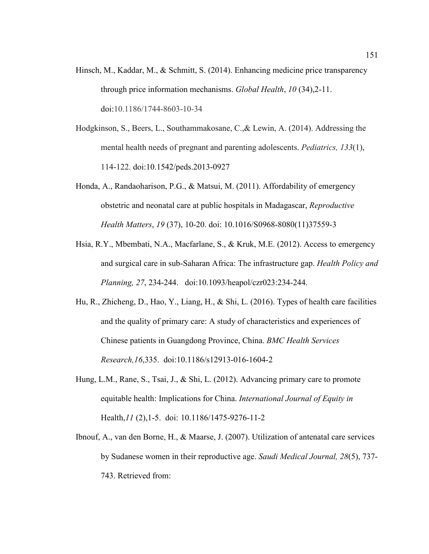- Hinsch, M., Kaddar, M., & Schmitt, S. (2014). Enhancing medicine price transparency through price information mechanisms. *Global Health*, *10* (34),2-11. doi:10.1186/1744-8603-10-34
- Hodgkinson, S., Beers, L., Southammakosane, C.,& Lewin, A. (2014). Addressing the mental health needs of pregnant and parenting adolescents. *Pediatrics, 133*(1), 114-122. doi:10.1542/peds.2013-0927
- Honda, A., Randaoharison, P.G., & Matsui, M. (2011). Affordability of emergency obstetric and neonatal care at public hospitals in Madagascar, *Reproductive Health Matters*, *19* (37), 10-20. doi: 10.1016/S0968-8080(11)37559-3
- Hsia, R.Y., Mbembati, N.A., Macfarlane, S., & Kruk, M.E. (2012). Access to emergency and surgical care in sub-Saharan Africa: The infrastructure gap. *Health Policy and Planning, 27*, 234-244. doi:10.1093/heapol/czr023:234-244.
- Hu, R., Zhicheng, D., Hao, Y., Liang, H., & Shi, L. (2016). Types of health care facilities and the quality of primary care: A study of characteristics and experiences of Chinese patients in Guangdong Province, China. *BMC Health Services Research,16*,335. doi:10.1186/s12913-016-1604-2
- Hung, L.M., Rane, S., Tsai, J., & Shi, L. (2012). Advancing primary care to promote equitable health: Implications for China. *International Journal of Equity in*  Health,*11* (2),1-5. doi: 10.1186/1475-9276-11-2
- Ibnouf, A., van den Borne, H., & Maarse, J. (2007). Utilization of antenatal care services by Sudanese women in their reproductive age. *Saudi Medical Journal, 28*(5), 737- 743. Retrieved from: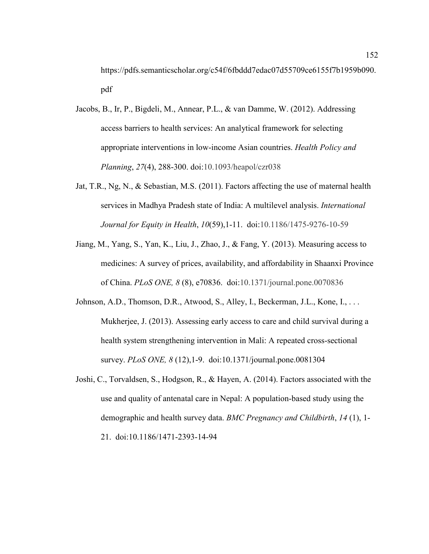https://pdfs.semanticscholar.org/c54f/6fbddd7edac07d55709ce6155f7b1959b090. pdf

- Jacobs, B., Ir, P., Bigdeli, M., Annear, P.L., & van Damme, W. (2012). Addressing access barriers to health services: An analytical framework for selecting appropriate interventions in low-income Asian countries. *Health Policy and Planning*, *27*(4), 288-300. doi:10.1093/heapol/czr038
- Jat, T.R., Ng, N., & Sebastian, M.S. (2011). Factors affecting the use of maternal health services in Madhya Pradesh state of India: A multilevel analysis. *International Journal for Equity in Health*, *10*(59),1-11. doi:10.1186/1475-9276-10-59
- Jiang, M., Yang, S., Yan, K., Liu, J., Zhao, J., & Fang, Y. (2013). Measuring access to medicines: A survey of prices, availability, and affordability in Shaanxi Province of China. *PLoS ONE, 8* (8), e70836. doi:10.1371/journal.pone.0070836
- Johnson, A.D., Thomson, D.R., Atwood, S., Alley, I., Beckerman, J.L., Kone, I., . . . Mukherjee, J. (2013). Assessing early access to care and child survival during a health system strengthening intervention in Mali: A repeated cross-sectional survey. *PLoS ONE, 8* (12),1-9. doi:10.1371/journal.pone.0081304
- Joshi, C., Torvaldsen, S., Hodgson, R., & Hayen, A. (2014). Factors associated with the use and quality of antenatal care in Nepal: A population-based study using the demographic and health survey data. *BMC Pregnancy and Childbirth*, *14* (1), 1- 21. doi:10.1186/1471-2393-14-94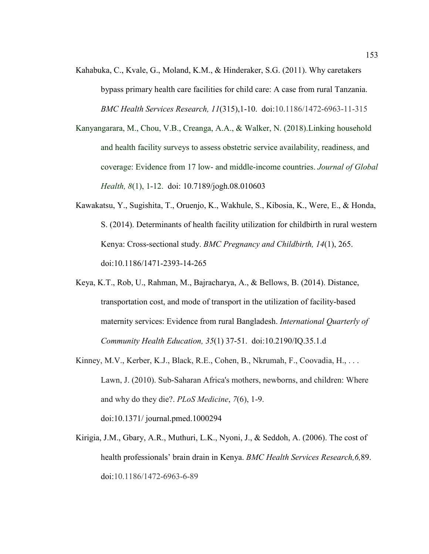- Kahabuka, C., Kvale, G., Moland, K.M., & Hinderaker, S.G. (2011). Why caretakers bypass primary health care facilities for child care: A case from rural Tanzania. *BMC Health Services Research, 11*(315),1-10. doi:10.1186/1472-6963-11-315
- Kanyangarara, M., Chou, V.B., Creanga, A.A., & Walker, N. (2018).Linking household and health facility surveys to assess obstetric service availability, readiness, and coverage: Evidence from 17 low- and middle-income countries. *Journal of Global Health, 8*(1), 1-12. doi: 10.7189/jogh.08.010603
- Kawakatsu, Y., Sugishita, T., Oruenjo, K., Wakhule, S., Kibosia, K., Were, E., & Honda, S. (2014). Determinants of health facility utilization for childbirth in rural western Kenya: Cross-sectional study. *BMC Pregnancy and Childbirth, 14*(1), 265. doi:10.1186/1471-2393-14-265
- Keya, K.T., Rob, U., Rahman, M., Bajracharya, A., & Bellows, B. (2014). Distance, transportation cost, and mode of transport in the utilization of facility-based maternity services: Evidence from rural Bangladesh. *International Quarterly of Community Health Education, 35*(1) 37-51. doi:10.2190/IQ.35.1.d
- Kinney, M.V., Kerber, K.J., Black, R.E., Cohen, B., Nkrumah, F., Coovadia, H., . . . Lawn, J. (2010). Sub-Saharan Africa's mothers, newborns, and children: Where and why do they die?. *PLoS Medicine*, *7*(6), 1-9. doi:10.1371/ journal.pmed.1000294
- Kirigia, J.M., Gbary, A.R., Muthuri, L.K., Nyoni, J., & Seddoh, A. (2006). The cost of health professionals' brain drain in Kenya. *BMC Health Services Research,6,*89. doi:10.1186/1472-6963-6-89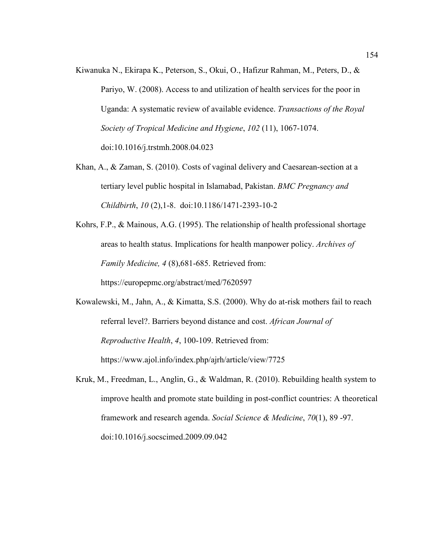- Kiwanuka N., Ekirapa K., Peterson, S., Okui, O., Hafizur Rahman, M., Peters, D., & Pariyo, W. (2008). Access to and utilization of health services for the poor in Uganda: A systematic review of available evidence. *Transactions of the Royal Society of Tropical Medicine and Hygiene*, *102* (11), 1067-1074. doi:10.1016/j.trstmh.2008.04.023
- Khan, A., & Zaman, S. (2010). Costs of vaginal delivery and Caesarean-section at a tertiary level public hospital in Islamabad, Pakistan. *BMC Pregnancy and Childbirth*, *10* (2),1-8. doi:10.1186/1471-2393-10-2
- Kohrs, F.P., & Mainous, A.G. (1995). The relationship of health professional shortage areas to health status. Implications for health manpower policy. *Archives of Family Medicine, 4* (8),681-685. Retrieved from: https://europepmc.org/abstract/med/7620597

Kowalewski, M., Jahn, A., & Kimatta, S.S. (2000). Why do at-risk mothers fail to reach referral level?. Barriers beyond distance and cost. *African Journal of Reproductive Health*, *4*, 100-109. Retrieved from: https://www.ajol.info/index.php/ajrh/article/view/7725

Kruk, M., Freedman, L., Anglin, G., & Waldman, R. (2010). Rebuilding health system to improve health and promote state building in post-conflict countries: A theoretical framework and research agenda. *Social Science & Medicine*, *70*(1), 89 -97. doi:10.1016/j.socscimed.2009.09.042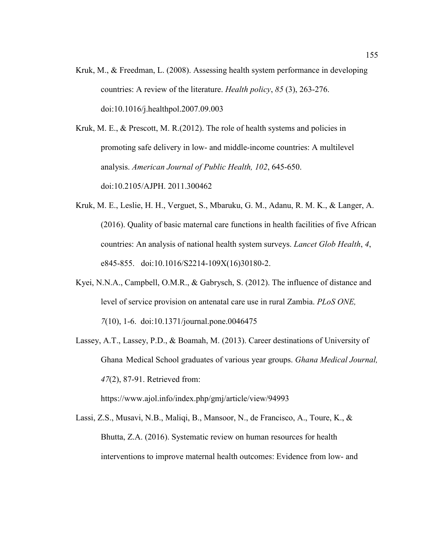Kruk, M., & Freedman, L. (2008). Assessing health system performance in developing countries: A review of the literature. *Health policy*, *85* (3), 263-276. doi:10.1016/j.healthpol.2007.09.003

Kruk, M. E., & Prescott, M. R.(2012). The role of health systems and policies in promoting safe delivery in low- and middle-income countries: A multilevel analysis. *American Journal of Public Health, 102*, 645-650. doi:10.2105/AJPH. 2011.300462

- Kruk, M. E., Leslie, H. H., Verguet, S., Mbaruku, G. M., Adanu, R. M. K., & Langer, A. (2016). Quality of basic maternal care functions in health facilities of five African countries: An analysis of national health system surveys. *Lancet Glob Health*, *4*, e845-855. doi:10.1016/S2214-109X(16)30180-2.
- Kyei, N.N.A., Campbell, O.M.R., & Gabrysch, S. (2012). The influence of distance and level of service provision on antenatal care use in rural Zambia. *PLoS ONE, 7*(10), 1-6. doi:10.1371/journal.pone.0046475
- Lassey, A.T., Lassey, P.D., & Boamah, M. (2013). Career destinations of University of Ghana Medical School graduates of various year groups. *Ghana Medical Journal, 47*(2), 87-91. Retrieved from:

https://www.ajol.info/index.php/gmj/article/view/94993

Lassi, Z.S., Musavi, N.B., Maliqi, B., Mansoor, N., de Francisco, A., Toure, K., & Bhutta, Z.A. (2016). Systematic review on human resources for health interventions to improve maternal health outcomes: Evidence from low- and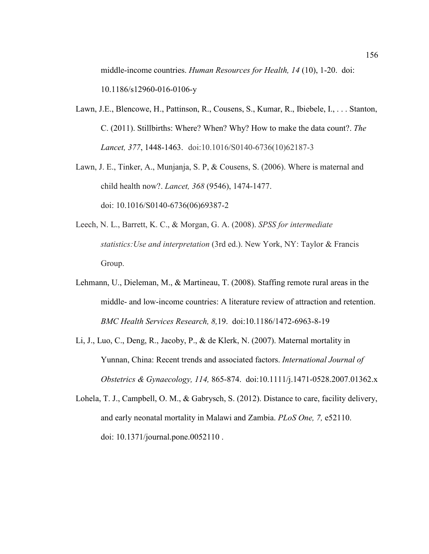middle-income countries. *Human Resources for Health, 14* (10), 1-20. doi: 10.1186/s12960-016-0106-y

- Lawn, J.E., Blencowe, H., Pattinson, R., Cousens, S., Kumar, R., Ibiebele, I., . . . Stanton, C. (2011). Stillbirths: Where? When? Why? How to make the data count?. *The Lancet, 377*, 1448-1463. doi:10.1016/S0140-6736(10)62187-3
- Lawn, J. E., Tinker, A., Munjanja, S. P, & Cousens, S. (2006). Where is maternal and child health now?. *Lancet, 368* (9546), 1474-1477. doi: 10.1016/S0140-6736(06)69387-2
- Leech, N. L., Barrett, K. C., & Morgan, G. A. (2008). *SPSS for intermediate statistics:Use and interpretation* (3rd ed.). New York, NY: Taylor & Francis Group.
- Lehmann, U., Dieleman, M., & Martineau, T. (2008). Staffing remote rural areas in the middle- and low-income countries: A literature review of attraction and retention. *BMC Health Services Research, 8,*19. doi:10.1186/1472-6963-8-19
- Li, J., Luo, C., Deng, R., Jacoby, P., & de Klerk, N. (2007). Maternal mortality in Yunnan, China: Recent trends and associated factors. *International Journal of Obstetrics & Gynaecology, 114,* 865-874. doi:10.1111/j.1471-0528.2007.01362.x
- Lohela, T. J., Campbell, O. M., & Gabrysch, S. (2012). Distance to care, facility delivery, and early neonatal mortality in Malawi and Zambia. *PLoS One, 7,* e52110. doi: 10.1371/journal.pone.0052110 .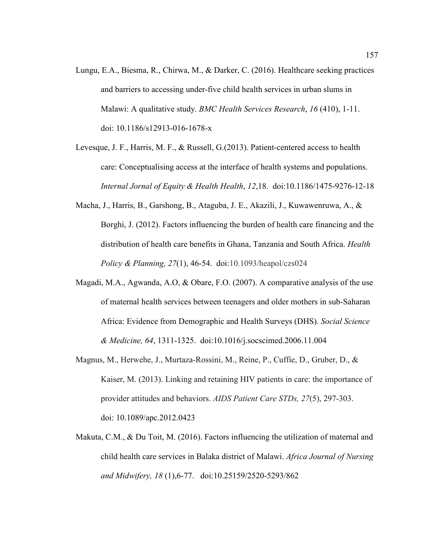- Lungu, E.A., Biesma, R., Chirwa, M., & Darker, C. (2016). Healthcare seeking practices and barriers to accessing under-five child health services in urban slums in Malawi: A qualitative study. *BMC Health Services Research*, *16* (410), 1-11. doi: 10.1186/s12913-016-1678-x
- Levesque, J. F., Harris, M. F., & Russell, G.(2013). Patient-centered access to health care: Conceptualising access at the interface of health systems and populations. *Internal Jornal of Equity & Health Health*, *12*,18. doi:10.1186/1475-9276-12-18
- Macha, J., Harris, B., Garshong, B., Ataguba, J. E., Akazili, J., Kuwawenruwa, A., & Borghi, J. (2012). Factors influencing the burden of health care financing and the distribution of health care benefits in Ghana, Tanzania and South Africa. *Health Policy & Planning, 27*(1), 46-54. doi:10.1093/heapol/czs024
- Magadi, M.A., Agwanda, A.O, & Obare, F.O. (2007). A comparative analysis of the use of maternal health services between teenagers and older mothers in sub-Saharan Africa: Evidence from Demographic and Health Surveys (DHS). *Social Science & Medicine, 64*, 1311-1325. doi:10.1016/j.socscimed.2006.11.004
- Magnus, M., Herwehe, J., Murtaza-Rossini, M., Reine, P., Cuffie, D., Gruber, D., & Kaiser, M. (2013). Linking and retaining HIV patients in care: the importance of provider attitudes and behaviors. *AIDS Patient Care STDs, 27*(5), 297-303. doi: 10.1089/apc.2012.0423
- Makuta, C.M., & Du Toit, M. (2016). Factors influencing the utilization of maternal and child health care services in Balaka district of Malawi. *Africa Journal of Nursing and Midwifery, 18* (1),6-77. doi:10.25159/2520-5293/862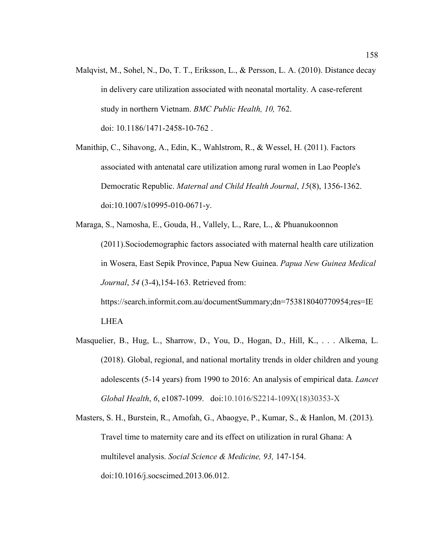Malqvist, M., Sohel, N., Do, T. T., Eriksson, L., & Persson, L. A. (2010). Distance decay in delivery care utilization associated with neonatal mortality. A case-referent study in northern Vietnam. *BMC Public Health, 10,* 762. doi: 10.1186/1471-2458-10-762 .

Manithip, C., Sihavong, A., Edin, K., Wahlstrom, R., & Wessel, H. (2011). Factors associated with antenatal care utilization among rural women in Lao People's Democratic Republic. *Maternal and Child Health Journal*, *15*(8), 1356-1362. doi:10.1007/s10995-010-0671-y.

Maraga, S., Namosha, E., Gouda, H., Vallely, L., Rare, L., & Phuanukoonnon (2011).Sociodemographic factors associated with maternal health care utilization in Wosera, East Sepik Province, Papua New Guinea. *Papua New Guinea Medical Journal*, *54* (3-4),154-163. Retrieved from: https://search.informit.com.au/documentSummary;dn=753818040770954;res=IE LHEA

Masquelier, B., Hug, L., Sharrow, D., You, D., Hogan, D., Hill, K., . . . Alkema, L. (2018). Global, regional, and national mortality trends in older children and young adolescents (5-14 years) from 1990 to 2016: An analysis of empirical data. *Lancet Global Health*, *6*, e1087-1099. doi:10.1016/S2214-109X(18)30353-X

Masters, S. H., Burstein, R., Amofah, G., Abaogye, P., Kumar, S., & Hanlon, M. (2013)*.*  Travel time to maternity care and its effect on utilization in rural Ghana: A multilevel analysis. *Social Science & Medicine, 93,* 147-154. doi:10.1016/j.socscimed.2013.06.012.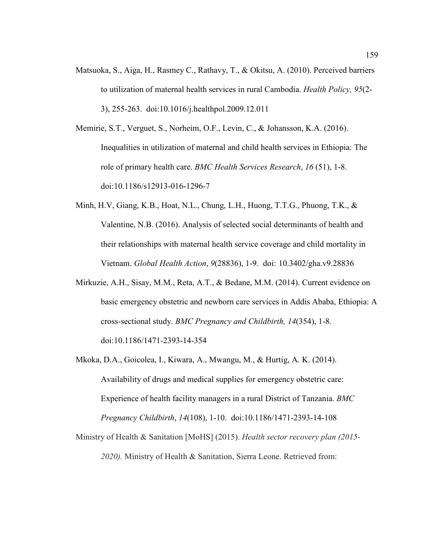Matsuoka, S., Aiga, H., Rasmey C., Rathavy, T., & Okitsu, A. (2010). Perceived barriers to utilization of maternal health services in rural Cambodia. *Health Policy, 95*(2- 3), 255-263. doi:10.1016/j.healthpol.2009.12.011

Memirie, S.T., Verguet, S., Norheim, O.F., Levin, C., & Johansson, K.A. (2016). Inequalities in utilization of maternal and child health services in Ethiopia: The role of primary health care. *BMC Health Services Research*, *16* (51), 1-8. doi:10.1186/s12913-016-1296-7

- Minh, H.V, Giang, K.B., Hoat, N.L., Chung, L.H., Huong, T.T.G., Phuong, T.K., & Valentine, N.B. (2016). Analysis of selected social determinants of health and their relationships with maternal health service coverage and child mortality in Vietnam. *Global Health Action*, *9*(28836), 1-9. doi: 10.3402/gha.v9.28836
- Mirkuzie, A.H., Sisay, M.M., Reta, A.T., & Bedane, M.M. (2014). Current evidence on basic emergency obstetric and newborn care services in Addis Ababa, Ethiopia: A cross-sectional study. *BMC Pregnancy and Childbirth, 14*(354), 1-8. doi:10.1186/1471-2393-14-354
- Mkoka, D.A., Goicolea, I., Kiwara, A., Mwangu, M., & Hurtig, A. K. (2014). Availability of drugs and medical supplies for emergency obstetric care: Experience of health facility managers in a rural District of Tanzania. *BMC Pregnancy Childbirth*, *14*(108), 1-10. doi:10.1186/1471-2393-14-108

Ministry of Health & Sanitation [MoHS] (2015). *Health sector recovery plan (2015- 2020).* Ministry of Health & Sanitation, Sierra Leone. Retrieved from: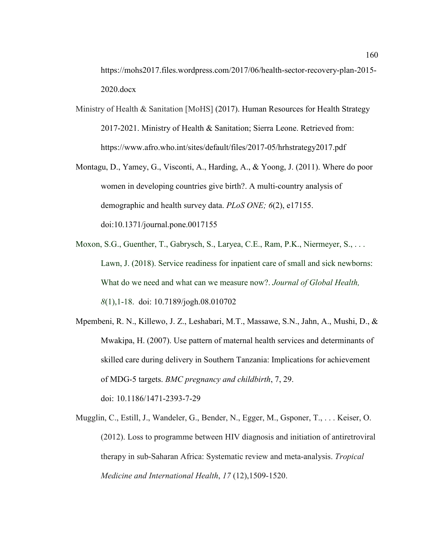https://mohs2017.files.wordpress.com/2017/06/health-sector-recovery-plan-2015- 2020.docx

- Ministry of Health & Sanitation [MoHS] (2017). Human Resources for Health Strategy 2017-2021. Ministry of Health & Sanitation; Sierra Leone. Retrieved from: https://www.afro.who.int/sites/default/files/2017-05/hrhstrategy2017.pdf
- Montagu, D., Yamey, G., Visconti, A., Harding, A., & Yoong, J. (2011). Where do poor women in developing countries give birth?. A multi-country analysis of demographic and health survey data. *PLoS ONE; 6*(2), e17155. doi:10.1371/journal.pone.0017155
- Moxon, S.G., Guenther, T., Gabrysch, S., Laryea, C.E., Ram, P.K., Niermeyer, S., ... Lawn, J. (2018). Service readiness for inpatient care of small and sick newborns: What do we need and what can we measure now?. *Journal of Global Health, 8*(1),1-18. doi: 10.7189/jogh.08.010702
- Mpembeni, R. N., Killewo, J. Z., Leshabari, M.T., Massawe, S.N., Jahn, A., Mushi, D., & Mwakipa, H. (2007). Use pattern of maternal health services and determinants of skilled care during delivery in Southern Tanzania: Implications for achievement of MDG-5 targets. *BMC pregnancy and childbirth*, 7, 29. doi: 10.1186/1471-2393-7-29
- Mugglin, C., Estill, J., Wandeler, G., Bender, N., Egger, M., Gsponer, T., . . . Keiser, O. (2012). Loss to programme between HIV diagnosis and initiation of antiretroviral therapy in sub-Saharan Africa: Systematic review and meta-analysis. *Tropical Medicine and International Health*, *17* (12),1509-1520.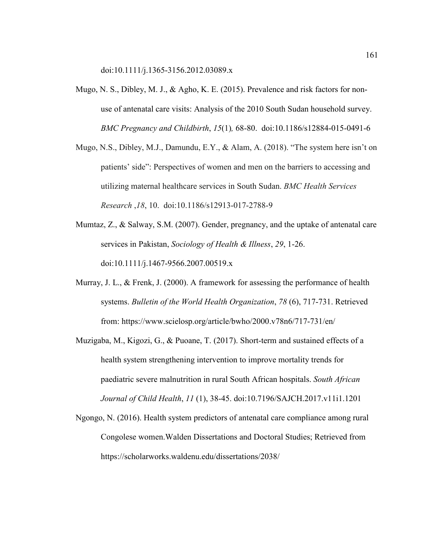doi:10.1111/j.1365-3156.2012.03089.x

- Mugo, N. S., Dibley, M. J., & Agho, K. E. (2015). Prevalence and risk factors for nonuse of antenatal care visits: Analysis of the 2010 South Sudan household survey. *BMC Pregnancy and Childbirth*, *15*(1)*,* 68-80. doi:10.1186/s12884-015-0491-6
- Mugo, N.S., Dibley, M.J., Damundu, E.Y., & Alam, A. (2018). "The system here isn't on patients' side": Perspectives of women and men on the barriers to accessing and utilizing maternal healthcare services in South Sudan. *BMC Health Services Research* ,*18*, 10. doi:10.1186/s12913-017-2788-9
- Mumtaz, Z., & Salway, S.M. (2007). Gender, pregnancy, and the uptake of antenatal care services in Pakistan, *Sociology of Health & Illness*, *29*, 1-26. doi:10.1111/j.1467-9566.2007.00519.x
- Murray, J. L., & Frenk, J. (2000). A framework for assessing the performance of health systems. *Bulletin of the World Health Organization*, *78* (6), 717-731. Retrieved from: https://www.scielosp.org/article/bwho/2000.v78n6/717-731/en/
- Muzigaba, M., Kigozi, G., & Puoane, T. (2017). Short-term and sustained effects of a health system strengthening intervention to improve mortality trends for paediatric severe malnutrition in rural South African hospitals. *South African Journal of Child Health*, *11* (1), 38-45. doi:10.7196/SAJCH.2017.v11i1.1201
- Ngongo, N. (2016). Health system predictors of antenatal care compliance among rural Congolese women.Walden Dissertations and Doctoral Studies; Retrieved from https://scholarworks.waldenu.edu/dissertations/2038/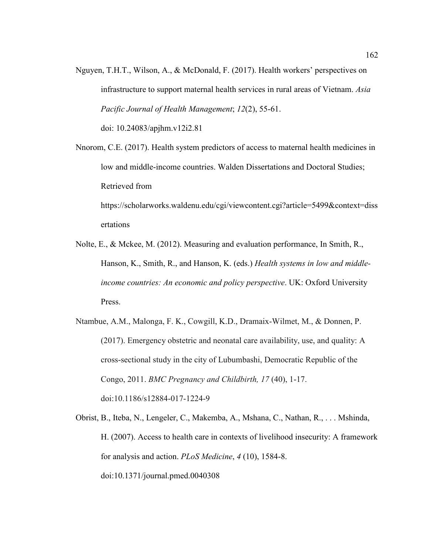Nguyen, T.H.T., Wilson, A., & McDonald, F. (2017). Health workers' perspectives on infrastructure to support maternal health services in rural areas of Vietnam. *Asia Pacific Journal of Health Management*; *12*(2), 55-61.

doi: 10.24083/apjhm.v12i2.81

Nnorom, C.E. (2017). Health system predictors of access to maternal health medicines in low and middle-income countries. Walden Dissertations and Doctoral Studies; Retrieved from

https://scholarworks.waldenu.edu/cgi/viewcontent.cgi?article=5499&context=diss ertations

- Nolte, E., & Mckee, M. (2012). Measuring and evaluation performance, In Smith, R., Hanson, K., Smith, R., and Hanson, K. (eds.) *Health systems in low and middleincome countries: An economic and policy perspective*. UK: Oxford University Press.
- Ntambue, A.M., Malonga, F. K., Cowgill, K.D., Dramaix-Wilmet, M., & Donnen, P. (2017). Emergency obstetric and neonatal care availability, use, and quality: A cross-sectional study in the city of Lubumbashi, Democratic Republic of the Congo, 2011. *BMC Pregnancy and Childbirth, 17* (40), 1-17. doi:10.1186/s12884-017-1224-9

Obrist, B., Iteba, N., Lengeler, C., Makemba, A., Mshana, C., Nathan, R., . . . Mshinda, H. (2007). Access to health care in contexts of livelihood insecurity: A framework for analysis and action. *PLoS Medicine*, *4* (10), 1584-8. doi:10.1371/journal.pmed.0040308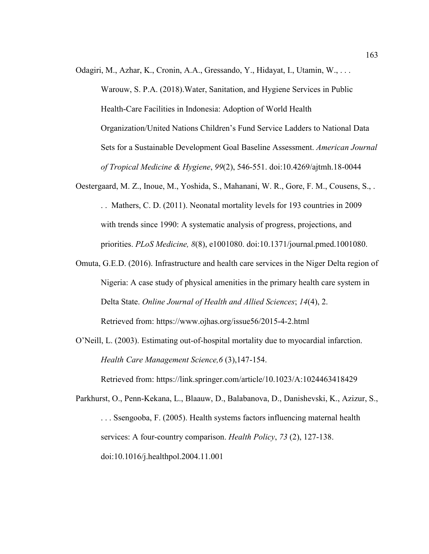Odagiri, M., Azhar, K., Cronin, A.A., Gressando, Y., Hidayat, I., Utamin, W., . . .

Warouw, S. P.A. (2018).Water, Sanitation, and Hygiene Services in Public Health-Care Facilities in Indonesia: Adoption of World Health Organization/United Nations Children's Fund Service Ladders to National Data Sets for a Sustainable Development Goal Baseline Assessment. *American Journal of Tropical Medicine & Hygiene*, *99*(2), 546-551. doi:10.4269/ajtmh.18-0044

- Oestergaard, M. Z., Inoue, M., Yoshida, S., Mahanani, W. R., Gore, F. M., Cousens, S., . . . Mathers, C. D. (2011). Neonatal mortality levels for 193 countries in 2009 with trends since 1990: A systematic analysis of progress, projections, and priorities. *PLoS Medicine, 8*(8), e1001080. doi:10.1371/journal.pmed.1001080.
- Omuta, G.E.D. (2016). Infrastructure and health care services in the Niger Delta region of Nigeria: A case study of physical amenities in the primary health care system in Delta State. *Online Journal of Health and Allied Sciences*; *14*(4), 2. Retrieved from: https://www.ojhas.org/issue56/2015-4-2.html
- O'Neill, L. (2003). Estimating out-of-hospital mortality due to myocardial infarction. *Health Care Management Science,6* (3),147-154.

Retrieved from: https://link.springer.com/article/10.1023/A:1024463418429

Parkhurst, O., Penn-Kekana, L., Blaauw, D., Balabanova, D., Danishevski, K., Azizur, S., . . . Ssengooba, F. (2005). Health systems factors influencing maternal health services: A four-country comparison. *Health Policy*, *73* (2), 127-138. doi:10.1016/j.healthpol.2004.11.001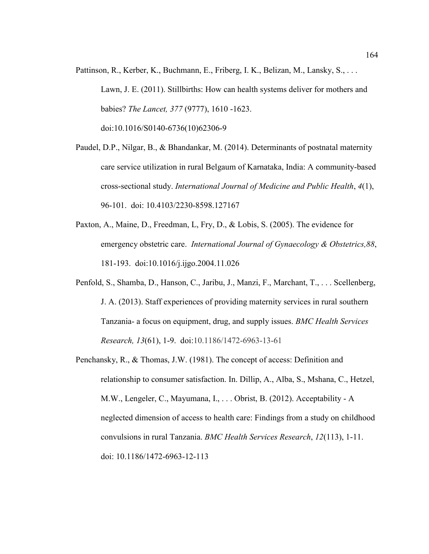- Pattinson, R., Kerber, K., Buchmann, E., Friberg, I. K., Belizan, M., Lansky, S., . . . Lawn, J. E. (2011). Stillbirths: How can health systems deliver for mothers and babies? *The Lancet, 377* (9777), 1610 -1623. doi:10.1016/S0140-6736(10)62306-9
- Paudel, D.P., Nilgar, B., & Bhandankar, M. (2014). Determinants of postnatal maternity care service utilization in rural Belgaum of Karnataka, India: A community-based cross-sectional study. *International Journal of Medicine and Public Health*, *4*(1), 96-101. doi: 10.4103/2230-8598.127167
- Paxton, A., Maine, D., Freedman, L, Fry, D., & Lobis, S. (2005). The evidence for emergency obstetric care. *International Journal of Gynaecology & Obstetrics,88*, 181-193. doi:10.1016/j.ijgo.2004.11.026
- Penfold, S., Shamba, D., Hanson, C., Jaribu, J., Manzi, F., Marchant, T., . . . Scellenberg, J. A. (2013). Staff experiences of providing maternity services in rural southern Tanzania- a focus on equipment, drug, and supply issues. *BMC Health Services Research, 13*(61), 1-9. doi:10.1186/1472-6963-13-61
- Penchansky, R., & Thomas, J.W. (1981). The concept of access: Definition and relationship to consumer satisfaction. In. Dillip, A., Alba, S., Mshana, C., Hetzel, M.W., Lengeler, C., Mayumana, I., . . . Obrist, B. (2012). Acceptability - A neglected dimension of access to health care: Findings from a study on childhood convulsions in rural Tanzania. *BMC Health Services Research*, *12*(113), 1-11. doi: 10.1186/1472-6963-12-113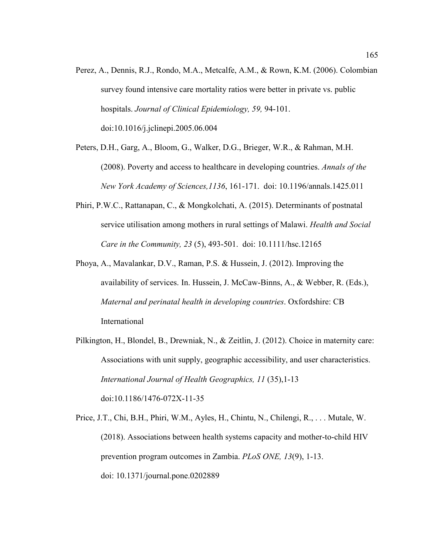Perez, A., Dennis, R.J., Rondo, M.A., Metcalfe, A.M., & Rown, K.M. (2006). Colombian survey found intensive care mortality ratios were better in private vs. public hospitals. *Journal of Clinical Epidemiology, 59,* 94-101. doi:10.1016/j.jclinepi.2005.06.004

Peters, D.H., Garg, A., Bloom, G., Walker, D.G., Brieger, W.R., & Rahman, M.H. (2008). Poverty and access to healthcare in developing countries. *Annals of the New York Academy of Sciences,1136*, 161-171. doi: 10.1196/annals.1425.011

- Phiri, P.W.C., Rattanapan, C., & Mongkolchati, A. (2015). Determinants of postnatal service utilisation among mothers in rural settings of Malawi. *Health and Social Care in the Community, 23* (5), 493-501. doi: 10.1111/hsc.12165
- Phoya, A., Mavalankar, D.V., Raman, P.S. & Hussein, J. (2012). Improving the availability of services. In. Hussein, J. McCaw-Binns, A., & Webber, R. (Eds.), *Maternal and perinatal health in developing countries*. Oxfordshire: CB International
- Pilkington, H., Blondel, B., Drewniak, N., & Zeitlin, J. (2012). Choice in maternity care: Associations with unit supply, geographic accessibility, and user characteristics. *International Journal of Health Geographics, 11* (35),1-13 doi:10.1186/1476-072X-11-35

Price, J.T., Chi, B.H., Phiri, W.M., Ayles, H., Chintu, N., Chilengi, R., . . . Mutale, W. (2018). Associations between health systems capacity and mother-to-child HIV prevention program outcomes in Zambia. *PLoS ONE, 13*(9), 1-13. doi: 10.1371/journal.pone.0202889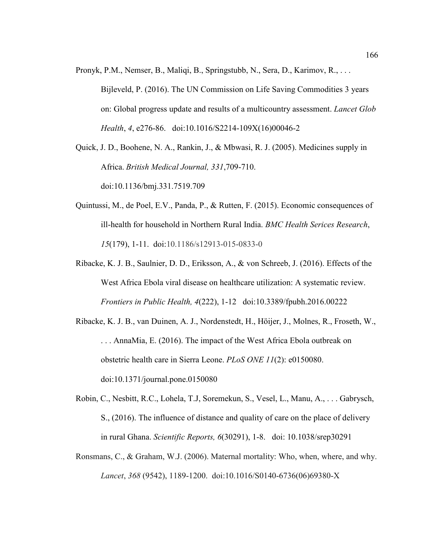Pronyk, P.M., Nemser, B., Maliqi, B., Springstubb, N., Sera, D., Karimov, R., . . . Bijleveld, P. (2016). The UN Commission on Life Saving Commodities 3 years on: Global progress update and results of a multicountry assessment. *Lancet Glob Health*, *4*, e276-86. doi:10.1016/S2214-109X(16)00046-2

Quick, J. D., Boohene, N. A., Rankin, J., & Mbwasi, R. J. (2005). Medicines supply in Africa. *British Medical Journal, 331*,709-710. doi:10.1136/bmj.331.7519.709

- Quintussi, M., de Poel, E.V., Panda, P., & Rutten, F. (2015). Economic consequences of ill-health for household in Northern Rural India. *BMC Health Serices Research*, *15*(179), 1-11. doi:10.1186/s12913-015-0833-0
- Ribacke, K. J. B., Saulnier, D. D., Eriksson, A., & von Schreeb, J. (2016). Effects of the West Africa Ebola viral disease on healthcare utilization: A systematic review. *Frontiers in Public Health, 4*(222), 1-12 doi:10.3389/fpubh.2016.00222
- Ribacke, K. J. B., van Duinen, A. J., Nordenstedt, H., Höijer, J., Molnes, R., Froseth, W., . . . AnnaMia, E. (2016). The impact of the West Africa Ebola outbreak on obstetric health care in Sierra Leone. *PLoS ONE 11*(2): e0150080. doi:10.1371/journal.pone.0150080
- Robin, C., Nesbitt, R.C., Lohela, T.J, Soremekun, S., Vesel, L., Manu, A., . . . Gabrysch, S., (2016). The influence of distance and quality of care on the place of delivery in rural Ghana. *Scientific Reports, 6*(30291), 1-8. doi: 10.1038/srep30291
- Ronsmans, C., & Graham, W.J. (2006). Maternal mortality: Who, when, where, and why. *Lancet*, *368* (9542), 1189-1200. doi:10.1016/S0140-6736(06)69380-X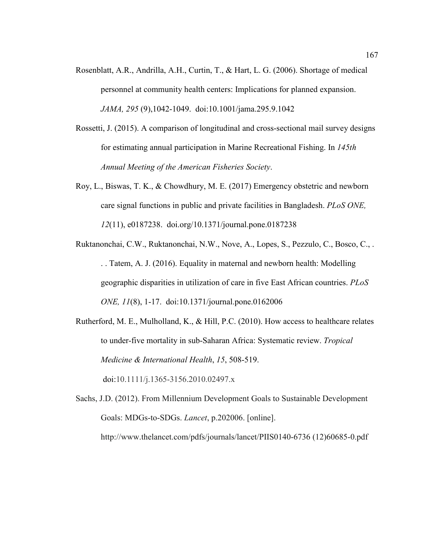- Rosenblatt, A.R., Andrilla, A.H., Curtin, T., & Hart, L. G. (2006). Shortage of medical personnel at community health centers: Implications for planned expansion. *JAMA, 295* (9),1042-1049. doi:10.1001/jama.295.9.1042
- Rossetti, J. (2015). A comparison of longitudinal and cross-sectional mail survey designs for estimating annual participation in Marine Recreational Fishing. In *145th Annual Meeting of the American Fisheries Society*.
- Roy, L., Biswas, T. K., & Chowdhury, M. E. (2017) Emergency obstetric and newborn care signal functions in public and private facilities in Bangladesh. *PLoS ONE, 12*(11), e0187238. doi.org/10.1371/journal.pone.0187238
- Ruktanonchai, C.W., Ruktanonchai, N.W., Nove, A., Lopes, S., Pezzulo, C., Bosco, C., . . . Tatem, A. J. (2016). Equality in maternal and newborn health: Modelling geographic disparities in utilization of care in five East African countries. *PLoS ONE, 11*(8), 1-17. doi:10.1371/journal.pone.0162006
- Rutherford, M. E., Mulholland, K., & Hill, P.C. (2010). How access to healthcare relates to under-five mortality in sub-Saharan Africa: Systematic review. *Tropical Medicine & International Health*, *15*, 508-519.

doi:10.1111/j.1365-3156.2010.02497.x

Sachs, J.D. (2012). From Millennium Development Goals to Sustainable Development Goals: MDGs-to-SDGs. *Lancet*, p.202006. [online]. http://www.thelancet.com/pdfs/journals/lancet/PIIS0140-6736 (12)60685-0.pdf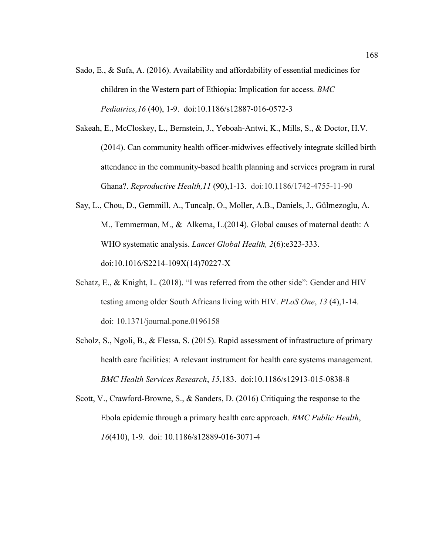- Sado, E., & Sufa, A. (2016). Availability and affordability of essential medicines for children in the Western part of Ethiopia: Implication for access. *BMC Pediatrics,16* (40), 1-9. doi:10.1186/s12887-016-0572-3
- Sakeah, E., McCloskey, L., Bernstein, J., Yeboah-Antwi, K., Mills, S., & Doctor, H.V. (2014). Can community health officer-midwives effectively integrate skilled birth attendance in the community-based health planning and services program in rural Ghana?. *Reproductive Health,11* (90),1-13. doi:10.1186/1742-4755-11-90
- Say, L., Chou, D., Gemmill, A., Tuncalp, O., Moller, A.B., Daniels, J., Gülmezoglu, A. M., Temmerman, M., & Alkema, L.(2014). Global causes of maternal death: A WHO systematic analysis. *Lancet Global Health, 2*(6):e323-333. doi:10.1016/S2214-109X(14)70227-X
- Schatz, E., & Knight, L. (2018). "I was referred from the other side": Gender and HIV testing among older South Africans living with HIV. *PLoS One*, *13* (4),1-14. doi: 10.1371/journal.pone.0196158
- Scholz, S., Ngoli, B., & Flessa, S. (2015). Rapid assessment of infrastructure of primary health care facilities: A relevant instrument for health care systems management. *BMC Health Services Research*, *15*,183. doi:10.1186/s12913-015-0838-8
- Scott, V., Crawford-Browne, S., & Sanders, D. (2016) Critiquing the response to the Ebola epidemic through a primary health care approach. *BMC Public Health*, *16*(410), 1-9. doi: 10.1186/s12889-016-3071-4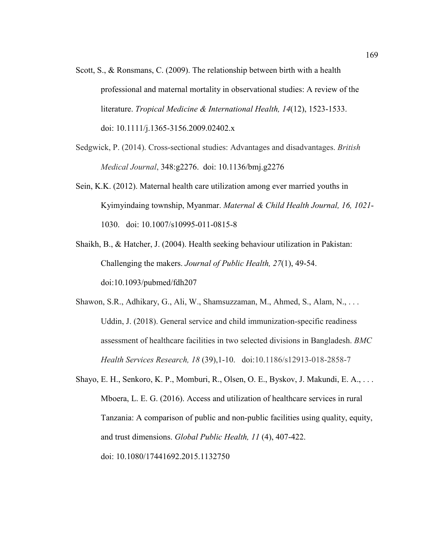- Scott, S., & Ronsmans, C. (2009). The relationship between birth with a health professional and maternal mortality in observational studies: A review of the literature. *Tropical Medicine & International Health, 14*(12), 1523-1533. doi: 10.1111/j.1365-3156.2009.02402.x
- Sedgwick, P. (2014). Cross-sectional studies: Advantages and disadvantages. *British Medical Journal*, 348:g2276. doi: 10.1136/bmj.g2276
- Sein, K.K. (2012). Maternal health care utilization among ever married youths in Kyimyindaing township, Myanmar. *Maternal & Child Health Journal, 16, 1021*- 1030. doi: 10.1007/s10995-011-0815-8
- Shaikh, B., & Hatcher, J. (2004). Health seeking behaviour utilization in Pakistan: Challenging the makers. *Journal of Public Health, 27*(1), 49-54. doi:10.1093/pubmed/fdh207
- Shawon, S.R., Adhikary, G., Ali, W., Shamsuzzaman, M., Ahmed, S., Alam, N., . . . Uddin, J. (2018). General service and child immunization-specific readiness assessment of healthcare facilities in two selected divisions in Bangladesh. *BMC Health Services Research, 18* (39),1-10. doi:10.1186/s12913-018-2858-7
- Shayo, E. H., Senkoro, K. P., Momburi, R., Olsen, O. E., Byskov, J. Makundi, E. A., . . . Mboera, L. E. G. (2016). Access and utilization of healthcare services in rural Tanzania: A comparison of public and non-public facilities using quality, equity, and trust dimensions. *Global Public Health, 11* (4), 407-422. doi: 10.1080/17441692.2015.1132750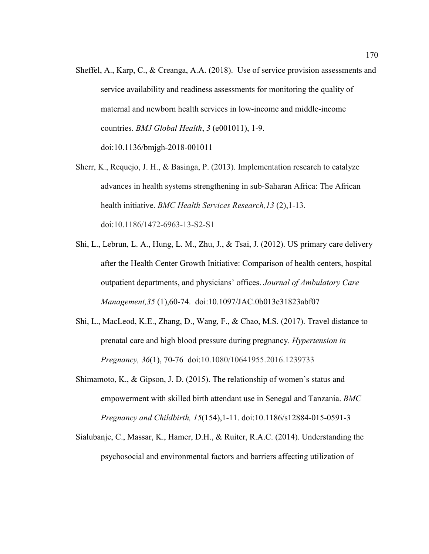- Sheffel, A., Karp, C., & Creanga, A.A. (2018). Use of service provision assessments and service availability and readiness assessments for monitoring the quality of maternal and newborn health services in low-income and middle-income countries. *BMJ Global Health*, *3* (e001011), 1-9. doi:10.1136/bmjgh-2018-001011
- Sherr, K., Requejo, J. H., & Basinga, P. (2013). Implementation research to catalyze advances in health systems strengthening in sub-Saharan Africa: The African health initiative. *BMC Health Services Research,13* (2),1-13. doi:10.1186/1472-6963-13-S2-S1
- Shi, L., Lebrun, L. A., Hung, L. M., Zhu, J., & Tsai, J. (2012). US primary care delivery after the Health Center Growth Initiative: Comparison of health centers, hospital outpatient departments, and physicians' offices. *Journal of Ambulatory Care Management,35* (1),60-74. doi:10.1097/JAC.0b013e31823abf07
- Shi, L., MacLeod, K.E., Zhang, D., Wang, F., & Chao, M.S. (2017). Travel distance to prenatal care and high blood pressure during pregnancy. *Hypertension in Pregnancy, 36*(1), 70-76 doi:10.1080/10641955.2016.1239733
- Shimamoto, K., & Gipson, J. D. (2015). The relationship of women's status and empowerment with skilled birth attendant use in Senegal and Tanzania. *BMC Pregnancy and Childbirth, 15*(154),1-11. doi:10.1186/s12884-015-0591-3
- Sialubanje, C., Massar, K., Hamer, D.H., & Ruiter, R.A.C. (2014). Understanding the psychosocial and environmental factors and barriers affecting utilization of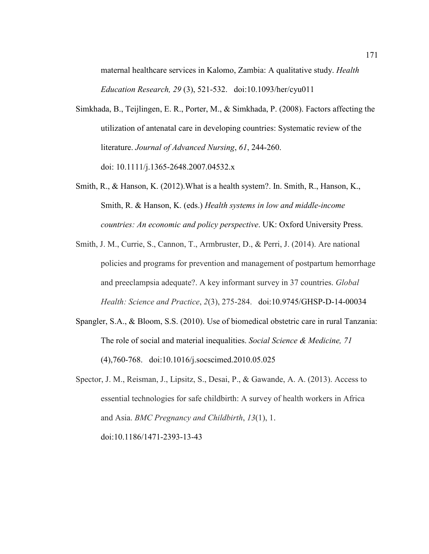maternal healthcare services in Kalomo, Zambia: A qualitative study. *Health Education Research, 29* (3), 521-532. doi:10.1093/her/cyu011

- Simkhada, B., Teijlingen, E. R., Porter, M., & Simkhada, P. (2008). Factors affecting the utilization of antenatal care in developing countries: Systematic review of the literature. *Journal of Advanced Nursing*, *61*, 244-260. doi: 10.1111/j.1365-2648.2007.04532.x
- Smith, R., & Hanson, K. (2012).What is a health system?. In. Smith, R., Hanson, K., Smith, R. & Hanson, K. (eds.) *Health systems in low and middle-income countries: An economic and policy perspective*. UK: Oxford University Press.
- Smith, J. M., Currie, S., Cannon, T., Armbruster, D., & Perri, J. (2014). Are national policies and programs for prevention and management of postpartum hemorrhage and preeclampsia adequate?. A key informant survey in 37 countries. *Global Health: Science and Practice*, *2*(3), 275-284. doi:10.9745/GHSP-D-14-00034
- Spangler, S.A., & Bloom, S.S. (2010). Use of biomedical obstetric care in rural Tanzania: The role of social and material inequalities. *Social Science & Medicine, 71*  (4),760-768. doi:10.1016/j.socscimed.2010.05.025
- Spector, J. M., Reisman, J., Lipsitz, S., Desai, P., & Gawande, A. A. (2013). Access to essential technologies for safe childbirth: A survey of health workers in Africa and Asia. *BMC Pregnancy and Childbirth*, *13*(1), 1. doi:10.1186/1471-2393-13-43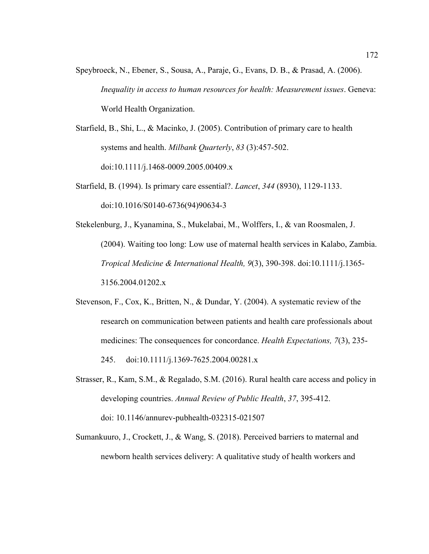Speybroeck, N., Ebener, S., Sousa, A., Paraje, G., Evans, D. B., & Prasad, A. (2006). *Inequality in access to human resources for health: Measurement issues*. Geneva: World Health Organization.

Starfield, B., Shi, L., & Macinko, J. (2005). Contribution of primary care to health systems and health. *Milbank Quarterly*, *83* (3):457-502. doi:10.1111/j.1468-0009.2005.00409.x

Starfield, B. (1994). Is primary care essential?. *Lancet*, *344* (8930), 1129-1133. doi:10.1016/S0140-6736(94)90634-3

Stekelenburg, J., Kyanamina, S., Mukelabai, M., Wolffers, I., & van Roosmalen, J. (2004). Waiting too long: Low use of maternal health services in Kalabo, Zambia. *Tropical Medicine & International Health, 9*(3), 390-398. doi:10.1111/j.1365- 3156.2004.01202.x

- Stevenson, F., Cox, K., Britten, N., & Dundar, Y. (2004). A systematic review of the research on communication between patients and health care professionals about medicines: The consequences for concordance. *Health Expectations, 7*(3), 235- 245. doi:10.1111/j.1369-7625.2004.00281.x
- Strasser, R., Kam, S.M., & Regalado, S.M. (2016). Rural health care access and policy in developing countries. *Annual Review of Public Health*, *37*, 395-412. doi: 10.1146/annurev-pubhealth-032315-021507
- Sumankuuro, J., Crockett, J., & Wang, S. (2018). Perceived barriers to maternal and newborn health services delivery: A qualitative study of health workers and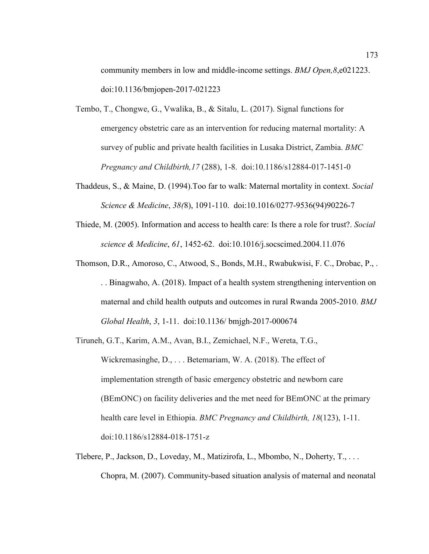community members in low and middle-income settings. *BMJ Open,8*,e021223. doi:10.1136/bmjopen-2017-021223

- Tembo, T., Chongwe, G., Vwalika, B., & Sitalu, L. (2017). Signal functions for emergency obstetric care as an intervention for reducing maternal mortality: A survey of public and private health facilities in Lusaka District, Zambia. *BMC Pregnancy and Childbirth,17* (288), 1-8. doi:10.1186/s12884-017-1451-0
- Thaddeus, S., & Maine, D. (1994).Too far to walk: Maternal mortality in context. *Social Science & Medicine*, *38(*8), 1091-110. doi:10.1016/0277-9536(94)90226-7
- Thiede, M. (2005). Information and access to health care: Is there a role for trust?. *Social science & Medicine*, *61*, 1452-62. doi:10.1016/j.socscimed.2004.11.076
- Thomson, D.R., Amoroso, C., Atwood, S., Bonds, M.H., Rwabukwisi, F. C., Drobac, P., . . . Binagwaho, A. (2018). Impact of a health system strengthening intervention on maternal and child health outputs and outcomes in rural Rwanda 2005-2010. *BMJ Global Health*, *3*, 1-11. doi:10.1136/ bmjgh-2017-000674
- Tiruneh, G.T., Karim, A.M., Avan, B.I., Zemichael, N.F., Wereta, T.G., Wickremasinghe, D., . . . Betemariam, W. A. (2018). The effect of implementation strength of basic emergency obstetric and newborn care (BEmONC) on facility deliveries and the met need for BEmONC at the primary health care level in Ethiopia. *BMC Pregnancy and Childbirth, 18*(123), 1-11. doi:10.1186/s12884-018-1751-z
- Tlebere, P., Jackson, D., Loveday, M., Matizirofa, L., Mbombo, N., Doherty, T., . . . Chopra, M. (2007). Community-based situation analysis of maternal and neonatal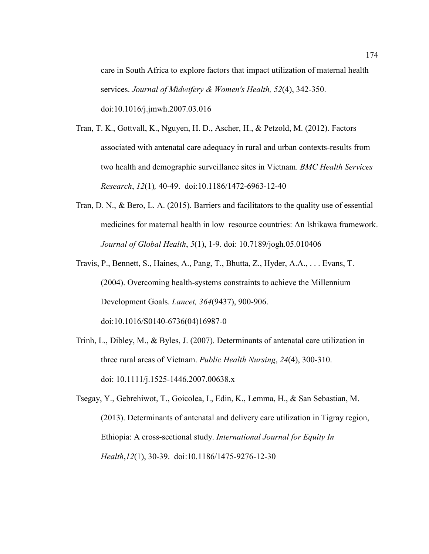care in South Africa to explore factors that impact utilization of maternal health services. *Journal of Midwifery & Women's Health, 52*(4), 342-350. doi:10.1016/j.jmwh.2007.03.016

- Tran, T. K., Gottvall, K., Nguyen, H. D., Ascher, H., & Petzold, M. (2012). Factors associated with antenatal care adequacy in rural and urban contexts-results from two health and demographic surveillance sites in Vietnam. *BMC Health Services Research*, *12*(1)*,* 40-49. doi:10.1186/1472-6963-12-40
- Tran, D. N., & Bero, L. A. (2015). Barriers and facilitators to the quality use of essential medicines for maternal health in low–resource countries: An Ishikawa framework. *Journal of Global Health*, *5*(1), 1-9. doi: 10.7189/jogh.05.010406
- Travis, P., Bennett, S., Haines, A., Pang, T., Bhutta, Z., Hyder, A.A., . . . Evans, T. (2004). Overcoming health-systems constraints to achieve the Millennium Development Goals. *Lancet, 364*(9437), 900-906. doi:10.1016/S0140-6736(04)16987-0

- Trinh, L., Dibley, M., & Byles, J. (2007). Determinants of antenatal care utilization in three rural areas of Vietnam. *Public Health Nursing*, *24*(4), 300-310. doi: 10.1111/j.1525-1446.2007.00638.x
- Tsegay, Y., Gebrehiwot, T., Goicolea, I., Edin, K., Lemma, H., & San Sebastian, M. (2013). Determinants of antenatal and delivery care utilization in Tigray region, Ethiopia: A cross-sectional study. *International Journal for Equity In Health*,*12*(1), 30-39. doi:10.1186/1475-9276-12-30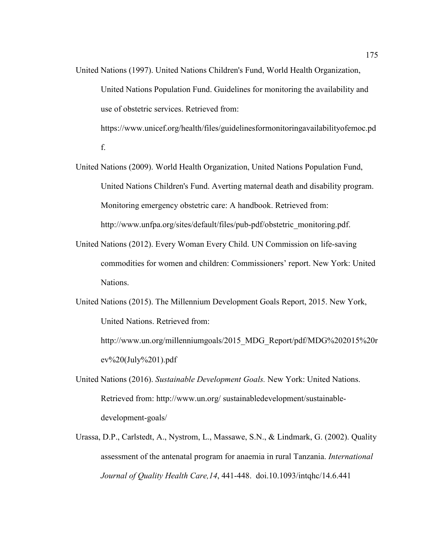- United Nations (1997). United Nations Children's Fund, World Health Organization, United Nations Population Fund. Guidelines for monitoring the availability and use of obstetric services. Retrieved from: https://www.unicef.org/health/files/guidelinesformonitoringavailabilityofemoc.pd f.
- United Nations (2009). World Health Organization, United Nations Population Fund, United Nations Children's Fund. Averting maternal death and disability program. Monitoring emergency obstetric care: A handbook. Retrieved from: http://www.unfpa.org/sites/default/files/pub-pdf/obstetric\_monitoring.pdf.
	- United Nations (2012). Every Woman Every Child. UN Commission on life-saving commodities for women and children: Commissioners' report. New York: United Nations.
	- United Nations (2015). The Millennium Development Goals Report, 2015. New York, United Nations. Retrieved from:

http://www.un.org/millenniumgoals/2015 MDG Report/pdf/MDG%202015%20r  $ev\%20$ (July%201).pdf

- United Nations (2016). *Sustainable Development Goals.* New York: United Nations. Retrieved from: http://www.un.org/ sustainabledevelopment/sustainabledevelopment-goals/
- Urassa, D.P., Carlstedt, A., Nystrom, L., Massawe, S.N., & Lindmark, G. (2002). Quality assessment of the antenatal program for anaemia in rural Tanzania. *International Journal of Quality Health Care,14*, 441-448. doi.10.1093/intqhc/14.6.441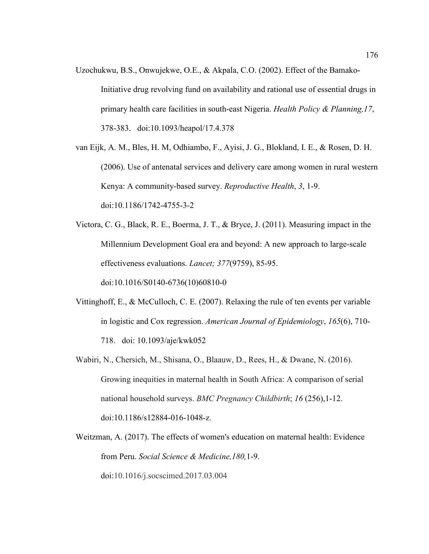- Uzochukwu, B.S., Onwujekwe, O.E., & Akpala, C.O. (2002). Effect of the Bamako-Initiative drug revolving fund on availability and rational use of essential drugs in primary health care facilities in south-east Nigeria. *Health Policy & Planning,17*, 378-383. doi:10.1093/heapol/17.4.378
- van Eijk, A. M., Bles, H. M, Odhiambo, F., Ayisi, J. G., Blokland, I. E., & Rosen, D. H. (2006). Use of antenatal services and delivery care among women in rural western Kenya: A community-based survey. *Reproductive Health*, *3*, 1-9. doi:10.1186/1742-4755-3-2
- Victora, C. G., Black, R. E., Boerma, J. T., & Bryce, J. (2011). Measuring impact in the Millennium Development Goal era and beyond: A new approach to large-scale effectiveness evaluations. *Lancet; 377*(9759), 85-95. doi:10.1016/S0140-6736(10)60810-0
- Vittinghoff, E., & McCulloch, C. E. (2007). Relaxing the rule of ten events per variable in logistic and Cox regression. *American Journal of Epidemiology*, *165*(6), 710- 718. doi: 10.1093/aje/kwk052
- Wabiri, N., Chersich, M., Shisana, O., Blaauw, D., Rees, H., & Dwane, N. (2016). Growing inequities in maternal health in South Africa: A comparison of serial national household surveys. *BMC Pregnancy Childbirth*; *16* (256),1-12. doi:10.1186/s12884-016-1048-z.
- Weitzman, A. (2017). The effects of women's education on maternal health: Evidence from Peru. *Social Science & Medicine,180,*1-9. doi:10.1016/j.socscimed.2017.03.004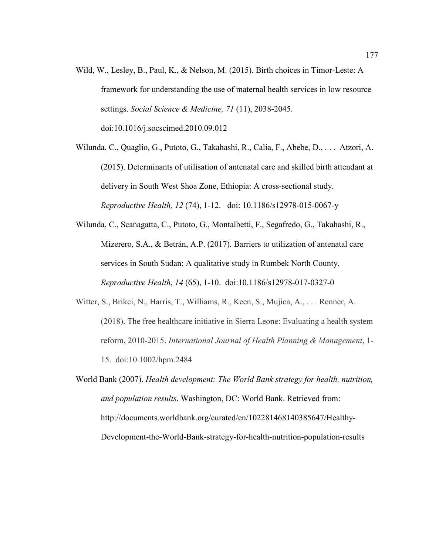- Wild, W., Lesley, B., Paul, K., & Nelson, M. (2015). Birth choices in Timor-Leste: A framework for understanding the use of maternal health services in low resource settings. *Social Science & Medicine, 71* (11), 2038-2045. doi:10.1016/j.socscimed.2010.09.012
- Wilunda, C., Quaglio, G., Putoto, G., Takahashi, R., Calia, F., Abebe, D., . . . Atzori, A. (2015). Determinants of utilisation of antenatal care and skilled birth attendant at delivery in South West Shoa Zone, Ethiopia: A cross-sectional study. *Reproductive Health, 12* (74), 1-12. doi: 10.1186/s12978-015-0067-y
- Wilunda, C., Scanagatta, C., Putoto, G., Montalbetti, F., Segafredo, G., Takahashi, R., Mizerero, S.A., & Betrán, A.P. (2017). Barriers to utilization of antenatal care services in South Sudan: A qualitative study in Rumbek North County. *Reproductive Health*, *14* (65), 1-10. doi:10.1186/s12978-017-0327-0
- Witter, S., Brikci, N., Harris, T., Williams, R., Keen, S., Mujica, A., . . . Renner, A. (2018). The free healthcare initiative in Sierra Leone: Evaluating a health system reform, 2010-2015. *International Journal of Health Planning & Management*, 1- 15. doi:10.1002/hpm.2484
- World Bank (2007). *Health development: The World Bank strategy for health, nutrition, and population results*. Washington, DC: World Bank. Retrieved from: http://documents.worldbank.org/curated/en/102281468140385647/Healthy-Development-the-World-Bank-strategy-for-health-nutrition-population-results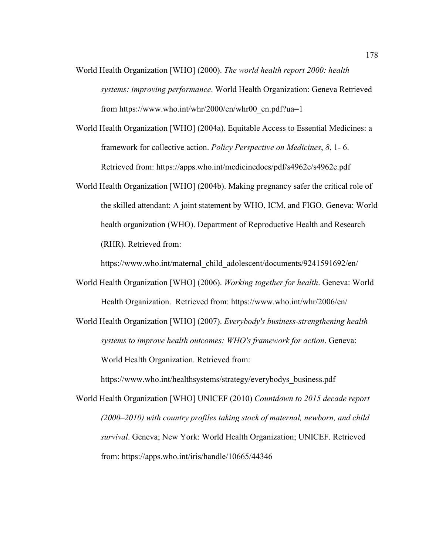- World Health Organization [WHO] (2000). *The world health report 2000: health systems: improving performance*. World Health Organization: Geneva Retrieved from https://www.who.int/whr/2000/en/whr00\_en.pdf?ua=1
- World Health Organization [WHO] (2004a). Equitable Access to Essential Medicines: a framework for collective action. *Policy Perspective on Medicines*, *8*, 1- 6. Retrieved from: https://apps.who.int/medicinedocs/pdf/s4962e/s4962e.pdf
- World Health Organization [WHO] (2004b). Making pregnancy safer the critical role of the skilled attendant: A joint statement by WHO, ICM, and FIGO. Geneva: World health organization (WHO). Department of Reproductive Health and Research (RHR). Retrieved from:

https://www.who.int/maternal\_child\_adolescent/documents/9241591692/en/

- World Health Organization [WHO] (2006). *Working together for health*. Geneva: World Health Organization. Retrieved from: https://www.who.int/whr/2006/en/
- World Health Organization [WHO] (2007). *Everybody's business-strengthening health systems to improve health outcomes: WHO's framework for action*. Geneva: World Health Organization. Retrieved from:

https://www.who.int/healthsystems/strategy/everybodys\_business.pdf

World Health Organization [WHO] UNICEF (2010) *Countdown to 2015 decade report (2000–2010) with country profiles taking stock of maternal, newborn, and child survival*. Geneva; New York: World Health Organization; UNICEF. Retrieved from: https://apps.who.int/iris/handle/10665/44346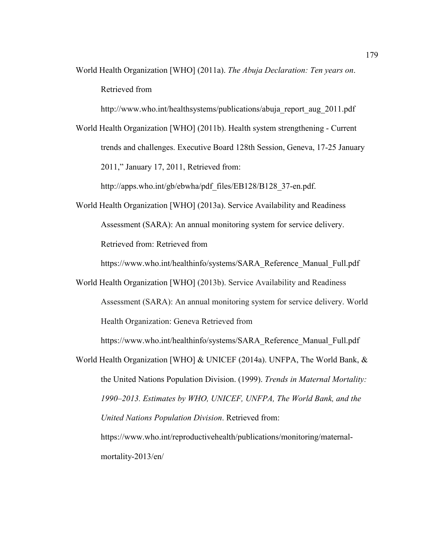World Health Organization [WHO] (2011a). *The Abuja Declaration: Ten years on*. Retrieved from

http://www.who.int/healthsystems/publications/abuja\_report\_aug\_2011.pdf

World Health Organization [WHO] (2011b). Health system strengthening - Current trends and challenges. Executive Board 128th Session, Geneva, 17-25 January 2011," January 17, 2011, Retrieved from:

http://apps.who.int/gb/ebwha/pdf\_files/EB128/B128\_37-en.pdf.

World Health Organization [WHO] (2013a). Service Availability and Readiness Assessment (SARA): An annual monitoring system for service delivery. Retrieved from: Retrieved from

https://www.who.int/healthinfo/systems/SARA\_Reference\_Manual\_Full.pdf

World Health Organization [WHO] (2013b). Service Availability and Readiness Assessment (SARA): An annual monitoring system for service delivery. World Health Organization: Geneva Retrieved from

https://www.who.int/healthinfo/systems/SARA\_Reference\_Manual\_Full.pdf

World Health Organization [WHO] & UNICEF (2014a). UNFPA, The World Bank, & the United Nations Population Division. (1999). *Trends in Maternal Mortality: 1990–2013. Estimates by WHO, UNICEF, UNFPA, The World Bank, and the United Nations Population Division*. Retrieved from: https://www.who.int/reproductivehealth/publications/monitoring/maternalmortality-2013/en/